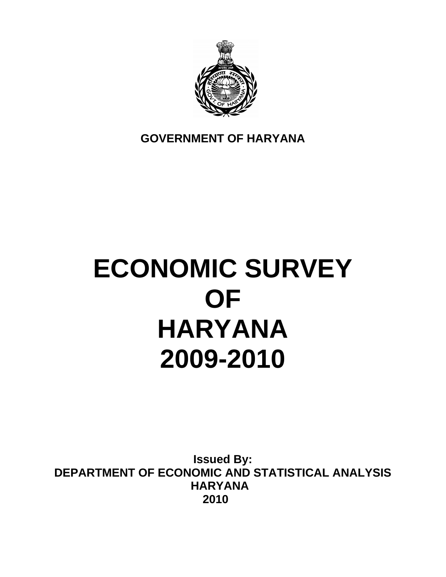

**GOVERNMENT OF HARYANA** 

# **ECONOMIC SURVEY OF HARYANA 2009-2010**

**Issued By: DEPARTMENT OF ECONOMIC AND STATISTICAL ANALYSIS HARYANA 2010**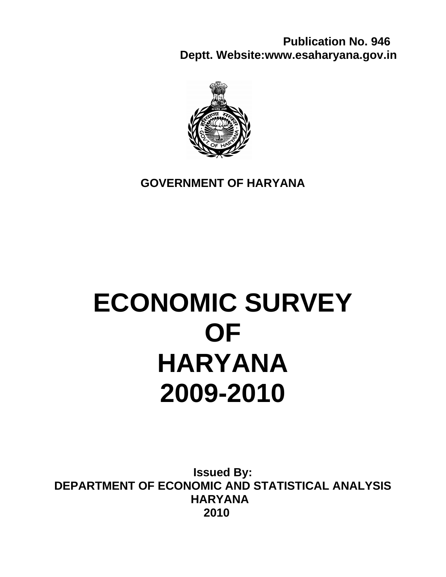**Publication No. 946 Deptt. Website:www.esaharyana.gov.in** 



## **GOVERNMENT OF HARYANA**

# **ECONOMIC SURVEY OF HARYANA 2009-2010**

**Issued By: DEPARTMENT OF ECONOMIC AND STATISTICAL ANALYSIS HARYANA 2010**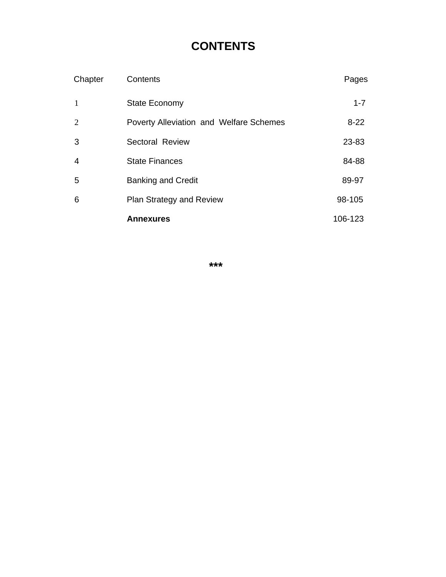# **CONTENTS**

| Chapter        | Contents                                | Pages    |
|----------------|-----------------------------------------|----------|
| 1              | <b>State Economy</b>                    | $1 - 7$  |
| $\overline{2}$ | Poverty Alleviation and Welfare Schemes | $8 - 22$ |
| 3              | <b>Sectoral Review</b>                  | 23-83    |
| 4              | <b>State Finances</b>                   | 84-88    |
| 5              | <b>Banking and Credit</b>               | 89-97    |
| 6              | <b>Plan Strategy and Review</b>         | 98-105   |
|                | <b>Annexures</b>                        | 106-123  |

**\*\*\***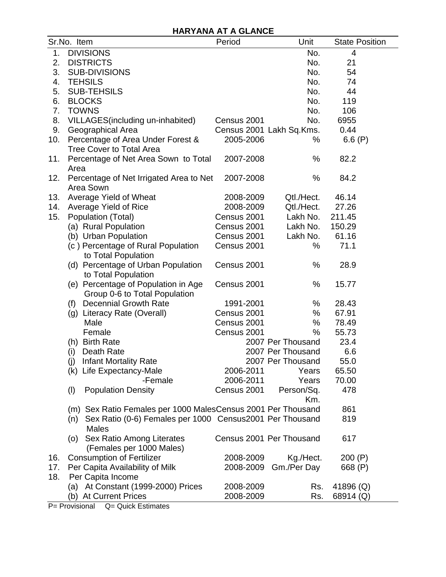## **HARYANA AT A GLANCE**

|     | Sr.No. Item                                                     | Period      | Unit                     | <b>State Position</b> |
|-----|-----------------------------------------------------------------|-------------|--------------------------|-----------------------|
| 1.  | <b>DIVISIONS</b>                                                |             | No.                      | 4                     |
| 2.  | <b>DISTRICTS</b>                                                |             | No.                      | 21                    |
| 3.  | <b>SUB-DIVISIONS</b>                                            |             | No.                      | 54                    |
| 4.  | <b>TEHSILS</b>                                                  |             | No.                      | 74                    |
| 5.  | <b>SUB-TEHSILS</b>                                              |             | No.                      | 44                    |
| 6.  | <b>BLOCKS</b>                                                   |             | No.                      | 119                   |
| 7.  | <b>TOWNS</b>                                                    |             | No.                      | 106                   |
| 8.  | VILLAGES (including un-inhabited)                               | Census 2001 | No.                      | 6955                  |
| 9.  | Geographical Area                                               |             | Census 2001 Lakh Sq.Kms. | 0.44                  |
| 10. | Percentage of Area Under Forest &                               | 2005-2006   | ℅                        | 6.6 $(P)$             |
|     | <b>Tree Cover to Total Area</b>                                 |             |                          |                       |
| 11. | Percentage of Net Area Sown to Total                            | 2007-2008   | %                        | 82.2                  |
|     | Area                                                            | 2007-2008   | %                        |                       |
| 12. | Percentage of Net Irrigated Area to Net<br>Area Sown            |             |                          | 84.2                  |
| 13. | Average Yield of Wheat                                          | 2008-2009   | Qtl./Hect.               | 46.14                 |
| 14. | Average Yield of Rice                                           | 2008-2009   | Qtl./Hect.               | 27.26                 |
| 15. | Population (Total)                                              | Census 2001 | Lakh No.                 | 211.45                |
|     | (a) Rural Population                                            | Census 2001 | Lakh No.                 | 150.29                |
|     | (b) Urban Population                                            | Census 2001 | Lakh No.                 | 61.16                 |
|     | (c) Percentage of Rural Population<br>to Total Population       | Census 2001 | %                        | 71.1                  |
|     | (d) Percentage of Urban Population                              | Census 2001 | %                        | 28.9                  |
|     | to Total Population<br>(e) Percentage of Population in Age      | Census 2001 | %                        | 15.77                 |
|     | Group 0-6 to Total Population                                   |             |                          |                       |
|     | <b>Decennial Growth Rate</b><br>(f)                             | 1991-2001   | %                        | 28.43                 |
|     | (g) Literacy Rate (Overall)                                     | Census 2001 | %                        | 67.91                 |
|     | Male                                                            | Census 2001 | %                        | 78.49                 |
|     | Female                                                          | Census 2001 | %                        | 55.73                 |
|     | (h) Birth Rate                                                  |             | 2007 Per Thousand        | 23.4                  |
|     | Death Rate<br>(i)                                               |             | 2007 Per Thousand        | 6.6                   |
|     | (j) Infant Mortality Rate                                       |             | 2007 Per Thousand        | 55.0                  |
|     | (k) Life Expectancy-Male                                        | 2006-2011   | Years                    | 65.50                 |
|     | -Female                                                         | 2006-2011   | Years                    | 70.00                 |
|     | (1)<br><b>Population Density</b>                                | Census 2001 | Person/Sq.<br>Km.        | 478                   |
|     | (m) Sex Ratio Females per 1000 MalesCensus 2001 Per Thousand    |             |                          | 861                   |
|     | Sex Ratio (0-6) Females per 1000 Census2001 Per Thousand<br>(n) |             |                          | 819                   |
|     | <b>Males</b><br>Sex Ratio Among Literates<br>(0)                |             | Census 2001 Per Thousand | 617                   |
|     | (Females per 1000 Males)                                        |             |                          |                       |
| 16. | <b>Consumption of Fertilizer</b>                                | 2008-2009   | Kg./Hect.                | 200(P)                |
| 17. | Per Capita Availability of Milk                                 | 2008-2009   | Gm./Per Day              | 668 (P)               |
| 18. | Per Capita Income                                               |             |                          |                       |
|     | (a) At Constant (1999-2000) Prices                              | 2008-2009   | Rs.                      | 41896 (Q)             |
|     | (b) At Current Prices                                           | 2008-2009   | Rs.                      | 68914 (Q)             |

P = Provisional Q = Quick Estimates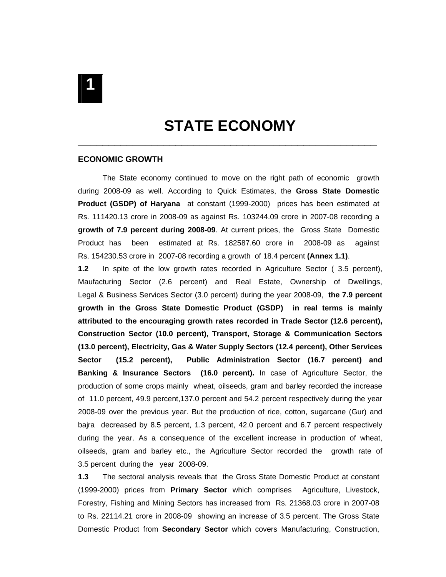STATE ECONOMY

#### **ECONOMIC GROWTH**

The State economy continued to move on the right path of economic growth during 2008-09 as well. According to Quick Estimates, the **Gross State Domestic Product (GSDP) of Haryana** at constant (1999-2000) prices has been estimated at Rs. 111420.13 crore in 2008-09 as against Rs. 103244.09 crore in 2007-08 recording a **growth of 7.9 percent during 2008-09**. At current prices, the Gross State Domestic Product has been estimated at Rs. 182587.60 crore in 2008-09 as against Rs. 154230.53 crore in 2007-08 recording a growth of 18.4 percent **(Annex 1.1)**.

**1.2** In spite of the low growth rates recorded in Agriculture Sector ( 3.5 percent), Maufacturing Sector (2.6 percent) and Real Estate, Ownership of Dwellings, Legal & Business Services Sector (3.0 percent) during the year 2008-09, **the 7.9 percent growth in the Gross State Domestic Product (GSDP) in real terms is mainly attributed to the encouraging growth rates recorded in Trade Sector (12.6 percent), Construction Sector (10.0 percent), Transport, Storage & Communication Sectors (13.0 percent), Electricity, Gas & Water Supply Sectors (12.4 percent), Other Services Sector (15.2 percent), Public Administration Sector (16.7 percent) and Banking & Insurance Sectors (16.0 percent).** In case of Agriculture Sector, the production of some crops mainly wheat, oilseeds, gram and barley recorded the increase of 11.0 percent, 49.9 percent,137.0 percent and 54.2 percent respectively during the year 2008-09 over the previous year. But the production of rice, cotton, sugarcane (Gur) and bajra decreased by 8.5 percent, 1.3 percent, 42.0 percent and 6.7 percent respectively during the year. As a consequence of the excellent increase in production of wheat, oilseeds, gram and barley etc., the Agriculture Sector recorded the growth rate of 3.5 percent during the year 2008-09.

**1.3** The sectoral analysis reveals that the Gross State Domestic Product at constant (1999-2000) prices from **Primary Sector** which comprises Agriculture, Livestock, Forestry, Fishing and Mining Sectors has increased from Rs. 21368.03 crore in 2007-08 to Rs. 22114.21 crore in 2008-09 showing an increase of 3.5 percent. The Gross State Domestic Product from **Secondary Sector** which covers Manufacturing, Construction,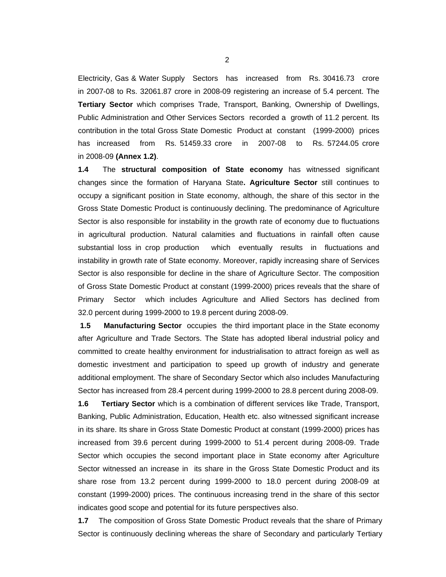Electricity, Gas & Water Supply Sectors has increased from Rs. 30416.73 crore in 2007-08 to Rs. 32061.87 crore in 2008-09 registering an increase of 5.4 percent. The **Tertiary Sector** which comprises Trade, Transport, Banking, Ownership of Dwellings, Public Administration and Other Services Sectors recorded a growth of 11.2 percent. Its contribution in the total Gross State Domestic Product at constant (1999-2000) prices has increased from Rs. 51459.33 crore in 2007-08 to Rs. 57244.05 crore in 2008-09 **(Annex 1.2)**.

**1.4** The **structural composition of State economy** has witnessed significant changes since the formation of Haryana State**. Agriculture Sector** still continues to occupy a significant position in State economy, although, the share of this sector in the Gross State Domestic Product is continuously declining. The predominance of Agriculture Sector is also responsible for instability in the growth rate of economy due to fluctuations in agricultural production. Natural calamities and fluctuations in rainfall often cause substantial loss in crop production which eventually results in fluctuations and instability in growth rate of State economy. Moreover, rapidly increasing share of Services Sector is also responsible for decline in the share of Agriculture Sector. The composition of Gross State Domestic Product at constant (1999-2000) prices reveals that the share of Primary Sector which includes Agriculture and Allied Sectors has declined from 32.0 percent during 1999-2000 to 19.8 percent during 2008-09.

**1.5 Manufacturing Sector** occupies the third important place in the State economy after Agriculture and Trade Sectors. The State has adopted liberal industrial policy and committed to create healthy environment for industrialisation to attract foreign as well as domestic investment and participation to speed up growth of industry and generate additional employment. The share of Secondary Sector which also includes Manufacturing Sector has increased from 28.4 percent during 1999-2000 to 28.8 percent during 2008-09.

**1.6 Tertiary Sector** which is a combination of different services like Trade, Transport, Banking, Public Administration, Education, Health etc. also witnessed significant increase in its share. Its share in Gross State Domestic Product at constant (1999-2000) prices has increased from 39.6 percent during 1999-2000 to 51.4 percent during 2008-09. Trade Sector which occupies the second important place in State economy after Agriculture Sector witnessed an increase in its share in the Gross State Domestic Product and its share rose from 13.2 percent during 1999-2000 to 18.0 percent during 2008-09 at constant (1999-2000) prices. The continuous increasing trend in the share of this sector indicates good scope and potential for its future perspectives also.

**1.7** The composition of Gross State Domestic Product reveals that the share of Primary Sector is continuously declining whereas the share of Secondary and particularly Tertiary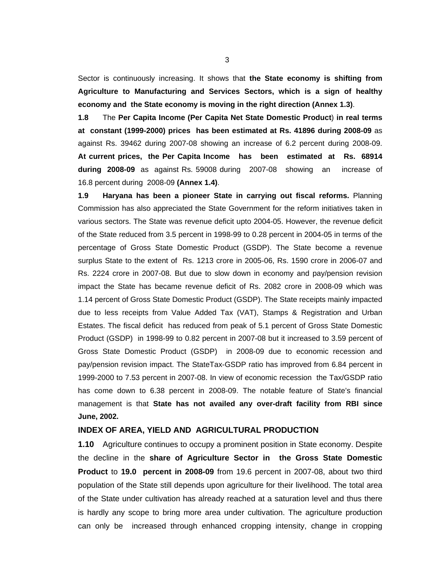Sector is continuously increasing. It shows that **the State economy is shifting from Agriculture to Manufacturing and Services Sectors, which is a sign of healthy economy and the State economy is moving in the right direction (Annex 1.3)**.

**1.8** The **Per Capita Income (Per Capita Net State Domestic Product**) **in real terms at constant (1999-2000) prices has been estimated at Rs. 41896 during 2008-09** as against Rs. 39462 during 2007-08 showing an increase of 6.2 percent during 2008-09. **At current prices, the Per Capita Income has been estimated at Rs. 68914 during 2008-09** as against Rs. 59008 during 2007-08 showing an increase of 16.8 percent during 2008-09 **(Annex 1.4)**.

**1.9 Haryana has been a pioneer State in carrying out fiscal reforms.** Planning Commission has also appreciated the State Government for the reform initiatives taken in various sectors. The State was revenue deficit upto 2004-05. However, the revenue deficit of the State reduced from 3.5 percent in 1998-99 to 0.28 percent in 2004-05 in terms of the percentage of Gross State Domestic Product (GSDP). The State become a revenue surplus State to the extent of Rs. 1213 crore in 2005-06, Rs. 1590 crore in 2006-07 and Rs. 2224 crore in 2007-08. But due to slow down in economy and pay/pension revision impact the State has became revenue deficit of Rs. 2082 crore in 2008-09 which was 1.14 percent of Gross State Domestic Product (GSDP). The State receipts mainly impacted due to less receipts from Value Added Tax (VAT), Stamps & Registration and Urban Estates. The fiscal deficit has reduced from peak of 5.1 percent of Gross State Domestic Product (GSDP) in 1998-99 to 0.82 percent in 2007-08 but it increased to 3.59 percent of Gross State Domestic Product (GSDP) in 2008-09 due to economic recession and pay/pension revision impact. The StateTax-GSDP ratio has improved from 6.84 percent in 1999-2000 to 7.53 percent in 2007-08. In view of economic recession the Tax/GSDP ratio has come down to 6.38 percent in 2008-09. The notable feature of State's financial management is that **State has not availed any over-draft facility from RBI since June, 2002.**

#### **INDEX OF AREA, YIELD AND AGRICULTURAL PRODUCTION**

**1.10** Agriculture continues to occupy a prominent position in State economy. Despite the decline in the **share of Agriculture Sector in the Gross State Domestic Product** to **19.0 percent in 2008-09** from 19.6 percent in 2007-08, about two third population of the State still depends upon agriculture for their livelihood. The total area of the State under cultivation has already reached at a saturation level and thus there is hardly any scope to bring more area under cultivation. The agriculture production can only be increased through enhanced cropping intensity, change in cropping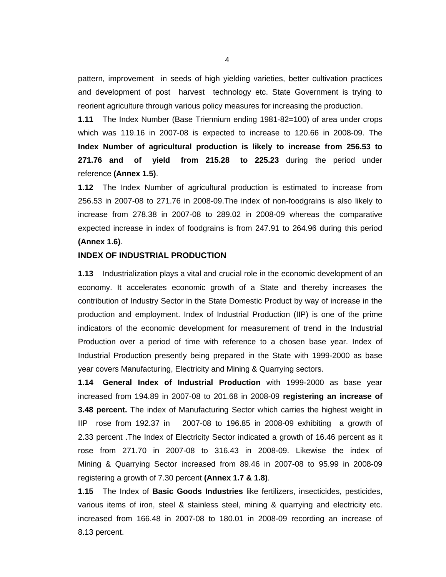pattern, improvement in seeds of high yielding varieties, better cultivation practices and development of post harvest technology etc. State Government is trying to reorient agriculture through various policy measures for increasing the production.

**1.11** The Index Number (Base Triennium ending 1981-82=100) of area under crops which was 119.16 in 2007-08 is expected to increase to 120.66 in 2008-09. The **Index Number of agricultural production is likely to increase from 256.53 to 271.76 and of yield from 215.28 to 225.23** during the period under reference **(Annex 1.5)**.

**1.12** The Index Number of agricultural production is estimated to increase from 256.53 in 2007-08 to 271.76 in 2008-09.The index of non-foodgrains is also likely to increase from 278.38 in 2007-08 to 289.02 in 2008-09 whereas the comparative expected increase in index of foodgrains is from 247.91 to 264.96 during this period **(Annex 1.6)**.

#### **INDEX OF INDUSTRIAL PRODUCTION**

**1.13** Industrialization plays a vital and crucial role in the economic development of an economy. It accelerates economic growth of a State and thereby increases the contribution of Industry Sector in the State Domestic Product by way of increase in the production and employment. Index of Industrial Production (IIP) is one of the prime indicators of the economic development for measurement of trend in the Industrial Production over a period of time with reference to a chosen base year. Index of Industrial Production presently being prepared in the State with 1999-2000 as base year covers Manufacturing, Electricity and Mining & Quarrying sectors.

**1.14 General Index of Industrial Production** with 1999-2000 as base year increased from 194.89 in 2007-08 to 201.68 in 2008-09 **registering an increase of 3.48 percent.** The index of Manufacturing Sector which carries the highest weight in IIP rose from 192.37 in 2007-08 to 196.85 in 2008-09 exhibiting a growth of 2.33 percent .The Index of Electricity Sector indicated a growth of 16.46 percent as it rose from 271.70 in 2007-08 to 316.43 in 2008-09. Likewise the index of Mining & Quarrying Sector increased from 89.46 in 2007-08 to 95.99 in 2008-09 registering a growth of 7.30 percent **(Annex 1.7 & 1.8)**.

**1.15** The Index of **Basic Goods Industries** like fertilizers, insecticides, pesticides, various items of iron, steel & stainless steel, mining & quarrying and electricity etc. increased from 166.48 in 2007-08 to 180.01 in 2008-09 recording an increase of 8.13 percent.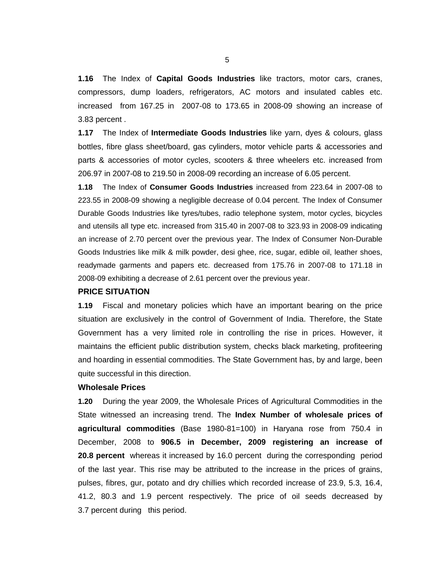**1.16** The Index of **Capital Goods Industries** like tractors, motor cars, cranes, compressors, dump loaders, refrigerators, AC motors and insulated cables etc. increased from 167.25 in 2007-08 to 173.65 in 2008-09 showing an increase of 3.83 percent .

**1.17** The Index of **Intermediate Goods Industries** like yarn, dyes & colours, glass bottles, fibre glass sheet/board, gas cylinders, motor vehicle parts & accessories and parts & accessories of motor cycles, scooters & three wheelers etc. increased from 206.97 in 2007-08 to 219.50 in 2008-09 recording an increase of 6.05 percent.

**1.18** The Index of **Consumer Goods Industries** increased from 223.64 in 2007-08 to 223.55 in 2008-09 showing a negligible decrease of 0.04 percent. The Index of Consumer Durable Goods Industries like tyres/tubes, radio telephone system, motor cycles, bicycles and utensils all type etc. increased from 315.40 in 2007-08 to 323.93 in 2008-09 indicating an increase of 2.70 percent over the previous year. The Index of Consumer Non-Durable Goods Industries like milk & milk powder, desi ghee, rice, sugar, edible oil, leather shoes, readymade garments and papers etc. decreased from 175.76 in 2007-08 to 171.18 in 2008-09 exhibiting a decrease of 2.61 percent over the previous year.

#### **PRICE SITUATION**

**1.19** Fiscal and monetary policies which have an important bearing on the price situation are exclusively in the control of Government of India. Therefore, the State Government has a very limited role in controlling the rise in prices. However, it maintains the efficient public distribution system, checks black marketing, profiteering and hoarding in essential commodities. The State Government has, by and large, been quite successful in this direction.

#### **Wholesale Prices**

**1.20** During the year 2009, the Wholesale Prices of Agricultural Commodities in the State witnessed an increasing trend. The **Index Number of wholesale prices of agricultural commodities** (Base 1980-81=100) in Haryana rose from 750.4 in December, 2008 to **906.5 in December, 2009 registering an increase of 20.8 percent** whereas it increased by 16.0 percent during the corresponding period of the last year. This rise may be attributed to the increase in the prices of grains, pulses, fibres, gur, potato and dry chillies which recorded increase of 23.9, 5.3, 16.4, 41.2, 80.3 and 1.9 percent respectively. The price of oil seeds decreased by 3.7 percent during this period.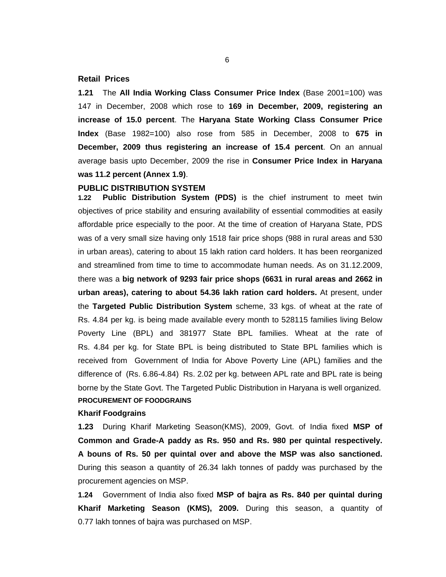#### **Retail Prices**

**1.21** The **All India Working Class Consumer Price Index** (Base 2001=100) was 147 in December, 2008 which rose to **169 in December, 2009, registering an increase of 15.0 percent**. The **Haryana State Working Class Consumer Price Index** (Base 1982=100) also rose from 585 in December, 2008 to **675 in December, 2009 thus registering an increase of 15.4 percent**. On an annual average basis upto December, 2009 the rise in **Consumer Price Index in Haryana was 11.2 percent (Annex 1.9)**.

#### **PUBLIC DISTRIBUTION SYSTEM**

**1.22 Public Distribution System (PDS)** is the chief instrument to meet twin objectives of price stability and ensuring availability of essential commodities at easily affordable price especially to the poor. At the time of creation of Haryana State, PDS was of a very small size having only 1518 fair price shops (988 in rural areas and 530 in urban areas), catering to about 15 lakh ration card holders. It has been reorganized and streamlined from time to time to accommodate human needs. As on 31.12.2009, there was a **big network of 9293 fair price shops (6631 in rural areas and 2662 in urban areas), catering to about 54.36 lakh ration card holders.** At present, under the **Targeted Public Distribution System** scheme, 33 kgs. of wheat at the rate of Rs. 4.84 per kg. is being made available every month to 528115 families living Below Poverty Line (BPL) and 381977 State BPL families. Wheat at the rate of Rs. 4.84 per kg. for State BPL is being distributed to State BPL families which is received from Government of India for Above Poverty Line (APL) families and the difference of (Rs. 6.86-4.84) Rs. 2.02 per kg. between APL rate and BPL rate is being borne by the State Govt. The Targeted Public Distribution in Haryana is well organized. **PROCUREMENT OF FOODGRAINS** 

### **Kharif Foodgrains**

**1.23** During Kharif Marketing Season(KMS), 2009, Govt. of India fixed **MSP of Common and Grade-A paddy as Rs. 950 and Rs. 980 per quintal respectively. A bouns of Rs. 50 per quintal over and above the MSP was also sanctioned.** During this season a quantity of 26.34 lakh tonnes of paddy was purchased by the procurement agencies on MSP.

**1.24** Government of India also fixed **MSP of bajra as Rs. 840 per quintal during Kharif Marketing Season (KMS), 2009.** During this season, a quantity of 0.77 lakh tonnes of bajra was purchased on MSP.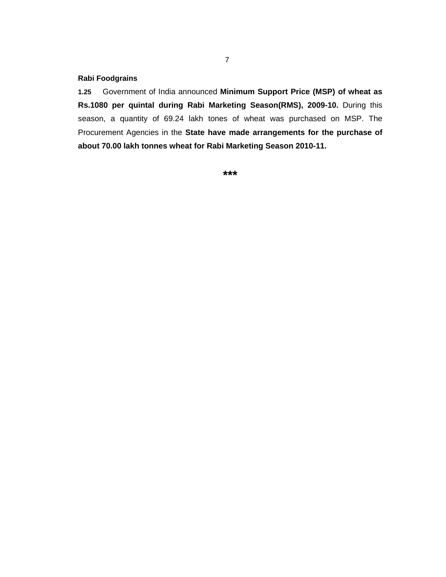#### **Rabi Foodgrains**

**1.25** Government of India announced **Minimum Support Price (MSP) of wheat as Rs.1080 per quintal during Rabi Marketing Season(RMS), 2009-10.** During this season, a quantity of 69.24 lakh tones of wheat was purchased on MSP. The Procurement Agencies in the **State have made arrangements for the purchase of about 70.00 lakh tonnes wheat for Rabi Marketing Season 2010-11.**

**\*\*\***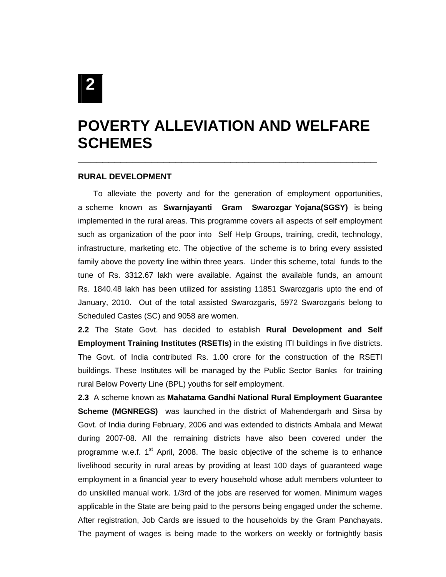# **POVERTY ALLEVIATION AND WELFARE SCHEMES**

**\_\_\_\_\_\_\_\_\_\_\_\_\_\_\_\_\_\_\_\_\_\_\_\_\_\_\_\_\_\_\_\_\_\_\_\_\_\_\_\_\_\_\_\_\_\_\_\_\_** 

#### **RURAL DEVELOPMENT**

 To alleviate the poverty and for the generation of employment opportunities, a scheme known as **Swarnjayanti Gram Swarozgar Yojana(SGSY)** is being implemented in the rural areas. This programme covers all aspects of self employment such as organization of the poor into Self Help Groups, training, credit, technology, infrastructure, marketing etc. The objective of the scheme is to bring every assisted family above the poverty line within three years. Under this scheme, total funds to the tune of Rs. 3312.67 lakh were available. Against the available funds, an amount Rs. 1840.48 lakh has been utilized for assisting 11851 Swarozgaris upto the end of January, 2010. Out of the total assisted Swarozgaris, 5972 Swarozgaris belong to Scheduled Castes (SC) and 9058 are women.

**2.2** The State Govt. has decided to establish **Rural Development and Self Employment Training Institutes (RSETIs)** in the existing ITI buildings in five districts. The Govt. of India contributed Rs. 1.00 crore for the construction of the RSETI buildings. These Institutes will be managed by the Public Sector Banks for training rural Below Poverty Line (BPL) youths for self employment.

**2.3** A scheme known as **Mahatama Gandhi National Rural Employment Guarantee Scheme (MGNREGS)** was launched in the district of Mahendergarh and Sirsa by Govt. of India during February, 2006 and was extended to districts Ambala and Mewat during 2007-08. All the remaining districts have also been covered under the programme w.e.f.  $1^{st}$  April, 2008. The basic objective of the scheme is to enhance livelihood security in rural areas by providing at least 100 days of guaranteed wage employment in a financial year to every household whose adult members volunteer to do unskilled manual work. 1/3rd of the jobs are reserved for women. Minimum wages applicable in the State are being paid to the persons being engaged under the scheme. After registration, Job Cards are issued to the households by the Gram Panchayats. The payment of wages is being made to the workers on weekly or fortnightly basis

**2**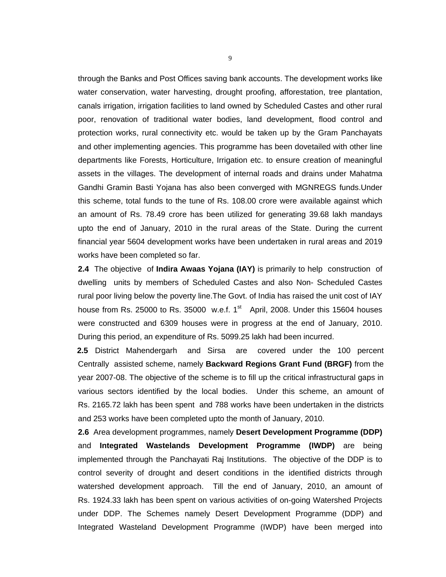through the Banks and Post Offices saving bank accounts. The development works like water conservation, water harvesting, drought proofing, afforestation, tree plantation, canals irrigation, irrigation facilities to land owned by Scheduled Castes and other rural poor, renovation of traditional water bodies, land development, flood control and protection works, rural connectivity etc. would be taken up by the Gram Panchayats and other implementing agencies. This programme has been dovetailed with other line departments like Forests, Horticulture, Irrigation etc. to ensure creation of meaningful assets in the villages. The development of internal roads and drains under Mahatma Gandhi Gramin Basti Yojana has also been converged with MGNREGS funds.Under this scheme, total funds to the tune of Rs. 108.00 crore were available against which an amount of Rs. 78.49 crore has been utilized for generating 39.68 lakh mandays upto the end of January, 2010 in the rural areas of the State. During the current financial year 5604 development works have been undertaken in rural areas and 2019 works have been completed so far.

**2.4** The objective of **Indira Awaas Yojana (IAY)** is primarily to help construction of dwelling units by members of Scheduled Castes and also Non- Scheduled Castes rural poor living below the poverty line.The Govt. of India has raised the unit cost of IAY house from Rs. 25000 to Rs. 35000 w.e.f.  $1<sup>st</sup>$  April, 2008. Under this 15604 houses were constructed and 6309 houses were in progress at the end of January, 2010. During this period, an expenditure of Rs. 5099.25 lakh had been incurred.

 **2.5** District Mahendergarh and Sirsa are covered under the 100 percent Centrally assisted scheme, namely **Backward Regions Grant Fund (BRGF)** from the year 2007-08. The objective of the scheme is to fill up the critical infrastructural gaps in various sectors identified by the local bodies. Under this scheme, an amount of Rs. 2165.72 lakh has been spent and 788 works have been undertaken in the districts and 253 works have been completed upto the month of January, 2010.

**2.6** Area development programmes, namely **Desert Development Programme (DDP)**  and **Integrated Wastelands Development Programme (IWDP)** are being implemented through the Panchayati Raj Institutions. The objective of the DDP is to control severity of drought and desert conditions in the identified districts through watershed development approach. Till the end of January, 2010, an amount of Rs. 1924.33 lakh has been spent on various activities of on-going Watershed Projects under DDP. The Schemes namely Desert Development Programme (DDP) and Integrated Wasteland Development Programme (IWDP) have been merged into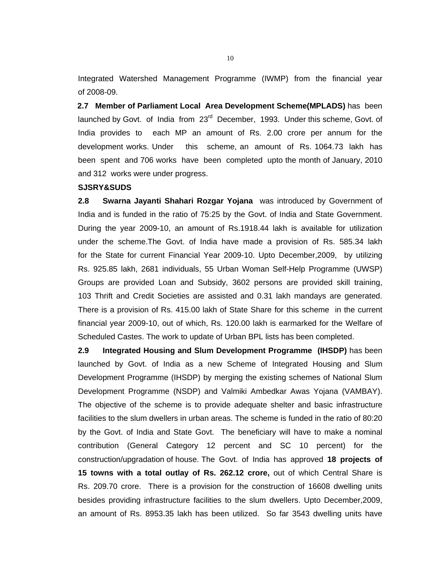Integrated Watershed Management Programme (IWMP) from the financial year of 2008-09.

 **2.7 Member of Parliament Local Area Development Scheme(MPLADS)** has been launched by Govt. of India from 23<sup>rd</sup> December, 1993. Under this scheme, Govt. of India provides to each MP an amount of Rs. 2.00 crore per annum for the development works. Under this scheme, an amount of Rs. 1064.73 lakh has been spent and 706 works have been completed upto the month of January, 2010 and 312 works were under progress.

#### **SJSRY&SUDS**

**2.8 Swarna Jayanti Shahari Rozgar Yojana** was introduced by Government of India and is funded in the ratio of 75:25 by the Govt. of India and State Government. During the year 2009-10, an amount of Rs.1918.44 lakh is available for utilization under the scheme.The Govt. of India have made a provision of Rs. 585.34 lakh for the State for current Financial Year 2009-10. Upto December,2009, by utilizing Rs. 925.85 lakh, 2681 individuals, 55 Urban Woman Self-Help Programme (UWSP) Groups are provided Loan and Subsidy, 3602 persons are provided skill training, 103 Thrift and Credit Societies are assisted and 0.31 lakh mandays are generated. There is a provision of Rs. 415.00 lakh of State Share for this scheme in the current financial year 2009-10, out of which, Rs. 120.00 lakh is earmarked for the Welfare of Scheduled Castes. The work to update of Urban BPL lists has been completed.

**2.9 Integrated Housing and Slum Development Programme (IHSDP)** has been launched by Govt. of India as a new Scheme of Integrated Housing and Slum Development Programme (IHSDP) by merging the existing schemes of National Slum Development Programme (NSDP) and Valmiki Ambedkar Awas Yojana (VAMBAY). The objective of the scheme is to provide adequate shelter and basic infrastructure facilities to the slum dwellers in urban areas. The scheme is funded in the ratio of 80:20 by the Govt. of India and State Govt. The beneficiary will have to make a nominal contribution (General Category 12 percent and SC 10 percent) for the construction/upgradation of house. The Govt. of India has approved **18 projects of 15 towns with a total outlay of Rs. 262.12 crore,** out of which Central Share is Rs. 209.70 crore. There is a provision for the construction of 16608 dwelling units besides providing infrastructure facilities to the slum dwellers. Upto December,2009, an amount of Rs. 8953.35 lakh has been utilized. So far 3543 dwelling units have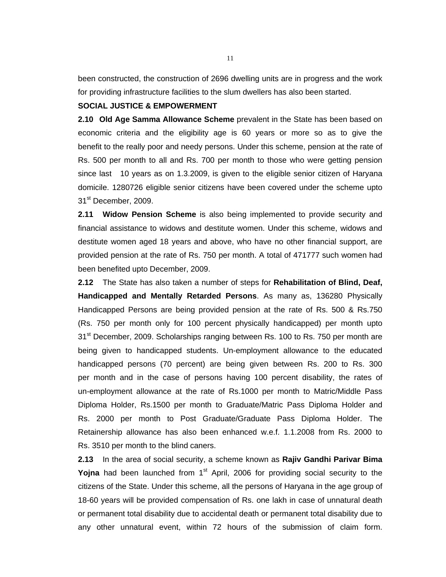been constructed, the construction of 2696 dwelling units are in progress and the work for providing infrastructure facilities to the slum dwellers has also been started.

#### **SOCIAL JUSTICE & EMPOWERMENT**

**2.10 Old Age Samma Allowance Scheme** prevalent in the State has been based on economic criteria and the eligibility age is 60 years or more so as to give the benefit to the really poor and needy persons. Under this scheme, pension at the rate of Rs. 500 per month to all and Rs. 700 per month to those who were getting pension since last 10 years as on 1.3.2009, is given to the eligible senior citizen of Haryana domicile. 1280726 eligible senior citizens have been covered under the scheme upto 31<sup>st</sup> December, 2009.

**2.11 Widow Pension Scheme** is also being implemented to provide security and financial assistance to widows and destitute women. Under this scheme, widows and destitute women aged 18 years and above, who have no other financial support, are provided pension at the rate of Rs. 750 per month. A total of 471777 such women had been benefited upto December, 2009.

**2.12** The State has also taken a number of steps for **Rehabilitation of Blind, Deaf, Handicapped and Mentally Retarded Persons**. As many as, 136280 Physically Handicapped Persons are being provided pension at the rate of Rs. 500 & Rs.750 (Rs. 750 per month only for 100 percent physically handicapped) per month upto 31<sup>st</sup> December, 2009. Scholarships ranging between Rs. 100 to Rs. 750 per month are being given to handicapped students. Un-employment allowance to the educated handicapped persons (70 percent) are being given between Rs. 200 to Rs. 300 per month and in the case of persons having 100 percent disability, the rates of un-employment allowance at the rate of Rs.1000 per month to Matric/Middle Pass Diploma Holder, Rs.1500 per month to Graduate/Matric Pass Diploma Holder and Rs. 2000 per month to Post Graduate/Graduate Pass Diploma Holder. The Retainership allowance has also been enhanced w.e.f. 1.1.2008 from Rs. 2000 to Rs. 3510 per month to the blind caners.

**2.13** In the area of social security, a scheme known as **Rajiv Gandhi Parivar Bima Yojna** had been launched from 1<sup>st</sup> April, 2006 for providing social security to the citizens of the State. Under this scheme, all the persons of Haryana in the age group of 18-60 years will be provided compensation of Rs. one lakh in case of unnatural death or permanent total disability due to accidental death or permanent total disability due to any other unnatural event, within 72 hours of the submission of claim form.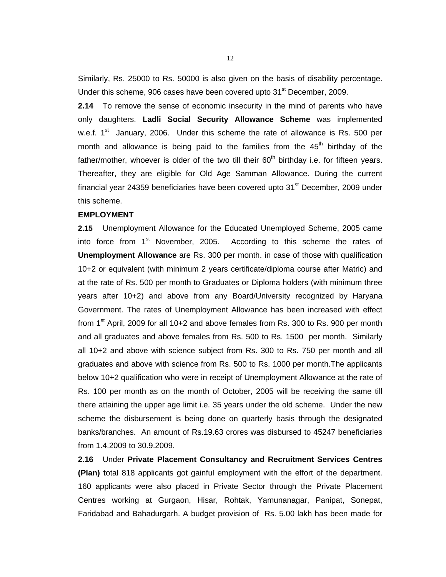Similarly, Rs. 25000 to Rs. 50000 is also given on the basis of disability percentage. Under this scheme, 906 cases have been covered upto 31<sup>st</sup> December, 2009.

**2.14** To remove the sense of economic insecurity in the mind of parents who have only daughters. **Ladli Social Security Allowance Scheme** was implemented w.e.f.  $1^{\text{st}}$  January, 2006. Under this scheme the rate of allowance is Rs. 500 per month and allowance is being paid to the families from the  $45<sup>th</sup>$  birthday of the father/mother, whoever is older of the two till their  $60<sup>th</sup>$  birthday i.e. for fifteen years. Thereafter, they are eligible for Old Age Samman Allowance. During the current financial year 24359 beneficiaries have been covered upto  $31<sup>st</sup>$  December, 2009 under this scheme.

#### **EMPLOYMENT**

**2.15** Unemployment Allowance for the Educated Unemployed Scheme, 2005 came into force from 1<sup>st</sup> November, 2005. According to this scheme the rates of **Unemployment Allowance** are Rs. 300 per month. in case of those with qualification 10+2 or equivalent (with minimum 2 years certificate/diploma course after Matric) and at the rate of Rs. 500 per month to Graduates or Diploma holders (with minimum three years after 10+2) and above from any Board/University recognized by Haryana Government. The rates of Unemployment Allowance has been increased with effect from  $1<sup>st</sup>$  April, 2009 for all 10+2 and above females from Rs. 300 to Rs. 900 per month and all graduates and above females from Rs. 500 to Rs. 1500 per month. Similarly all 10+2 and above with science subject from Rs. 300 to Rs. 750 per month and all graduates and above with science from Rs. 500 to Rs. 1000 per month.The applicants below 10+2 qualification who were in receipt of Unemployment Allowance at the rate of Rs. 100 per month as on the month of October, 2005 will be receiving the same till there attaining the upper age limit i.e. 35 years under the old scheme. Under the new scheme the disbursement is being done on quarterly basis through the designated banks/branches. An amount of Rs.19.63 crores was disbursed to 45247 beneficiaries from 1.4.2009 to 30.9.2009.

**2.16** Under **Private Placement Consultancy and Recruitment Services Centres (Plan) t**otal 818 applicants got gainful employment with the effort of the department. 160 applicants were also placed in Private Sector through the Private Placement Centres working at Gurgaon, Hisar, Rohtak, Yamunanagar, Panipat, Sonepat, Faridabad and Bahadurgarh. A budget provision of Rs. 5.00 lakh has been made for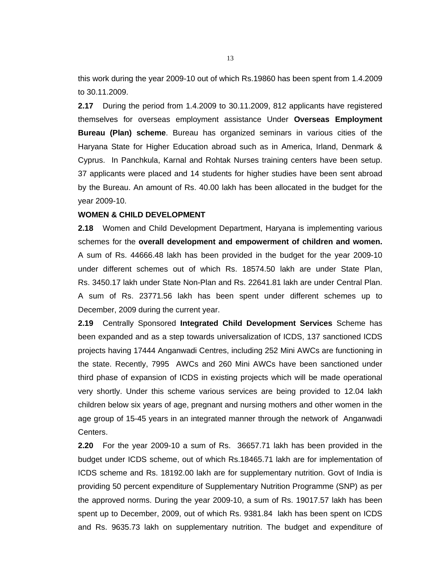this work during the year 2009-10 out of which Rs.19860 has been spent from 1.4.2009 to 30.11.2009.

**2.17** During the period from 1.4.2009 to 30.11.2009, 812 applicants have registered themselves for overseas employment assistance Under **Overseas Employment Bureau (Plan) scheme**. Bureau has organized seminars in various cities of the Haryana State for Higher Education abroad such as in America, Irland, Denmark & Cyprus. In Panchkula, Karnal and Rohtak Nurses training centers have been setup. 37 applicants were placed and 14 students for higher studies have been sent abroad by the Bureau. An amount of Rs. 40.00 lakh has been allocated in the budget for the year 2009-10.

#### **WOMEN & CHILD DEVELOPMENT**

**2.18** Women and Child Development Department, Haryana is implementing various schemes for the **overall development and empowerment of children and women.** A sum of Rs. 44666.48 lakh has been provided in the budget for the year 2009-10 under different schemes out of which Rs. 18574.50 lakh are under State Plan, Rs. 3450.17 lakh under State Non-Plan and Rs. 22641.81 lakh are under Central Plan. A sum of Rs. 23771.56 lakh has been spent under different schemes up to December, 2009 during the current year.

**2.19** Centrally Sponsored **Integrated Child Development Services** Scheme has been expanded and as a step towards universalization of ICDS, 137 sanctioned ICDS projects having 17444 Anganwadi Centres, including 252 Mini AWCs are functioning in the state. Recently, 7995 AWCs and 260 Mini AWCs have been sanctioned under third phase of expansion of ICDS in existing projects which will be made operational very shortly. Under this scheme various services are being provided to 12.04 lakh children below six years of age, pregnant and nursing mothers and other women in the age group of 15-45 years in an integrated manner through the network of Anganwadi Centers.

**2.20** For the year 2009-10 a sum of Rs. 36657.71 lakh has been provided in the budget under ICDS scheme, out of which Rs.18465.71 lakh are for implementation of ICDS scheme and Rs. 18192.00 lakh are for supplementary nutrition. Govt of India is providing 50 percent expenditure of Supplementary Nutrition Programme (SNP) as per the approved norms. During the year 2009-10, a sum of Rs. 19017.57 lakh has been spent up to December, 2009, out of which Rs. 9381.84 lakh has been spent on ICDS and Rs. 9635.73 lakh on supplementary nutrition. The budget and expenditure of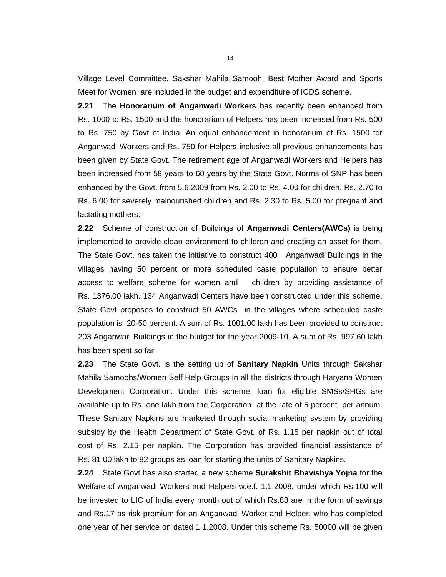Village Level Committee, Sakshar Mahila Samooh, Best Mother Award and Sports Meet for Women are included in the budget and expenditure of ICDS scheme.

**2.21** The **Honorarium of Anganwadi Workers** has recently been enhanced from Rs. 1000 to Rs. 1500 and the honorarium of Helpers has been increased from Rs. 500 to Rs. 750 by Govt of India. An equal enhancement in honorarium of Rs. 1500 for Anganwadi Workers and Rs. 750 for Helpers inclusive all previous enhancements has been given by State Govt. The retirement age of Anganwadi Workers and Helpers has been increased from 58 years to 60 years by the State Govt. Norms of SNP has been enhanced by the Govt. from 5.6.2009 from Rs. 2.00 to Rs. 4.00 for children, Rs. 2.70 to Rs. 6.00 for severely malnourished children and Rs. 2.30 to Rs. 5.00 for pregnant and lactating mothers.

**2.22** Scheme of construction of Buildings of **Anganwadi Centers(AWCs)** is being implemented to provide clean environment to children and creating an asset for them. The State Govt. has taken the initiative to construct 400 Anganwadi Buildings in the villages having 50 percent or more scheduled caste population to ensure better access to welfare scheme for women and children by providing assistance of Rs. 1376.00 lakh. 134 Anganwadi Centers have been constructed under this scheme. State Govt proposes to construct 50 AWCs in the villages where scheduled caste population is 20-50 percent. A sum of Rs. 1001.00 lakh has been provided to construct 203 Anganwari Buildings in the budget for the year 2009-10. A sum of Rs. 997.60 lakh has been spent so far.

**2.23** The State Govt. is the setting up of **Sanitary Napkin** Units through Sakshar Mahila Samoohs/Women Self Help Groups in all the districts through Haryana Women Development Corporation. Under this scheme, loan for eligible SMSs/SHGs are available up to Rs. one lakh from the Corporation at the rate of 5 percent per annum. These Sanitary Napkins are marketed through social marketing system by providing subsidy by the Health Department of State Govt. of Rs. 1.15 per napkin out of total cost of Rs. 2.15 per napkin. The Corporation has provided financial assistance of Rs. 81.00 lakh to 82 groups as loan for starting the units of Sanitary Napkins.

**2.24** State Govt has also started a new scheme **Surakshit Bhavishya Yojna** for the Welfare of Anganwadi Workers and Helpers w.e.f. 1.1.2008, under which Rs.100 will be invested to LIC of India every month out of which Rs.83 are in the form of savings and Rs.17 as risk premium for an Anganwadi Worker and Helper, who has completed one year of her service on dated 1.1.2008. Under this scheme Rs. 50000 will be given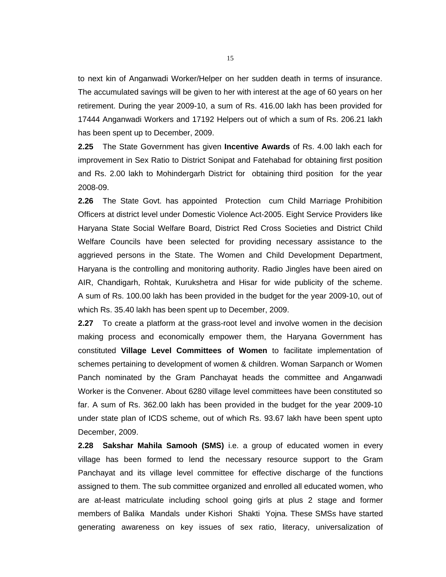to next kin of Anganwadi Worker/Helper on her sudden death in terms of insurance. The accumulated savings will be given to her with interest at the age of 60 years on her retirement. During the year 2009-10, a sum of Rs. 416.00 lakh has been provided for 17444 Anganwadi Workers and 17192 Helpers out of which a sum of Rs. 206.21 lakh has been spent up to December, 2009.

**2.25** The State Government has given **Incentive Awards** of Rs. 4.00 lakh each for improvement in Sex Ratio to District Sonipat and Fatehabad for obtaining first position and Rs. 2.00 lakh to Mohindergarh District for obtaining third position for the year 2008-09.

**2.26** The State Govt. has appointed Protection cum Child Marriage Prohibition Officers at district level under Domestic Violence Act-2005. Eight Service Providers like Haryana State Social Welfare Board, District Red Cross Societies and District Child Welfare Councils have been selected for providing necessary assistance to the aggrieved persons in the State. The Women and Child Development Department, Haryana is the controlling and monitoring authority. Radio Jingles have been aired on AIR, Chandigarh, Rohtak, Kurukshetra and Hisar for wide publicity of the scheme. A sum of Rs. 100.00 lakh has been provided in the budget for the year 2009-10, out of which Rs. 35.40 lakh has been spent up to December, 2009.

**2.27** To create a platform at the grass-root level and involve women in the decision making process and economically empower them, the Haryana Government has constituted **Village Level Committees of Women** to facilitate implementation of schemes pertaining to development of women & children. Woman Sarpanch or Women Panch nominated by the Gram Panchayat heads the committee and Anganwadi Worker is the Convener. About 6280 village level committees have been constituted so far. A sum of Rs. 362.00 lakh has been provided in the budget for the year 2009-10 under state plan of ICDS scheme, out of which Rs. 93.67 lakh have been spent upto December, 2009.

**2.28 Sakshar Mahila Samooh (SMS)** i.e. a group of educated women in every village has been formed to lend the necessary resource support to the Gram Panchayat and its village level committee for effective discharge of the functions assigned to them. The sub committee organized and enrolled all educated women, who are at-least matriculate including school going girls at plus 2 stage and former members of Balika Mandals under Kishori Shakti Yojna. These SMSs have started generating awareness on key issues of sex ratio, literacy, universalization of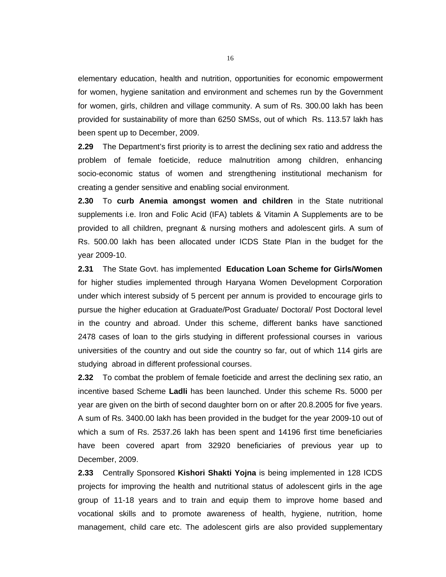elementary education, health and nutrition, opportunities for economic empowerment for women, hygiene sanitation and environment and schemes run by the Government for women, girls, children and village community. A sum of Rs. 300.00 lakh has been provided for sustainability of more than 6250 SMSs, out of which Rs. 113.57 lakh has been spent up to December, 2009.

**2.29** The Department's first priority is to arrest the declining sex ratio and address the problem of female foeticide, reduce malnutrition among children, enhancing socio-economic status of women and strengthening institutional mechanism for creating a gender sensitive and enabling social environment.

**2.30** To **curb Anemia amongst women and children** in the State nutritional supplements i.e. Iron and Folic Acid (IFA) tablets & Vitamin A Supplements are to be provided to all children, pregnant & nursing mothers and adolescent girls. A sum of Rs. 500.00 lakh has been allocated under ICDS State Plan in the budget for the year 2009-10.

**2.31** The State Govt. has implemented **Education Loan Scheme for Girls/Women** for higher studies implemented through Haryana Women Development Corporation under which interest subsidy of 5 percent per annum is provided to encourage girls to pursue the higher education at Graduate/Post Graduate/ Doctoral/ Post Doctoral level in the country and abroad. Under this scheme, different banks have sanctioned 2478 cases of loan to the girls studying in different professional courses in various universities of the country and out side the country so far, out of which 114 girls are studying abroad in different professional courses.

**2.32** To combat the problem of female foeticide and arrest the declining sex ratio, an incentive based Scheme **Ladli** has been launched. Under this scheme Rs. 5000 per year are given on the birth of second daughter born on or after 20.8.2005 for five years. A sum of Rs. 3400.00 lakh has been provided in the budget for the year 2009-10 out of which a sum of Rs. 2537.26 lakh has been spent and 14196 first time beneficiaries have been covered apart from 32920 beneficiaries of previous year up to December, 2009.

**2.33** Centrally Sponsored **Kishori Shakti Yojna** is being implemented in 128 ICDS projects for improving the health and nutritional status of adolescent girls in the age group of 11-18 years and to train and equip them to improve home based and vocational skills and to promote awareness of health, hygiene, nutrition, home management, child care etc. The adolescent girls are also provided supplementary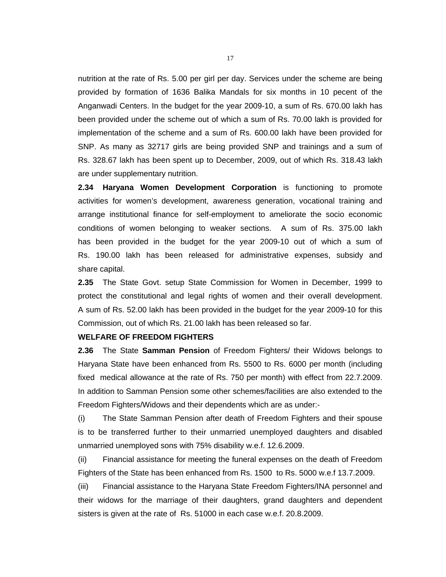nutrition at the rate of Rs. 5.00 per girl per day. Services under the scheme are being provided by formation of 1636 Balika Mandals for six months in 10 pecent of the Anganwadi Centers. In the budget for the year 2009-10, a sum of Rs. 670.00 lakh has been provided under the scheme out of which a sum of Rs. 70.00 lakh is provided for implementation of the scheme and a sum of Rs. 600.00 lakh have been provided for SNP. As many as 32717 girls are being provided SNP and trainings and a sum of Rs. 328.67 lakh has been spent up to December, 2009, out of which Rs. 318.43 lakh are under supplementary nutrition.

**2.34 Haryana Women Development Corporation** is functioning to promote activities for women's development, awareness generation, vocational training and arrange institutional finance for self-employment to ameliorate the socio economic conditions of women belonging to weaker sections. A sum of Rs. 375.00 lakh has been provided in the budget for the year 2009-10 out of which a sum of Rs. 190.00 lakh has been released for administrative expenses, subsidy and share capital.

**2.35** The State Govt. setup State Commission for Women in December, 1999 to protect the constitutional and legal rights of women and their overall development. A sum of Rs. 52.00 lakh has been provided in the budget for the year 2009-10 for this Commission, out of which Rs. 21.00 lakh has been released so far.

#### **WELFARE OF FREEDOM FIGHTERS**

**2.36** The State **Samman Pension** of Freedom Fighters/ their Widows belongs to Haryana State have been enhanced from Rs. 5500 to Rs. 6000 per month (including fixed medical allowance at the rate of Rs. 750 per month) with effect from 22.7.2009. In addition to Samman Pension some other schemes/facilities are also extended to the Freedom Fighters/Widows and their dependents which are as under:-

(i) The State Samman Pension after death of Freedom Fighters and their spouse is to be transferred further to their unmarried unemployed daughters and disabled unmarried unemployed sons with 75% disability w.e.f. 12.6.2009.

(ii) Financial assistance for meeting the funeral expenses on the death of Freedom Fighters of the State has been enhanced from Rs. 1500 to Rs. 5000 w.e.f 13.7.2009.

(iii) Financial assistance to the Haryana State Freedom Fighters/INA personnel and their widows for the marriage of their daughters, grand daughters and dependent sisters is given at the rate of Rs. 51000 in each case w.e.f. 20.8.2009.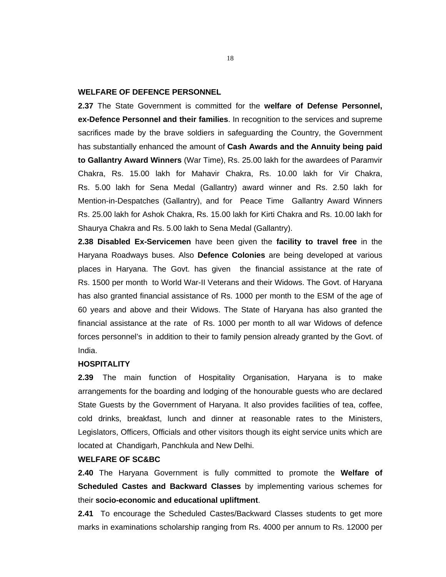#### **WELFARE OF DEFENCE PERSONNEL**

**2.37** The State Government is committed for the **welfare of Defense Personnel, ex-Defence Personnel and their families**. In recognition to the services and supreme sacrifices made by the brave soldiers in safeguarding the Country, the Government has substantially enhanced the amount of **Cash Awards and the Annuity being paid to Gallantry Award Winners** (War Time), Rs. 25.00 lakh for the awardees of Paramvir Chakra, Rs. 15.00 lakh for Mahavir Chakra, Rs. 10.00 lakh for Vir Chakra, Rs. 5.00 lakh for Sena Medal (Gallantry) award winner and Rs. 2.50 lakh for Mention-in-Despatches (Gallantry), and for Peace Time Gallantry Award Winners Rs. 25.00 lakh for Ashok Chakra, Rs. 15.00 lakh for Kirti Chakra and Rs. 10.00 lakh for Shaurya Chakra and Rs. 5.00 lakh to Sena Medal (Gallantry).

**2.38 Disabled Ex-Servicemen** have been given the **facility to travel free** in the Haryana Roadways buses. Also **Defence Colonies** are being developed at various places in Haryana. The Govt. has given the financial assistance at the rate of Rs. 1500 per month to World War-II Veterans and their Widows. The Govt. of Haryana has also granted financial assistance of Rs. 1000 per month to the ESM of the age of 60 years and above and their Widows. The State of Haryana has also granted the financial assistance at the rate of Rs. 1000 per month to all war Widows of defence forces personnel's in addition to their to family pension already granted by the Govt. of India.

#### **HOSPITALITY**

**2.39** The main function of Hospitality Organisation, Haryana is to make arrangements for the boarding and lodging of the honourable guests who are declared State Guests by the Government of Haryana. It also provides facilities of tea, coffee, cold drinks, breakfast, lunch and dinner at reasonable rates to the Ministers, Legislators, Officers, Officials and other visitors though its eight service units which are located at Chandigarh, Panchkula and New Delhi.

#### **WELFARE OF SC&BC**

**2.40** The Haryana Government is fully committed to promote the **Welfare of Scheduled Castes and Backward Classes** by implementing various schemes for their **socio-economic and educational upliftment**.

**2.41** To encourage the Scheduled Castes/Backward Classes students to get more marks in examinations scholarship ranging from Rs. 4000 per annum to Rs. 12000 per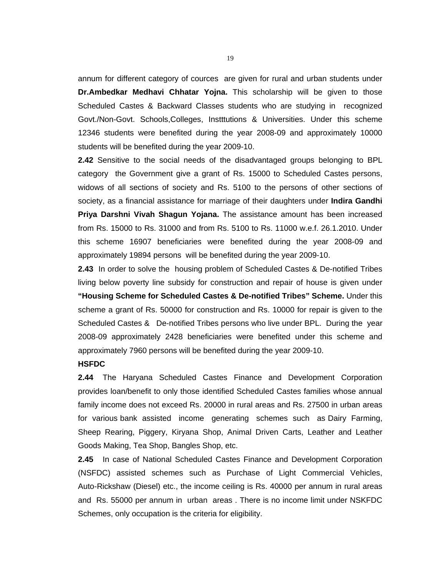annum for different category of cources are given for rural and urban students under **Dr.Ambedkar Medhavi Chhatar Yojna.** This scholarship will be given to those Scheduled Castes & Backward Classes students who are studying in recognized Govt./Non-Govt. Schools,Colleges, Instttutions & Universities. Under this scheme 12346 students were benefited during the year 2008-09 and approximately 10000 students will be benefited during the year 2009-10.

**2.42** Sensitive to the social needs of the disadvantaged groups belonging to BPL category the Government give a grant of Rs. 15000 to Scheduled Castes persons, widows of all sections of society and Rs. 5100 to the persons of other sections of society, as a financial assistance for marriage of their daughters under **Indira Gandhi Priya Darshni Vivah Shagun Yojana.** The assistance amount has been increased from Rs. 15000 to Rs. 31000 and from Rs. 5100 to Rs. 11000 w.e.f. 26.1.2010. Under this scheme 16907 beneficiaries were benefited during the year 2008-09 and approximately 19894 persons will be benefited during the year 2009-10.

**2.43** In order to solve the housing problem of Scheduled Castes & De-notified Tribes living below poverty line subsidy for construction and repair of house is given under **"Housing Scheme for Scheduled Castes & De-notified Tribes" Scheme.** Under this scheme a grant of Rs. 50000 for construction and Rs. 10000 for repair is given to the Scheduled Castes & De-notified Tribes persons who live under BPL. During the year 2008-09 approximately 2428 beneficiaries were benefited under this scheme and approximately 7960 persons will be benefited during the year 2009-10.

#### **HSFDC**

**2.44** The Haryana Scheduled Castes Finance and Development Corporation provides loan/benefit to only those identified Scheduled Castes families whose annual family income does not exceed Rs. 20000 in rural areas and Rs. 27500 in urban areas for various bank assisted income generating schemes such as Dairy Farming, Sheep Rearing, Piggery, Kiryana Shop, Animal Driven Carts, Leather and Leather Goods Making, Tea Shop, Bangles Shop, etc.

**2.45** In case of National Scheduled Castes Finance and Development Corporation (NSFDC) assisted schemes such as Purchase of Light Commercial Vehicles, Auto-Rickshaw (Diesel) etc., the income ceiling is Rs. 40000 per annum in rural areas and Rs. 55000 per annum in urban areas . There is no income limit under NSKFDC Schemes, only occupation is the criteria for eligibility.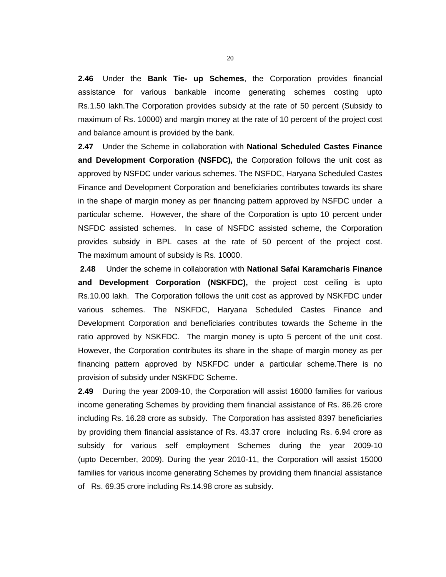**2.46** Under the **Bank Tie- up Schemes**, the Corporation provides financial assistance for various bankable income generating schemes costing upto Rs.1.50 lakh.The Corporation provides subsidy at the rate of 50 percent (Subsidy to maximum of Rs. 10000) and margin money at the rate of 10 percent of the project cost and balance amount is provided by the bank.

**2.47** Under the Scheme in collaboration with **National Scheduled Castes Finance and Development Corporation (NSFDC),** the Corporation follows the unit cost as approved by NSFDC under various schemes. The NSFDC, Haryana Scheduled Castes Finance and Development Corporation and beneficiaries contributes towards its share in the shape of margin money as per financing pattern approved by NSFDC under a particular scheme. However, the share of the Corporation is upto 10 percent under NSFDC assisted schemes. In case of NSFDC assisted scheme, the Corporation provides subsidy in BPL cases at the rate of 50 percent of the project cost. The maximum amount of subsidy is Rs. 10000.

**2.48** Under the scheme in collaboration with **National Safai Karamcharis Finance and Development Corporation (NSKFDC),** the project cost ceiling is upto Rs.10.00 lakh. The Corporation follows the unit cost as approved by NSKFDC under various schemes. The NSKFDC, Haryana Scheduled Castes Finance and Development Corporation and beneficiaries contributes towards the Scheme in the ratio approved by NSKFDC. The margin money is upto 5 percent of the unit cost. However, the Corporation contributes its share in the shape of margin money as per financing pattern approved by NSKFDC under a particular scheme.There is no provision of subsidy under NSKFDC Scheme.

**2.49** During the year 2009-10, the Corporation will assist 16000 families for various income generating Schemes by providing them financial assistance of Rs. 86.26 crore including Rs. 16.28 crore as subsidy. The Corporation has assisted 8397 beneficiaries by providing them financial assistance of Rs. 43.37 crore including Rs. 6.94 crore as subsidy for various self employment Schemes during the year 2009-10 (upto December, 2009). During the year 2010-11, the Corporation will assist 15000 families for various income generating Schemes by providing them financial assistance of Rs. 69.35 crore including Rs.14.98 crore as subsidy.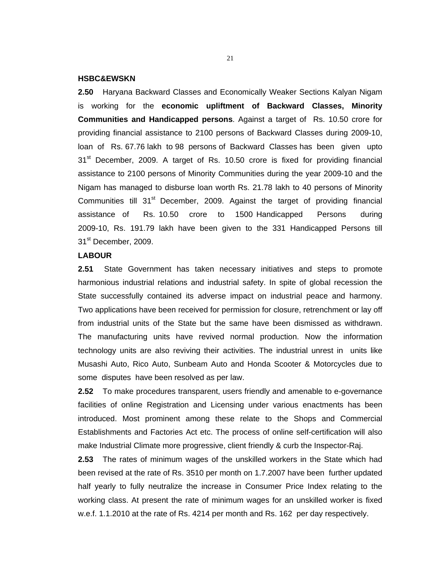#### **HSBC&EWSKN**

**2.50** Haryana Backward Classes and Economically Weaker Sections Kalyan Nigam is working for the **economic upliftment of Backward Classes, Minority Communities and Handicapped persons**. Against a target of Rs. 10.50 crore for providing financial assistance to 2100 persons of Backward Classes during 2009-10, loan of Rs. 67.76 lakh to 98 persons of Backward Classes has been given upto 31<sup>st</sup> December, 2009. A target of Rs. 10.50 crore is fixed for providing financial assistance to 2100 persons of Minority Communities during the year 2009-10 and the Nigam has managed to disburse loan worth Rs. 21.78 lakh to 40 persons of Minority Communities till 31<sup>st</sup> December, 2009. Against the target of providing financial assistance of Rs. 10.50 crore to 1500 Handicapped Persons during 2009-10, Rs. 191.79 lakh have been given to the 331 Handicapped Persons till 31<sup>st</sup> December, 2009.

#### **LABOUR**

**2.51** State Government has taken necessary initiatives and steps to promote harmonious industrial relations and industrial safety. In spite of global recession the State successfully contained its adverse impact on industrial peace and harmony. Two applications have been received for permission for closure, retrenchment or lay off from industrial units of the State but the same have been dismissed as withdrawn. The manufacturing units have revived normal production. Now the information technology units are also reviving their activities. The industrial unrest in units like Musashi Auto, Rico Auto, Sunbeam Auto and Honda Scooter & Motorcycles due to some disputes have been resolved as per law.

**2.52** To make procedures transparent, users friendly and amenable to e-governance facilities of online Registration and Licensing under various enactments has been introduced. Most prominent among these relate to the Shops and Commercial Establishments and Factories Act etc. The process of online self-certification will also make Industrial Climate more progressive, client friendly & curb the Inspector-Raj.

**2.53** The rates of minimum wages of the unskilled workers in the State which had been revised at the rate of Rs. 3510 per month on 1.7.2007 have been further updated half yearly to fully neutralize the increase in Consumer Price Index relating to the working class. At present the rate of minimum wages for an unskilled worker is fixed w.e.f. 1.1.2010 at the rate of Rs. 4214 per month and Rs. 162 per day respectively.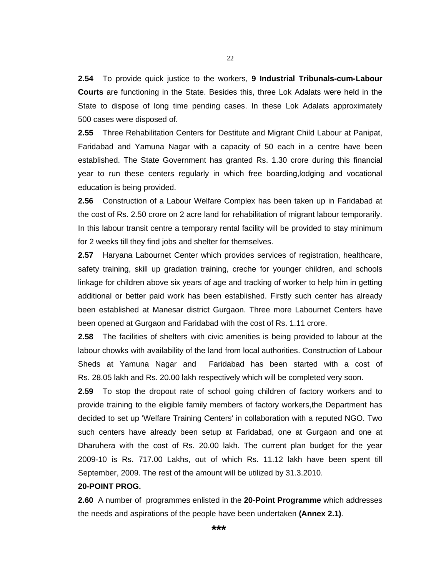**2.54** To provide quick justice to the workers, **9 Industrial Tribunals-cum-Labour Courts** are functioning in the State. Besides this, three Lok Adalats were held in the State to dispose of long time pending cases. In these Lok Adalats approximately 500 cases were disposed of.

**2.55** Three Rehabilitation Centers for Destitute and Migrant Child Labour at Panipat, Faridabad and Yamuna Nagar with a capacity of 50 each in a centre have been established. The State Government has granted Rs. 1.30 crore during this financial year to run these centers regularly in which free boarding,lodging and vocational education is being provided.

**2.56** Construction of a Labour Welfare Complex has been taken up in Faridabad at the cost of Rs. 2.50 crore on 2 acre land for rehabilitation of migrant labour temporarily. In this labour transit centre a temporary rental facility will be provided to stay minimum for 2 weeks till they find jobs and shelter for themselves.

**2.57** Haryana Labournet Center which provides services of registration, healthcare, safety training, skill up gradation training, creche for younger children, and schools linkage for children above six years of age and tracking of worker to help him in getting additional or better paid work has been established. Firstly such center has already been established at Manesar district Gurgaon. Three more Labournet Centers have been opened at Gurgaon and Faridabad with the cost of Rs. 1.11 crore.

**2.58** The facilities of shelters with civic amenities is being provided to labour at the labour chowks with availability of the land from local authorities. Construction of Labour Sheds at Yamuna Nagar and Faridabad has been started with a cost of Rs. 28.05 lakh and Rs. 20.00 lakh respectively which will be completed very soon.

**2.59** To stop the dropout rate of school going children of factory workers and to provide training to the eligible family members of factory workers,the Department has decided to set up 'Welfare Training Centers' in collaboration with a reputed NGO. Two such centers have already been setup at Faridabad, one at Gurgaon and one at Dharuhera with the cost of Rs. 20.00 lakh. The current plan budget for the year 2009-10 is Rs. 717.00 Lakhs, out of which Rs. 11.12 lakh have been spent till September, 2009. The rest of the amount will be utilized by 31.3.2010.

#### **20-POINT PROG.**

**2.60** A number of programmes enlisted in the **20-Point Programme** which addresses the needs and aspirations of the people have been undertaken **(Annex 2.1)**.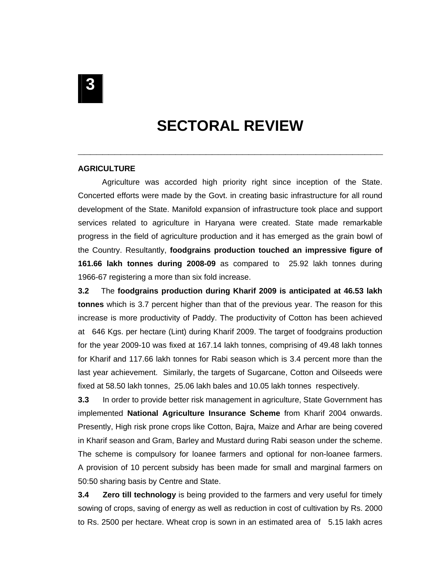# **SECTORAL REVIEW**

**\_\_\_\_\_\_\_\_\_\_\_\_\_\_\_\_\_\_\_\_\_\_\_\_\_\_\_\_\_\_\_\_\_\_\_\_\_\_\_\_\_\_\_\_\_\_\_\_\_\_**

#### **AGRICULTURE**

 Agriculture was accorded high priority right since inception of the State. Concerted efforts were made by the Govt. in creating basic infrastructure for all round development of the State. Manifold expansion of infrastructure took place and support services related to agriculture in Haryana were created. State made remarkable progress in the field of agriculture production and it has emerged as the grain bowl of the Country. Resultantly, **foodgrains production touched an impressive figure of 161.66 lakh tonnes during 2008-09** as compared to 25.92 lakh tonnes during 1966-67 registering a more than six fold increase.

**3.2** The **foodgrains production during Kharif 2009 is anticipated at 46.53 lakh tonnes** which is 3.7 percent higher than that of the previous year. The reason for this increase is more productivity of Paddy. The productivity of Cotton has been achieved at 646 Kgs. per hectare (Lint) during Kharif 2009. The target of foodgrains production for the year 2009-10 was fixed at 167.14 lakh tonnes, comprising of 49.48 lakh tonnes for Kharif and 117.66 lakh tonnes for Rabi season which is 3.4 percent more than the last year achievement. Similarly, the targets of Sugarcane, Cotton and Oilseeds were fixed at 58.50 lakh tonnes, 25.06 lakh bales and 10.05 lakh tonnes respectively.

**3.3** In order to provide better risk management in agriculture, State Government has implemented **National Agriculture Insurance Scheme** from Kharif 2004 onwards. Presently, High risk prone crops like Cotton, Bajra, Maize and Arhar are being covered in Kharif season and Gram, Barley and Mustard during Rabi season under the scheme. The scheme is compulsory for loanee farmers and optional for non-loanee farmers. A provision of 10 percent subsidy has been made for small and marginal farmers on 50:50 sharing basis by Centre and State.

**3.4 Zero till technology** is being provided to the farmers and very useful for timely sowing of crops, saving of energy as well as reduction in cost of cultivation by Rs. 2000 to Rs. 2500 per hectare. Wheat crop is sown in an estimated area of 5.15 lakh acres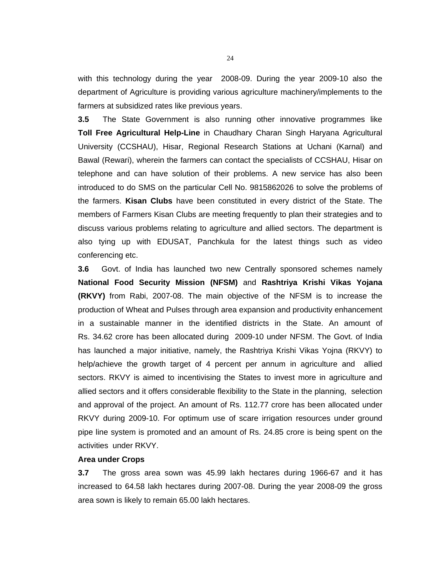with this technology during the year 2008-09. During the year 2009-10 also the department of Agriculture is providing various agriculture machinery/implements to the farmers at subsidized rates like previous years.

**3.5** The State Government is also running other innovative programmes like **Toll Free Agricultural Help-Line** in Chaudhary Charan Singh Haryana Agricultural University (CCSHAU), Hisar, Regional Research Stations at Uchani (Karnal) and Bawal (Rewari), wherein the farmers can contact the specialists of CCSHAU, Hisar on telephone and can have solution of their problems. A new service has also been introduced to do SMS on the particular Cell No. 9815862026 to solve the problems of the farmers. **Kisan Clubs** have been constituted in every district of the State. The members of Farmers Kisan Clubs are meeting frequently to plan their strategies and to discuss various problems relating to agriculture and allied sectors. The department is also tying up with EDUSAT, Panchkula for the latest things such as video conferencing etc.

**3.6** Govt. of India has launched two new Centrally sponsored schemes namely **National Food Security Mission (NFSM)** and **Rashtriya Krishi Vikas Yojana (RKVY)** from Rabi, 2007-08. The main objective of the NFSM is to increase the production of Wheat and Pulses through area expansion and productivity enhancement in a sustainable manner in the identified districts in the State. An amount of Rs. 34.62 crore has been allocated during 2009-10 under NFSM. The Govt. of India has launched a major initiative, namely, the Rashtriya Krishi Vikas Yojna (RKVY) to help/achieve the growth target of 4 percent per annum in agriculture and allied sectors. RKVY is aimed to incentivising the States to invest more in agriculture and allied sectors and it offers considerable flexibility to the State in the planning, selection and approval of the project. An amount of Rs. 112.77 crore has been allocated under RKVY during 2009-10. For optimum use of scare irrigation resources under ground pipe line system is promoted and an amount of Rs. 24.85 crore is being spent on the activities under RKVY.

#### **Area under Crops**

**3.7** The gross area sown was 45.99 lakh hectares during 1966-67 and it has increased to 64.58 lakh hectares during 2007-08. During the year 2008-09 the gross area sown is likely to remain 65.00 lakh hectares.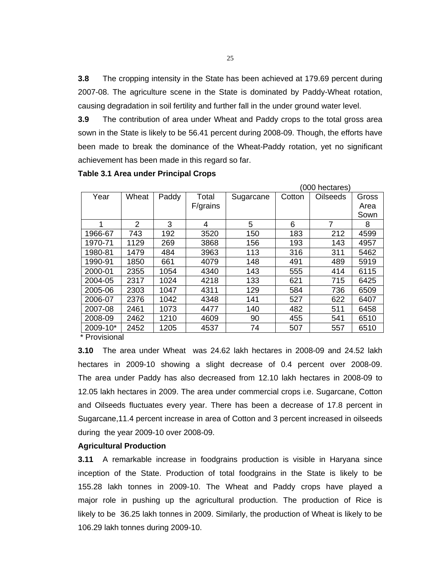**3.8** The cropping intensity in the State has been achieved at 179.69 percent during 2007-08. The agriculture scene in the State is dominated by Paddy-Wheat rotation, causing degradation in soil fertility and further fall in the under ground water level.

**3.9** The contribution of area under Wheat and Paddy crops to the total gross area sown in the State is likely to be 56.41 percent during 2008-09. Though, the efforts have been made to break the dominance of the Wheat-Paddy rotation, yet no significant achievement has been made in this regard so far.

|                 |       |       |          |           |        | (000 hectares) |       |
|-----------------|-------|-------|----------|-----------|--------|----------------|-------|
| Year            | Wheat | Paddy | Total    | Sugarcane | Cotton | Oilseeds       | Gross |
|                 |       |       | F/grains |           |        |                | Area  |
|                 |       |       |          |           |        |                | Sown  |
|                 | 2     | 3     | 4        | 5         | 6      | 7              | 8     |
| 1966-67         | 743   | 192   | 3520     | 150       | 183    | 212            | 4599  |
| 1970-71         | 1129  | 269   | 3868     | 156       | 193    | 143            | 4957  |
| 1980-81         | 1479  | 484   | 3963     | 113       | 316    | 311            | 5462  |
| 1990-91         | 1850  | 661   | 4079     | 148       | 491    | 489            | 5919  |
| 2000-01         | 2355  | 1054  | 4340     | 143       | 555    | 414            | 6115  |
| 2004-05         | 2317  | 1024  | 4218     | 133       | 621    | 715            | 6425  |
| 2005-06         | 2303  | 1047  | 4311     | 129       | 584    | 736            | 6509  |
| 2006-07         | 2376  | 1042  | 4348     | 141       | 527    | 622            | 6407  |
| 2007-08         | 2461  | 1073  | 4477     | 140       | 482    | 511            | 6458  |
| 2008-09         | 2462  | 1210  | 4609     | 90        | 455    | 541            | 6510  |
| 2009-10*        | 2452  | 1205  | 4537     | 74        | 507    | 557            | 6510  |
| $*$ Drovisional |       |       |          |           |        |                |       |

#### **Table 3.1 Area under Principal Crops**

**Provisional** 

**3.10** The area under Wheat was 24.62 lakh hectares in 2008-09 and 24.52 lakh hectares in 2009-10 showing a slight decrease of 0.4 percent over 2008-09. The area under Paddy has also decreased from 12.10 lakh hectares in 2008-09 to 12.05 lakh hectares in 2009. The area under commercial crops i.e. Sugarcane, Cotton and Oilseeds fluctuates every year. There has been a decrease of 17.8 percent in Sugarcane,11.4 percent increase in area of Cotton and 3 percent increased in oilseeds during the year 2009-10 over 2008-09.

#### **Agricultural Production**

**3.11** A remarkable increase in foodgrains production is visible in Haryana since inception of the State. Production of total foodgrains in the State is likely to be 155.28 lakh tonnes in 2009-10. The Wheat and Paddy crops have played a major role in pushing up the agricultural production. The production of Rice is likely to be 36.25 lakh tonnes in 2009. Similarly, the production of Wheat is likely to be 106.29 lakh tonnes during 2009-10.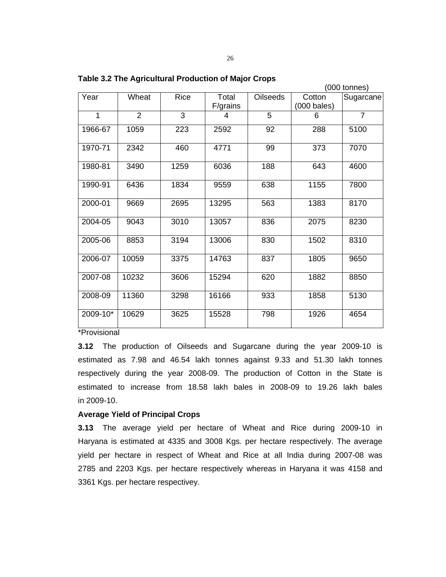|          |       |      |          |                 |                       | 000 tonnes)    |
|----------|-------|------|----------|-----------------|-----------------------|----------------|
| Year     | Wheat | Rice | Total    | <b>Oilseeds</b> | Cotton                | Sugarcane      |
|          |       |      | F/grains |                 | $(000 \text{ bales})$ |                |
| 1        | 2     | 3    | 4        | 5               | 6                     | $\overline{7}$ |
| 1966-67  | 1059  | 223  | 2592     | 92              | 288                   | 5100           |
| 1970-71  | 2342  | 460  | 4771     | 99              | 373                   | 7070           |
| 1980-81  | 3490  | 1259 | 6036     | 188             | 643                   | 4600           |
| 1990-91  | 6436  | 1834 | 9559     | 638             | 1155                  | 7800           |
| 2000-01  | 9669  | 2695 | 13295    | 563             | 1383                  | 8170           |
| 2004-05  | 9043  | 3010 | 13057    | 836             | 2075                  | 8230           |
| 2005-06  | 8853  | 3194 | 13006    | 830             | 1502                  | 8310           |
| 2006-07  | 10059 | 3375 | 14763    | 837             | 1805                  | 9650           |
| 2007-08  | 10232 | 3606 | 15294    | 620             | 1882                  | 8850           |
| 2008-09  | 11360 | 3298 | 16166    | 933             | 1858                  | 5130           |
| 2009-10* | 10629 | 3625 | 15528    | 798             | 1926                  | 4654           |

**Table 3.2 The Agricultural Production of Major Crops** 

\*Provisional

**3.12** The production of Oilseeds and Sugarcane during the year 2009-10 is estimated as 7.98 and 46.54 lakh tonnes against 9.33 and 51.30 lakh tonnes respectively during the year 2008-09. The production of Cotton in the State is estimated to increase from 18.58 lakh bales in 2008-09 to 19.26 lakh bales in 2009-10.

#### **Average Yield of Principal Crops**

**3.13** The average yield per hectare of Wheat and Rice during 2009-10 in Haryana is estimated at 4335 and 3008 Kgs. per hectare respectively. The average yield per hectare in respect of Wheat and Rice at all India during 2007-08 was 2785 and 2203 Kgs. per hectare respectively whereas in Haryana it was 4158 and 3361 Kgs. per hectare respectivey.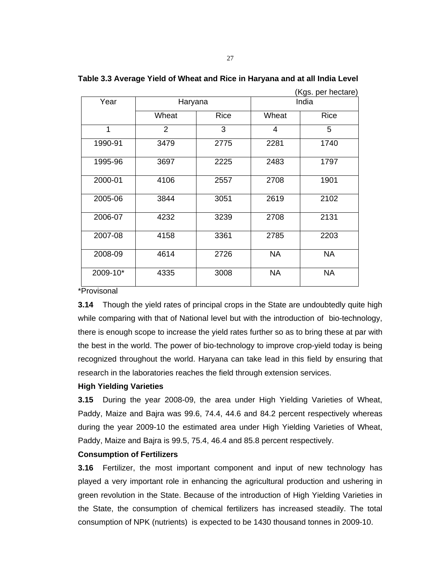|                          |                |             |           | (Kgs. per hectare) |  |
|--------------------------|----------------|-------------|-----------|--------------------|--|
| Year                     | Haryana        |             | India     |                    |  |
|                          | Wheat          | <b>Rice</b> | Wheat     | Rice               |  |
| 1                        | $\overline{2}$ | 3           | 4         | 5                  |  |
| 1990-91                  | 3479           | 2775        | 2281      | 1740               |  |
| 1995-96                  | 3697           | 2225        | 2483      | 1797               |  |
| 2000-01                  | 4106           | 2557        | 2708      | 1901               |  |
| 2005-06                  | 3844           | 3051        | 2619      | 2102               |  |
| 2006-07                  | 4232           | 3239        | 2708      | 2131               |  |
| 2007-08                  | 4158           | 3361        | 2785      | 2203               |  |
| 2008-09                  | 4614           | 2726        | <b>NA</b> | <b>NA</b>          |  |
| 2009-10*<br>$\mathbf{r}$ | 4335           | 3008        | <b>NA</b> | <b>NA</b>          |  |

**Table 3.3 Average Yield of Wheat and Rice in Haryana and at all India Level** 

\*Provisonal

**3.14** Though the yield rates of principal crops in the State are undoubtedly quite high while comparing with that of National level but with the introduction of bio-technology, there is enough scope to increase the yield rates further so as to bring these at par with the best in the world. The power of bio-technology to improve crop-yield today is being recognized throughout the world. Haryana can take lead in this field by ensuring that research in the laboratories reaches the field through extension services.

#### **High Yielding Varieties**

**3.15** During the year 2008-09, the area under High Yielding Varieties of Wheat, Paddy, Maize and Bajra was 99.6, 74.4, 44.6 and 84.2 percent respectively whereas during the year 2009-10 the estimated area under High Yielding Varieties of Wheat, Paddy, Maize and Bajra is 99.5, 75.4, 46.4 and 85.8 percent respectively.

#### **Consumption of Fertilizers**

**3.16** Fertilizer, the most important component and input of new technology has played a very important role in enhancing the agricultural production and ushering in green revolution in the State. Because of the introduction of High Yielding Varieties in the State, the consumption of chemical fertilizers has increased steadily. The total consumption of NPK (nutrients) is expected to be 1430 thousand tonnes in 2009-10.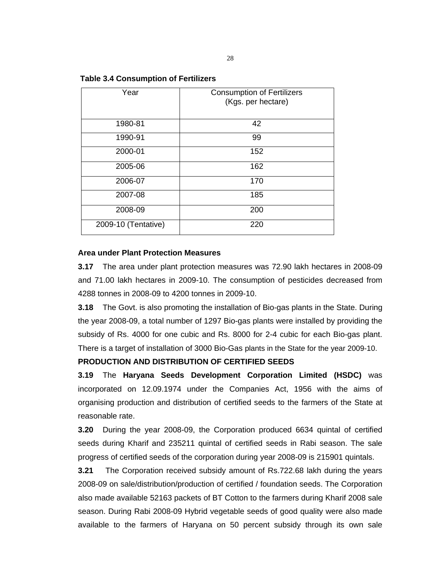## **Table 3.4 Consumption of Fertilizers**

| Year                | <b>Consumption of Fertilizers</b><br>(Kgs. per hectare) |
|---------------------|---------------------------------------------------------|
| 1980-81             | 42                                                      |
| 1990-91             | 99                                                      |
| 2000-01             | 152                                                     |
| 2005-06             | 162                                                     |
| 2006-07             | 170                                                     |
| 2007-08             | 185                                                     |
| 2008-09             | 200                                                     |
| 2009-10 (Tentative) | 220                                                     |

### **Area under Plant Protection Measures**

**3.17** The area under plant protection measures was 72.90 lakh hectares in 2008-09 and 71.00 lakh hectares in 2009-10. The consumption of pesticides decreased from 4288 tonnes in 2008-09 to 4200 tonnes in 2009-10.

**3.18** The Govt. is also promoting the installation of Bio-gas plants in the State. During the year 2008-09, a total number of 1297 Bio-gas plants were installed by providing the subsidy of Rs. 4000 for one cubic and Rs. 8000 for 2-4 cubic for each Bio-gas plant. There is a target of installation of 3000 Bio-Gas plants in the State for the year 2009-10.

## **PRODUCTION AND DISTRIBUTION OF CERTIFIED SEEDS**

**3.19** The **Haryana Seeds Development Corporation Limited (HSDC)** was incorporated on 12.09.1974 under the Companies Act, 1956 with the aims of organising production and distribution of certified seeds to the farmers of the State at reasonable rate.

**3.20** During the year 2008-09, the Corporation produced 6634 quintal of certified seeds during Kharif and 235211 quintal of certified seeds in Rabi season. The sale progress of certified seeds of the corporation during year 2008-09 is 215901 quintals.

**3.21** The Corporation received subsidy amount of Rs.722.68 lakh during the years 2008-09 on sale/distribution/production of certified / foundation seeds. The Corporation also made available 52163 packets of BT Cotton to the farmers during Kharif 2008 sale season. During Rabi 2008-09 Hybrid vegetable seeds of good quality were also made available to the farmers of Haryana on 50 percent subsidy through its own sale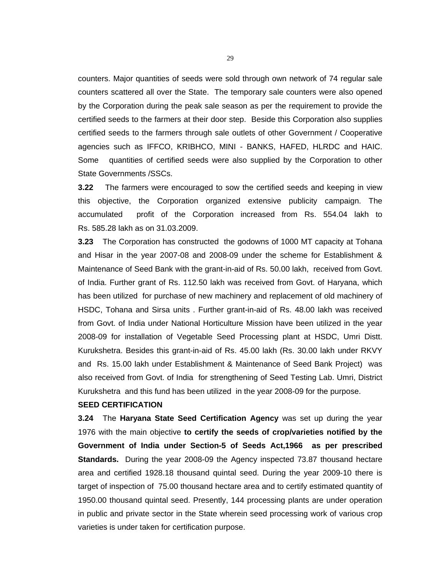counters. Major quantities of seeds were sold through own network of 74 regular sale counters scattered all over the State. The temporary sale counters were also opened by the Corporation during the peak sale season as per the requirement to provide the certified seeds to the farmers at their door step. Beside this Corporation also supplies certified seeds to the farmers through sale outlets of other Government / Cooperative agencies such as IFFCO, KRIBHCO, MINI - BANKS, HAFED, HLRDC and HAIC. Some quantities of certified seeds were also supplied by the Corporation to other State Governments /SSCs.

**3.22** The farmers were encouraged to sow the certified seeds and keeping in view this objective, the Corporation organized extensive publicity campaign. The accumulated profit of the Corporation increased from Rs. 554.04 lakh to Rs. 585.28 lakh as on 31.03.2009.

**3.23** The Corporation has constructed the godowns of 1000 MT capacity at Tohana and Hisar in the year 2007-08 and 2008-09 under the scheme for Establishment & Maintenance of Seed Bank with the grant-in-aid of Rs. 50.00 lakh, received from Govt. of India. Further grant of Rs. 112.50 lakh was received from Govt. of Haryana, which has been utilized for purchase of new machinery and replacement of old machinery of HSDC, Tohana and Sirsa units . Further grant-in-aid of Rs. 48.00 lakh was received from Govt. of India under National Horticulture Mission have been utilized in the year 2008-09 for installation of Vegetable Seed Processing plant at HSDC, Umri Distt. Kurukshetra. Besides this grant-in-aid of Rs. 45.00 lakh (Rs. 30.00 lakh under RKVY and Rs. 15.00 lakh under Establishment & Maintenance of Seed Bank Project) was also received from Govt. of India for strengthening of Seed Testing Lab. Umri, District Kurukshetra and this fund has been utilized in the year 2008-09 for the purpose.

#### **SEED CERTIFICATION**

**3.24** The **Haryana State Seed Certification Agency** was set up during the year 1976 with the main objective **to certify the seeds of crop/varieties notified by the Government of India under Section-5 of Seeds Act,1966 as per prescribed Standards.** During the year 2008-09 the Agency inspected 73.87 thousand hectare area and certified 1928.18 thousand quintal seed. During the year 2009-10 there is target of inspection of 75.00 thousand hectare area and to certify estimated quantity of 1950.00 thousand quintal seed. Presently, 144 processing plants are under operation in public and private sector in the State wherein seed processing work of various crop varieties is under taken for certification purpose.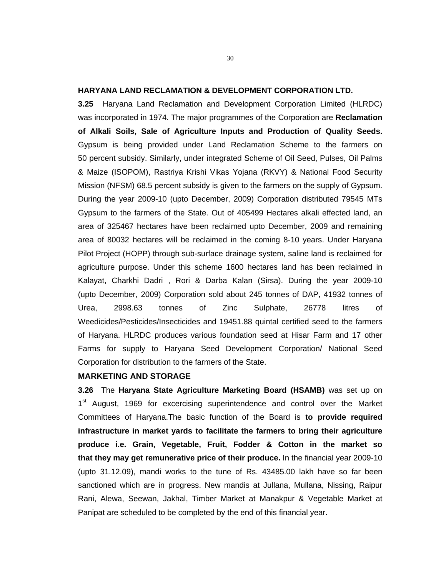#### **HARYANA LAND RECLAMATION & DEVELOPMENT CORPORATION LTD.**

**3.25** Haryana Land Reclamation and Development Corporation Limited (HLRDC) was incorporated in 1974. The major programmes of the Corporation are **Reclamation of Alkali Soils, Sale of Agriculture Inputs and Production of Quality Seeds.** Gypsum is being provided under Land Reclamation Scheme to the farmers on 50 percent subsidy. Similarly, under integrated Scheme of Oil Seed, Pulses, Oil Palms & Maize (ISOPOM), Rastriya Krishi Vikas Yojana (RKVY) & National Food Security Mission (NFSM) 68.5 percent subsidy is given to the farmers on the supply of Gypsum. During the year 2009-10 (upto December, 2009) Corporation distributed 79545 MTs Gypsum to the farmers of the State. Out of 405499 Hectares alkali effected land, an area of 325467 hectares have been reclaimed upto December, 2009 and remaining area of 80032 hectares will be reclaimed in the coming 8-10 years. Under Haryana Pilot Project (HOPP) through sub-surface drainage system, saline land is reclaimed for agriculture purpose. Under this scheme 1600 hectares land has been reclaimed in Kalayat, Charkhi Dadri , Rori & Darba Kalan (Sirsa). During the year 2009-10 (upto December, 2009) Corporation sold about 245 tonnes of DAP, 41932 tonnes of Urea, 2998.63 tonnes of Zinc Sulphate, 26778 litres of Weedicides/Pesticides/Insecticides and 19451.88 quintal certified seed to the farmers of Haryana. HLRDC produces various foundation seed at Hisar Farm and 17 other Farms for supply to Haryana Seed Development Corporation/ National Seed Corporation for distribution to the farmers of the State.

#### **MARKETING AND STORAGE**

**3.26** The **Haryana State Agriculture Marketing Board (HSAMB)** was set up on 1<sup>st</sup> August, 1969 for excercising superintendence and control over the Market Committees of Haryana.The basic function of the Board is **to provide required infrastructure in market yards to facilitate the farmers to bring their agriculture produce i.e. Grain, Vegetable, Fruit, Fodder & Cotton in the market so that they may get remunerative price of their produce.** In the financial year 2009-10 (upto 31.12.09), mandi works to the tune of Rs. 43485.00 lakh have so far been sanctioned which are in progress. New mandis at Jullana, Mullana, Nissing, Raipur Rani, Alewa, Seewan, Jakhal, Timber Market at Manakpur & Vegetable Market at Panipat are scheduled to be completed by the end of this financial year.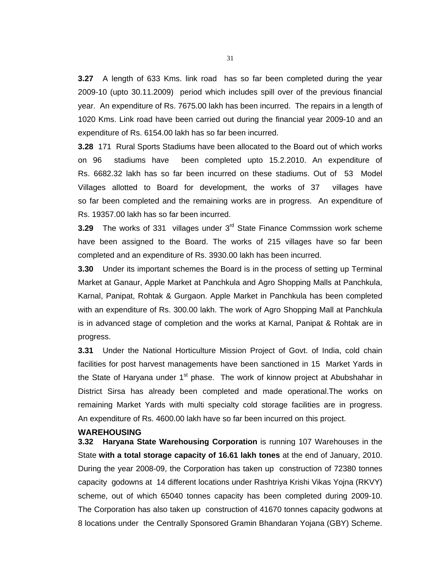**3.27** A length of 633 Kms. link road has so far been completed during the year 2009-10 (upto 30.11.2009) period which includes spill over of the previous financial year. An expenditure of Rs. 7675.00 lakh has been incurred. The repairs in a length of 1020 Kms. Link road have been carried out during the financial year 2009-10 and an expenditure of Rs. 6154.00 lakh has so far been incurred.

**3.28** 171 Rural Sports Stadiums have been allocated to the Board out of which works on 96 stadiums have been completed upto 15.2.2010. An expenditure of Rs. 6682.32 lakh has so far been incurred on these stadiums. Out of 53 Model Villages allotted to Board for development, the works of 37 villages have so far been completed and the remaining works are in progress. An expenditure of Rs. 19357.00 lakh has so far been incurred.

**3.29** The works of 331 villages under 3<sup>rd</sup> State Finance Commssion work scheme have been assigned to the Board. The works of 215 villages have so far been completed and an expenditure of Rs. 3930.00 lakh has been incurred.

**3.30** Under its important schemes the Board is in the process of setting up Terminal Market at Ganaur, Apple Market at Panchkula and Agro Shopping Malls at Panchkula, Karnal, Panipat, Rohtak & Gurgaon. Apple Market in Panchkula has been completed with an expenditure of Rs. 300.00 lakh. The work of Agro Shopping Mall at Panchkula is in advanced stage of completion and the works at Karnal, Panipat & Rohtak are in progress.

**3.31** Under the National Horticulture Mission Project of Govt. of India, cold chain facilities for post harvest managements have been sanctioned in 15 Market Yards in the State of Haryana under  $1<sup>st</sup>$  phase. The work of kinnow project at Abubshahar in District Sirsa has already been completed and made operational.The works on remaining Market Yards with multi specialty cold storage facilities are in progress. An expenditure of Rs. 4600.00 lakh have so far been incurred on this project.

#### **WAREHOUSING**

**3.32 Haryana State Warehousing Corporation** is running 107 Warehouses in the State **with a total storage capacity of 16.61 lakh tones** at the end of January, 2010. During the year 2008-09, the Corporation has taken up construction of 72380 tonnes capacity godowns at 14 different locations under Rashtriya Krishi Vikas Yojna (RKVY) scheme, out of which 65040 tonnes capacity has been completed during 2009-10. The Corporation has also taken up construction of 41670 tonnes capacity godwons at 8 locations under the Centrally Sponsored Gramin Bhandaran Yojana (GBY) Scheme.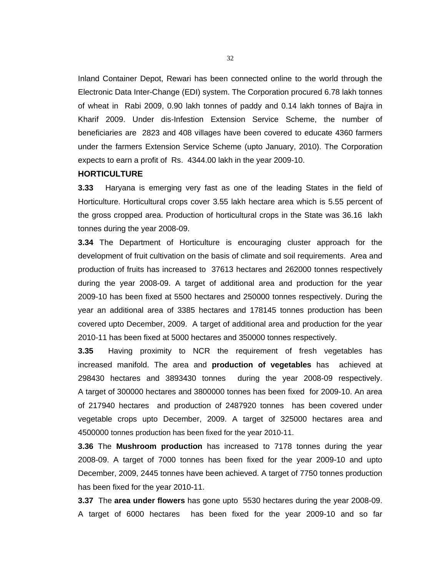Inland Container Depot, Rewari has been connected online to the world through the Electronic Data Inter-Change (EDI) system. The Corporation procured 6.78 lakh tonnes of wheat in Rabi 2009, 0.90 lakh tonnes of paddy and 0.14 lakh tonnes of Bajra in Kharif 2009. Under dis-Infestion Extension Service Scheme, the number of beneficiaries are 2823 and 408 villages have been covered to educate 4360 farmers under the farmers Extension Service Scheme (upto January, 2010). The Corporation expects to earn a profit of Rs. 4344.00 lakh in the year 2009-10.

#### **HORTICULTURE**

**3.33** Haryana is emerging very fast as one of the leading States in the field of Horticulture. Horticultural crops cover 3.55 lakh hectare area which is 5.55 percent of the gross cropped area. Production of horticultural crops in the State was 36.16 lakh tonnes during the year 2008-09.

**3.34** The Department of Horticulture is encouraging cluster approach for the development of fruit cultivation on the basis of climate and soil requirements. Area and production of fruits has increased to 37613 hectares and 262000 tonnes respectively during the year 2008-09. A target of additional area and production for the year 2009-10 has been fixed at 5500 hectares and 250000 tonnes respectively. During the year an additional area of 3385 hectares and 178145 tonnes production has been covered upto December, 2009. A target of additional area and production for the year 2010-11 has been fixed at 5000 hectares and 350000 tonnes respectively.

**3.35** Having proximity to NCR the requirement of fresh vegetables has increased manifold. The area and **production of vegetables** has achieved at 298430 hectares and 3893430 tonnes during the year 2008-09 respectively. A target of 300000 hectares and 3800000 tonnes has been fixed for 2009-10. An area of 217940 hectares and production of 2487920 tonnes has been covered under vegetable crops upto December, 2009. A target of 325000 hectares area and 4500000 tonnes production has been fixed for the year 2010-11.

**3.36** The **Mushroom production** has increased to 7178 tonnes during the year 2008-09. A target of 7000 tonnes has been fixed for the year 2009-10 and upto December, 2009, 2445 tonnes have been achieved. A target of 7750 tonnes production has been fixed for the year 2010-11.

**3.37** The **area under flowers** has gone upto 5530 hectares during the year 2008-09. A target of 6000 hectares has been fixed for the year 2009-10 and so far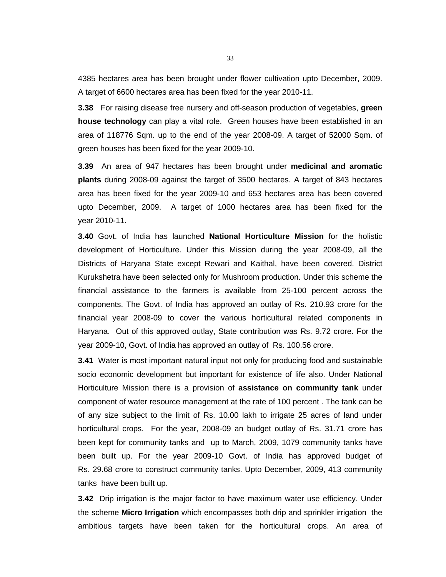4385 hectares area has been brought under flower cultivation upto December, 2009. A target of 6600 hectares area has been fixed for the year 2010-11.

**3.38** For raising disease free nursery and off-season production of vegetables, **green house technology** can play a vital role. Green houses have been established in an area of 118776 Sqm. up to the end of the year 2008-09. A target of 52000 Sqm. of green houses has been fixed for the year 2009-10.

**3.39** An area of 947 hectares has been brought under **medicinal and aromatic plants** during 2008-09 against the target of 3500 hectares. A target of 843 hectares area has been fixed for the year 2009-10 and 653 hectares area has been covered upto December, 2009. A target of 1000 hectares area has been fixed for the year 2010-11.

**3.40** Govt. of India has launched **National Horticulture Mission** for the holistic development of Horticulture. Under this Mission during the year 2008-09, all the Districts of Haryana State except Rewari and Kaithal, have been covered. District Kurukshetra have been selected only for Mushroom production. Under this scheme the financial assistance to the farmers is available from 25-100 percent across the components. The Govt. of India has approved an outlay of Rs. 210.93 crore for the financial year 2008-09 to cover the various horticultural related components in Haryana. Out of this approved outlay, State contribution was Rs. 9.72 crore. For the year 2009-10, Govt. of India has approved an outlay of Rs. 100.56 crore.

**3.41** Water is most important natural input not only for producing food and sustainable socio economic development but important for existence of life also. Under National Horticulture Mission there is a provision of **assistance on community tank** under component of water resource management at the rate of 100 percent . The tank can be of any size subject to the limit of Rs. 10.00 lakh to irrigate 25 acres of land under horticultural crops. For the year, 2008-09 an budget outlay of Rs. 31.71 crore has been kept for community tanks and up to March, 2009, 1079 community tanks have been built up. For the year 2009-10 Govt. of India has approved budget of Rs. 29.68 crore to construct community tanks. Upto December, 2009, 413 community tanks have been built up.

**3.42** Drip irrigation is the major factor to have maximum water use efficiency. Under the scheme **Micro Irrigation** which encompasses both drip and sprinkler irrigation the ambitious targets have been taken for the horticultural crops. An area of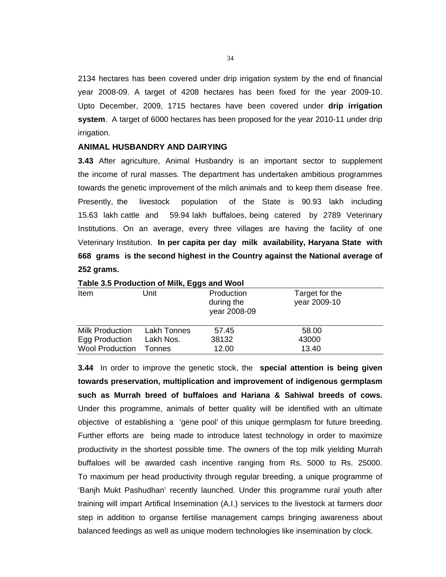2134 hectares has been covered under drip irrigation system by the end of financial year 2008-09. A target of 4208 hectares has been fixed for the year 2009-10. Upto December, 2009, 1715 hectares have been covered under **drip irrigation system**. A target of 6000 hectares has been proposed for the year 2010-11 under drip irrigation.

#### **ANIMAL HUSBANDRY AND DAIRYING**

**3.43** After agriculture, Animal Husbandry is an important sector to supplement the income of rural masses. The department has undertaken ambitious programmes towards the genetic improvement of the milch animals and to keep them disease free. Presently, the livestock population of the State is 90.93 lakh including 15.63 lakh cattle and 59.94 lakh buffaloes, being catered by 2789 Veterinary Institutions. On an average, every three villages are having the facility of one Veterinary Institution. **In per capita per day milk availability, Haryana State with 668 grams is the second highest in the Country against the National average of 252 grams.** 

| Table 3.5 Production of Milk, Eggs and Wool |             |                                          |                                |  |  |  |  |
|---------------------------------------------|-------------|------------------------------------------|--------------------------------|--|--|--|--|
| Item                                        | Unit        | Production<br>during the<br>year 2008-09 | Target for the<br>year 2009-10 |  |  |  |  |
| <b>Milk Production</b>                      | Lakh Tonnes | 57.45                                    | 58.00                          |  |  |  |  |
| Egg Production                              | Lakh Nos.   | 38132                                    | 43000                          |  |  |  |  |
| <b>Wool Production</b>                      | Tonnes      | 12.00                                    | 13.40                          |  |  |  |  |

**3.44** In order to improve the genetic stock, the **special attention is being given towards preservation, multiplication and improvement of indigenous germplasm such as Murrah breed of buffaloes and Hariana & Sahiwal breeds of cows.** Under this programme, animals of better quality will be identified with an ultimate objective of establishing a 'gene pool' of this unique germplasm for future breeding. Further efforts are being made to introduce latest technology in order to maximize productivity in the shortest possible time. The owners of the top milk yielding Murrah buffaloes will be awarded cash incentive ranging from Rs. 5000 to Rs. 25000. To maximum per head productivity through regular breeding, a unique programme of 'Banjh Mukt Pashudhan' recently launched. Under this programme rural youth after training will impart Artifical Insemination (A.I.) services to the livestock at farmers door step in addition to organse fertilise management camps bringing awareness about balanced feedings as well as unique modern technologies like insemination by clock.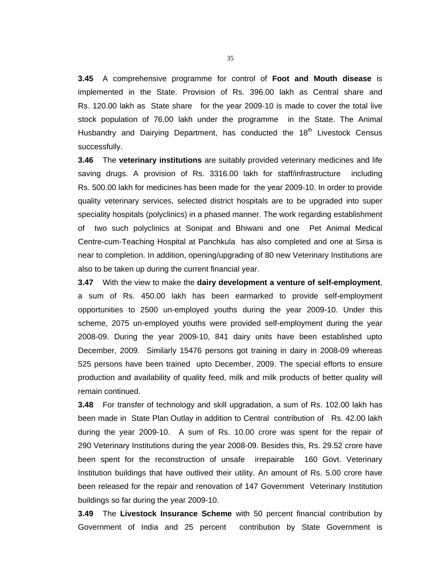**3.45** A comprehensive programme for control of **Foot and Mouth disease** is implemented in the State. Provision of Rs. 396.00 lakh as Central share and Rs. 120.00 lakh as State share for the year 2009-10 is made to cover the total live stock population of 76.00 lakh under the programme in the State. The Animal Husbandry and Dairying Department, has conducted the  $18<sup>th</sup>$  Livestock Census successfully.

**3.46** The **veterinary institutions** are suitably provided veterinary medicines and life saving drugs. A provision of Rs. 3316.00 lakh for staff/infrastructure including Rs. 500.00 lakh for medicines has been made for the year 2009-10. In order to provide quality veterinary services, selected district hospitals are to be upgraded into super speciality hospitals (polyclinics) in a phased manner. The work regarding establishment of two such polyclinics at Sonipat and Bhiwani and one Pet Animal Medical Centre-cum-Teaching Hospital at Panchkula has also completed and one at Sirsa is near to completion. In addition, opening/upgrading of 80 new Veterinary Institutions are also to be taken up during the current financial year.

**3.47** With the view to make the **dairy development a venture of self-employment**, a sum of Rs. 450.00 lakh has been earmarked to provide self-employment opportunities to 2500 un-employed youths during the year 2009-10. Under this scheme, 2075 un-employed youths were provided self-employment during the year 2008-09. During the year 2009-10, 841 dairy units have been established upto December, 2009. Similarly 15476 persons got training in dairy in 2008-09 whereas 525 persons have been trained upto December, 2009. The special efforts to ensure production and availability of quality feed, milk and milk products of better quality will remain continued.

**3.48** For transfer of technology and skill upgradation, a sum of Rs. 102.00 lakh has been made in State Plan Outlay in addition to Central contribution of Rs. 42.00 lakh during the year 2009-10. A sum of Rs. 10.00 crore was spent for the repair of 290 Veterinary Institutions during the year 2008-09. Besides this, Rs. 29.52 crore have been spent for the reconstruction of unsafe irrepairable 160 Govt. Veterinary Institution buildings that have outlived their utility. An amount of Rs. 5.00 crore have been released for the repair and renovation of 147 Government Veterinary Institution buildings so far during the year 2009-10.

**3.49** The **Livestock Insurance Scheme** with 50 percent financial contribution by Government of India and 25 percent contribution by State Government is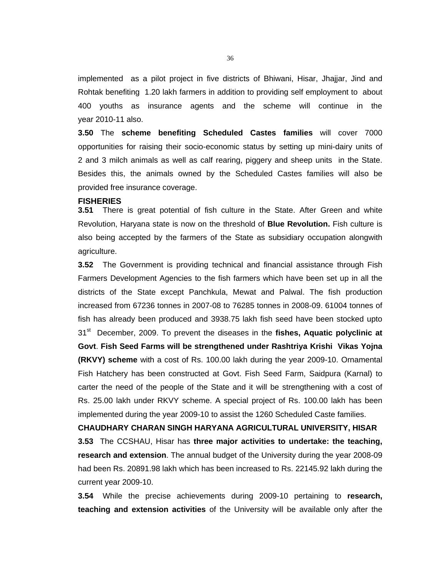implemented as a pilot project in five districts of Bhiwani, Hisar, Jhajjar, Jind and Rohtak benefiting 1.20 lakh farmers in addition to providing self employment to about 400 youths as insurance agents and the scheme will continue in the year 2010-11 also.

**3.50** The **scheme benefiting Scheduled Castes families** will cover 7000 opportunities for raising their socio-economic status by setting up mini-dairy units of 2 and 3 milch animals as well as calf rearing, piggery and sheep units in the State. Besides this, the animals owned by the Scheduled Castes families will also be provided free insurance coverage.

#### **FISHERIES**

**3.51** There is great potential of fish culture in the State. After Green and white Revolution, Haryana state is now on the threshold of **Blue Revolution.** Fish culture is also being accepted by the farmers of the State as subsidiary occupation alongwith agriculture.

**3.52** The Government is providing technical and financial assistance through Fish Farmers Development Agencies to the fish farmers which have been set up in all the districts of the State except Panchkula, Mewat and Palwal. The fish production increased from 67236 tonnes in 2007-08 to 76285 tonnes in 2008-09. 61004 tonnes of fish has already been produced and 3938.75 lakh fish seed have been stocked upto 31st December, 2009. To prevent the diseases in the **fishes, Aquatic polyclinic at Govt**. **Fish Seed Farms will be strengthened under Rashtriya Krishi Vikas Yojna (RKVY) scheme** with a cost of Rs. 100.00 lakh during the year 2009-10. Ornamental Fish Hatchery has been constructed at Govt. Fish Seed Farm, Saidpura (Karnal) to carter the need of the people of the State and it will be strengthening with a cost of Rs. 25.00 lakh under RKVY scheme. A special project of Rs. 100.00 lakh has been implemented during the year 2009-10 to assist the 1260 Scheduled Caste families.

**CHAUDHARY CHARAN SINGH HARYANA AGRICULTURAL UNIVERSITY, HISAR 3.53** The CCSHAU, Hisar has **three major activities to undertake: the teaching, research and extension**. The annual budget of the University during the year 2008-09 had been Rs. 20891.98 lakh which has been increased to Rs. 22145.92 lakh during the current year 2009-10.

**3.54** While the precise achievements during 2009-10 pertaining to **research, teaching and extension activities** of the University will be available only after the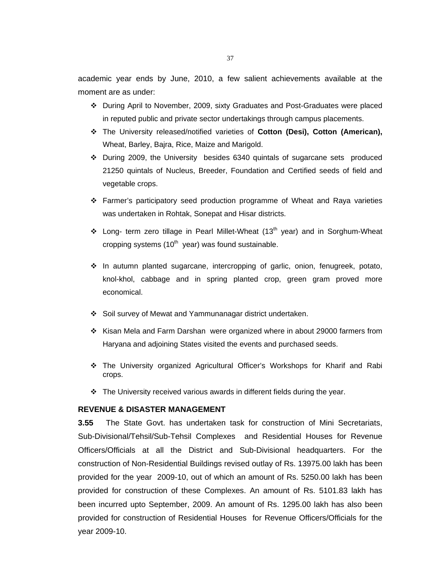academic year ends by June, 2010, a few salient achievements available at the moment are as under:

- During April to November, 2009, sixty Graduates and Post-Graduates were placed in reputed public and private sector undertakings through campus placements.
- The University released/notified varieties of **Cotton (Desi), Cotton (American),**  Wheat, Barley, Bajra, Rice, Maize and Marigold.
- During 2009, the University besides 6340 quintals of sugarcane sets produced 21250 quintals of Nucleus, Breeder, Foundation and Certified seeds of field and vegetable crops.
- Farmer's participatory seed production programme of Wheat and Raya varieties was undertaken in Rohtak, Sonepat and Hisar districts.
- ❖ Long- term zero tillage in Pearl Millet-Wheat (13<sup>th</sup> year) and in Sorghum-Wheat cropping systems  $(10<sup>th</sup>$  year) was found sustainable.
- $\div$  In autumn planted sugarcane, intercropping of garlic, onion, fenugreek, potato, knol-khol, cabbage and in spring planted crop, green gram proved more economical.
- Soil survey of Mewat and Yammunanagar district undertaken.
- $\div$  Kisan Mela and Farm Darshan were organized where in about 29000 farmers from Haryana and adjoining States visited the events and purchased seeds.
- The University organized Agricultural Officer's Workshops for Kharif and Rabi crops.
- \* The University received various awards in different fields during the year.

# **REVENUE & DISASTER MANAGEMENT**

**3.55** The State Govt. has undertaken task for construction of Mini Secretariats, Sub-Divisional/Tehsil/Sub-Tehsil Complexes and Residential Houses for Revenue Officers/Officials at all the District and Sub-Divisional headquarters. For the construction of Non-Residential Buildings revised outlay of Rs. 13975.00 lakh has been provided for the year 2009-10, out of which an amount of Rs. 5250.00 lakh has been provided for construction of these Complexes. An amount of Rs. 5101.83 lakh has been incurred upto September, 2009. An amount of Rs. 1295.00 lakh has also been provided for construction of Residential Houses for Revenue Officers/Officials for the year 2009-10.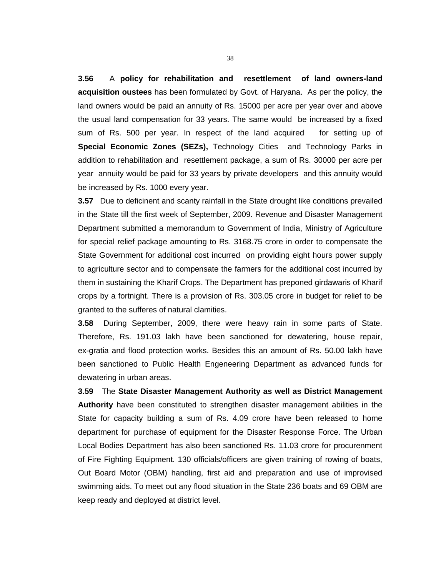**3.56** A **policy for rehabilitation and resettlement of land owners-land acquisition oustees** has been formulated by Govt. of Haryana. As per the policy, the land owners would be paid an annuity of Rs. 15000 per acre per year over and above the usual land compensation for 33 years. The same would be increased by a fixed sum of Rs. 500 per year. In respect of the land acquired for setting up of **Special Economic Zones (SEZs),** Technology Cities and Technology Parks in addition to rehabilitation and resettlement package, a sum of Rs. 30000 per acre per year annuity would be paid for 33 years by private developers and this annuity would be increased by Rs. 1000 every year.

**3.57** Due to deficinent and scanty rainfall in the State drought like conditions prevailed in the State till the first week of September, 2009. Revenue and Disaster Management Department submitted a memorandum to Government of India, Ministry of Agriculture for special relief package amounting to Rs. 3168.75 crore in order to compensate the State Government for additional cost incurred on providing eight hours power supply to agriculture sector and to compensate the farmers for the additional cost incurred by them in sustaining the Kharif Crops. The Department has preponed girdawaris of Kharif crops by a fortnight. There is a provision of Rs. 303.05 crore in budget for relief to be granted to the sufferes of natural clamities.

**3.58** During September, 2009, there were heavy rain in some parts of State. Therefore, Rs. 191.03 lakh have been sanctioned for dewatering, house repair, ex-gratia and flood protection works. Besides this an amount of Rs. 50.00 lakh have been sanctioned to Public Health Engeneering Department as advanced funds for dewatering in urban areas.

**3.59** The **State Disaster Management Authority as well as District Management Authority** have been constituted to strengthen disaster management abilities in the State for capacity building a sum of Rs. 4.09 crore have been released to home department for purchase of equipment for the Disaster Response Force. The Urban Local Bodies Department has also been sanctioned Rs. 11.03 crore for procurenment of Fire Fighting Equipment. 130 officials/officers are given training of rowing of boats, Out Board Motor (OBM) handling, first aid and preparation and use of improvised swimming aids. To meet out any flood situation in the State 236 boats and 69 OBM are keep ready and deployed at district level.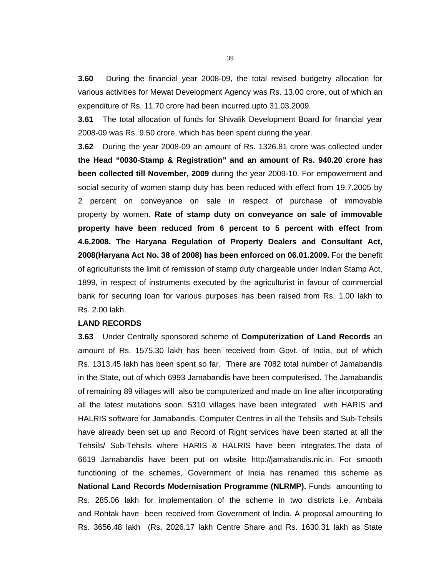**3.60** During the financial year 2008-09, the total revised budgetry allocation for various activities for Mewat Development Agency was Rs. 13.00 crore, out of which an expenditure of Rs. 11.70 crore had been incurred upto 31.03.2009.

**3.61** The total allocation of funds for Shivalik Development Board for financial year 2008-09 was Rs. 9.50 crore, which has been spent during the year.

**3.62** During the year 2008-09 an amount of Rs. 1326.81 crore was collected under **the Head "0030-Stamp & Registration" and an amount of Rs. 940.20 crore has been collected till November, 2009** during the year 2009-10. For empowerment and social security of women stamp duty has been reduced with effect from 19.7.2005 by 2 percent on conveyance on sale in respect of purchase of immovable property by women. **Rate of stamp duty on conveyance on sale of immovable property have been reduced from 6 percent to 5 percent with effect from 4.6.2008. The Haryana Regulation of Property Dealers and Consultant Act, 2008(Haryana Act No. 38 of 2008) has been enforced on 06.01.2009.** For the benefit of agriculturists the limit of remission of stamp duty chargeable under Indian Stamp Act, 1899, in respect of instruments executed by the agriculturist in favour of commercial bank for securing loan for various purposes has been raised from Rs. 1.00 lakh to Rs. 2.00 lakh.

#### **LAND RECORDS**

**3.63** Under Centrally sponsored scheme of **Computerization of Land Records** an amount of Rs. 1575.30 lakh has been received from Govt. of India, out of which Rs. 1313.45 lakh has been spent so far. There are 7082 total number of Jamabandis in the State, out of which 6993 Jamabandis have been computerised. The Jamabandis of remaining 89 villages will also be computerized and made on line after incorporating all the latest mutations soon. 5310 villages have been integrated with HARIS and HALRIS software for Jamabandis. Computer Centres in all the Tehsils and Sub-Tehsils have already been set up and Record of Right services have been started at all the Tehsils/ Sub-Tehsils where HARIS & HALRIS have been integrates.The data of 6619 Jamabandis have been put on wbsite http://jamabandis.nic.in. For smooth functioning of the schemes, Government of India has renamed this scheme as **National Land Records Modernisation Programme (NLRMP).** Funds amounting to Rs. 285.06 lakh for implementation of the scheme in two districts i.e. Ambala and Rohtak have been received from Government of India. A proposal amounting to Rs. 3656.48 lakh (Rs. 2026.17 lakh Centre Share and Rs. 1630.31 lakh as State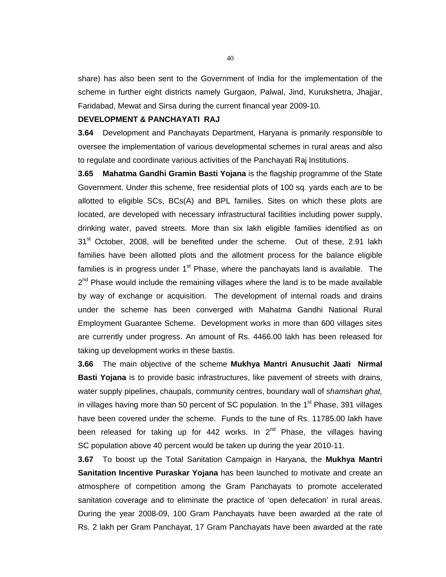share) has also been sent to the Government of India for the implementation of the scheme in further eight districts namely Gurgaon, Palwal, Jind, Kurukshetra, Jhajjar, Faridabad, Mewat and Sirsa during the current financal year 2009-10.

# **DEVELOPMENT & PANCHAYATI RAJ**

**3.64** Development and Panchayats Department, Haryana is primarily responsible to oversee the implementation of various developmental schemes in rural areas and also to regulate and coordinate various activities of the Panchayati Raj Institutions.

**3.65 Mahatma Gandhi Gramin Basti Yojana** is the flagship programme of the State Government. Under this scheme, free residential plots of 100 sq. yards each are to be allotted to eligible SCs, BCs(A) and BPL families. Sites on which these plots are located, are developed with necessary infrastructural facilities including power supply, drinking water, paved streets. More than six lakh eligible families identified as on 31<sup>st</sup> October, 2008, will be benefited under the scheme. Out of these, 2.91 lakh families have been allotted plots and the allotment process for the balance eligible families is in progress under  $1<sup>st</sup>$  Phase, where the panchayats land is available. The  $2<sup>nd</sup>$  Phase would include the remaining villages where the land is to be made available by way of exchange or acquisition. The development of internal roads and drains under the scheme has been converged with Mahatma Gandhi National Rural Employment Guarantee Scheme. Development works in more than 600 villages sites are currently under progress. An amount of Rs. 4466.00 lakh has been released for taking up development works in these bastis.

**3.66** The main objective of the scheme **Mukhya Mantri Anusuchit Jaati Nirmal Basti Yojana** is to provide basic infrastructures, like pavement of streets with drains, water supply pipelines, chaupals, community centres, boundary wall of *shamshan ghat,* in villages having more than 50 percent of SC population. In the  $1<sup>st</sup>$  Phase, 391 villages have been covered under the scheme. Funds to the tune of Rs. 11785.00 lakh have been released for taking up for 442 works. In  $2^{nd}$  Phase, the villages having SC population above 40 percent would be taken up during the year 2010-11.

**3.67** To boost up the Total Sanitation Campaign in Haryana, the **Mukhya Mantri Sanitation Incentive Puraskar Yojana** has been launched to motivate and create an atmosphere of competition among the Gram Panchayats to promote accelerated sanitation coverage and to eliminate the practice of 'open defecation' in rural areas. During the year 2008-09, 100 Gram Panchayats have been awarded at the rate of Rs. 2 lakh per Gram Panchayat, 17 Gram Panchayats have been awarded at the rate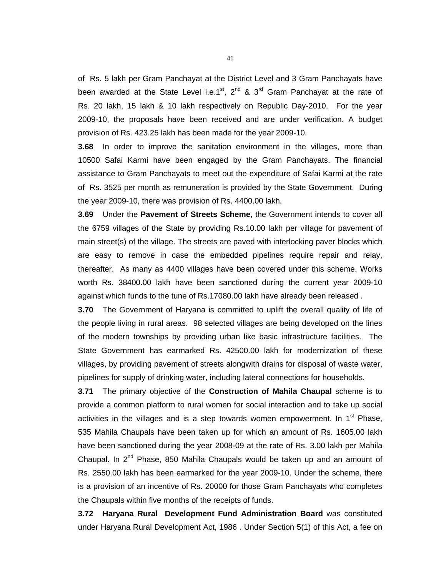of Rs. 5 lakh per Gram Panchayat at the District Level and 3 Gram Panchayats have been awarded at the State Level i.e.1<sup>st</sup>, 2<sup>nd</sup> & 3<sup>rd</sup> Gram Panchayat at the rate of Rs. 20 lakh, 15 lakh & 10 lakh respectively on Republic Day-2010. For the year 2009-10, the proposals have been received and are under verification. A budget provision of Rs. 423.25 lakh has been made for the year 2009-10.

**3.68** In order to improve the sanitation environment in the villages, more than 10500 Safai Karmi have been engaged by the Gram Panchayats. The financial assistance to Gram Panchayats to meet out the expenditure of Safai Karmi at the rate of Rs. 3525 per month as remuneration is provided by the State Government. During the year 2009-10, there was provision of Rs. 4400.00 lakh.

**3.69** Under the **Pavement of Streets Scheme**, the Government intends to cover all the 6759 villages of the State by providing Rs.10.00 lakh per village for pavement of main street(s) of the village. The streets are paved with interlocking paver blocks which are easy to remove in case the embedded pipelines require repair and relay, thereafter. As many as 4400 villages have been covered under this scheme. Works worth Rs. 38400.00 lakh have been sanctioned during the current year 2009-10 against which funds to the tune of Rs.17080.00 lakh have already been released .

**3.70** The Government of Haryana is committed to uplift the overall quality of life of the people living in rural areas. 98 selected villages are being developed on the lines of the modern townships by providing urban like basic infrastructure facilities. The State Government has earmarked Rs. 42500.00 lakh for modernization of these villages, by providing pavement of streets alongwith drains for disposal of waste water, pipelines for supply of drinking water, including lateral connections for households.

**3.71** The primary objective of the **Construction of Mahila Chaupal** scheme is to provide a common platform to rural women for social interaction and to take up social activities in the villages and is a step towards women empowerment. In  $1<sup>st</sup>$  Phase, 535 Mahila Chaupals have been taken up for which an amount of Rs. 1605.00 lakh have been sanctioned during the year 2008-09 at the rate of Rs. 3.00 lakh per Mahila Chaupal. In  $2^{nd}$  Phase, 850 Mahila Chaupals would be taken up and an amount of Rs. 2550.00 lakh has been earmarked for the year 2009-10. Under the scheme, there is a provision of an incentive of Rs. 20000 for those Gram Panchayats who completes the Chaupals within five months of the receipts of funds.

**3.72 Haryana Rural Development Fund Administration Board** was constituted under Haryana Rural Development Act, 1986 . Under Section 5(1) of this Act, a fee on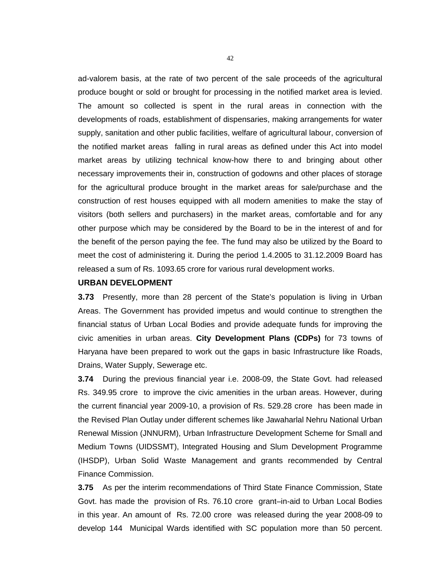ad-valorem basis, at the rate of two percent of the sale proceeds of the agricultural produce bought or sold or brought for processing in the notified market area is levied. The amount so collected is spent in the rural areas in connection with the developments of roads, establishment of dispensaries, making arrangements for water supply, sanitation and other public facilities, welfare of agricultural labour, conversion of the notified market areas falling in rural areas as defined under this Act into model market areas by utilizing technical know-how there to and bringing about other necessary improvements their in, construction of godowns and other places of storage for the agricultural produce brought in the market areas for sale/purchase and the construction of rest houses equipped with all modern amenities to make the stay of visitors (both sellers and purchasers) in the market areas, comfortable and for any other purpose which may be considered by the Board to be in the interest of and for the benefit of the person paying the fee. The fund may also be utilized by the Board to meet the cost of administering it. During the period 1.4.2005 to 31.12.2009 Board has released a sum of Rs. 1093.65 crore for various rural development works.

# **URBAN DEVELOPMENT**

**3.73** Presently, more than 28 percent of the State's population is living in Urban Areas. The Government has provided impetus and would continue to strengthen the financial status of Urban Local Bodies and provide adequate funds for improving the civic amenities in urban areas. **City Development Plans (CDPs)** for 73 towns of Haryana have been prepared to work out the gaps in basic Infrastructure like Roads, Drains, Water Supply, Sewerage etc.

**3.74** During the previous financial year i.e. 2008-09, the State Govt. had released Rs. 349.95 crore to improve the civic amenities in the urban areas. However, during the current financial year 2009-10, a provision of Rs. 529.28 crore has been made in the Revised Plan Outlay under different schemes like Jawaharlal Nehru National Urban Renewal Mission (JNNURM), Urban Infrastructure Development Scheme for Small and Medium Towns (UIDSSMT), Integrated Housing and Slum Development Programme (IHSDP), Urban Solid Waste Management and grants recommended by Central Finance Commission.

**3.75** As per the interim recommendations of Third State Finance Commission, State Govt. has made the provision of Rs. 76.10 crore grant–in-aid to Urban Local Bodies in this year. An amount of Rs. 72.00 crore was released during the year 2008-09 to develop 144 Municipal Wards identified with SC population more than 50 percent.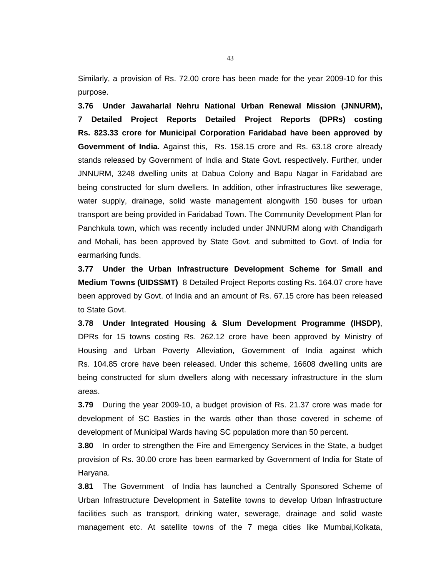Similarly, a provision of Rs. 72.00 crore has been made for the year 2009-10 for this purpose.

**3.76 Under Jawaharlal Nehru National Urban Renewal Mission (JNNURM), 7 Detailed Project Reports Detailed Project Reports (DPRs) costing Rs. 823.33 crore for Municipal Corporation Faridabad have been approved by Government of India.** Against this, Rs. 158.15 crore and Rs. 63.18 crore already stands released by Government of India and State Govt. respectively. Further, under JNNURM, 3248 dwelling units at Dabua Colony and Bapu Nagar in Faridabad are being constructed for slum dwellers. In addition, other infrastructures like sewerage, water supply, drainage, solid waste management alongwith 150 buses for urban transport are being provided in Faridabad Town. The Community Development Plan for Panchkula town, which was recently included under JNNURM along with Chandigarh and Mohali, has been approved by State Govt. and submitted to Govt. of India for earmarking funds.

**3.77 Under the Urban Infrastructure Development Scheme for Small and Medium Towns (UIDSSMT)** 8 Detailed Project Reports costing Rs. 164.07 crore have been approved by Govt. of India and an amount of Rs. 67.15 crore has been released to State Govt.

**3.78 Under Integrated Housing & Slum Development Programme (IHSDP)**, DPRs for 15 towns costing Rs. 262.12 crore have been approved by Ministry of Housing and Urban Poverty Alleviation, Government of India against which Rs. 104.85 crore have been released. Under this scheme, 16608 dwelling units are being constructed for slum dwellers along with necessary infrastructure in the slum areas.

**3.79** During the year 2009-10, a budget provision of Rs. 21.37 crore was made for development of SC Basties in the wards other than those covered in scheme of development of Municipal Wards having SC population more than 50 percent.

**3.80** In order to strengthen the Fire and Emergency Services in the State, a budget provision of Rs. 30.00 crore has been earmarked by Government of India for State of Haryana.

**3.81** The Government of India has launched a Centrally Sponsored Scheme of Urban Infrastructure Development in Satellite towns to develop Urban Infrastructure facilities such as transport, drinking water, sewerage, drainage and solid waste management etc. At satellite towns of the 7 mega cities like Mumbai,Kolkata,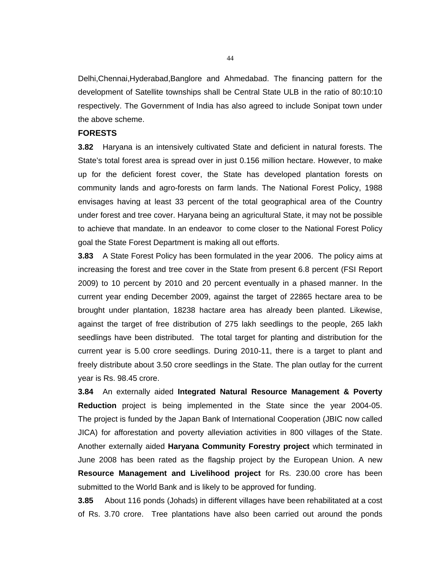Delhi,Chennai,Hyderabad,Banglore and Ahmedabad. The financing pattern for the development of Satellite townships shall be Central State ULB in the ratio of 80:10:10 respectively. The Government of India has also agreed to include Sonipat town under the above scheme.

# **FORESTS**

**3.82** Haryana is an intensively cultivated State and deficient in natural forests. The State's total forest area is spread over in just 0.156 million hectare. However, to make up for the deficient forest cover, the State has developed plantation forests on community lands and agro-forests on farm lands. The National Forest Policy, 1988 envisages having at least 33 percent of the total geographical area of the Country under forest and tree cover. Haryana being an agricultural State, it may not be possible to achieve that mandate. In an endeavor to come closer to the National Forest Policy goal the State Forest Department is making all out efforts.

**3.83** A State Forest Policy has been formulated in the year 2006. The policy aims at increasing the forest and tree cover in the State from present 6.8 percent (FSI Report 2009) to 10 percent by 2010 and 20 percent eventually in a phased manner. In the current year ending December 2009, against the target of 22865 hectare area to be brought under plantation, 18238 hactare area has already been planted. Likewise, against the target of free distribution of 275 lakh seedlings to the people, 265 lakh seedlings have been distributed. The total target for planting and distribution for the current year is 5.00 crore seedlings. During 2010-11, there is a target to plant and freely distribute about 3.50 crore seedlings in the State. The plan outlay for the current year is Rs. 98.45 crore.

**3.84** An externally aided **Integrated Natural Resource Management & Poverty Reduction** project is being implemented in the State since the year 2004-05. The project is funded by the Japan Bank of International Cooperation (JBIC now called JICA) for afforestation and poverty alleviation activities in 800 villages of the State. Another externally aided **Haryana Community Forestry project** which terminated in June 2008 has been rated as the flagship project by the European Union. A new **Resource Management and Livelihood project** for Rs. 230.00 crore has been submitted to the World Bank and is likely to be approved for funding.

**3.85** About 116 ponds (Johads) in different villages have been rehabilitated at a cost of Rs. 3.70 crore. Tree plantations have also been carried out around the ponds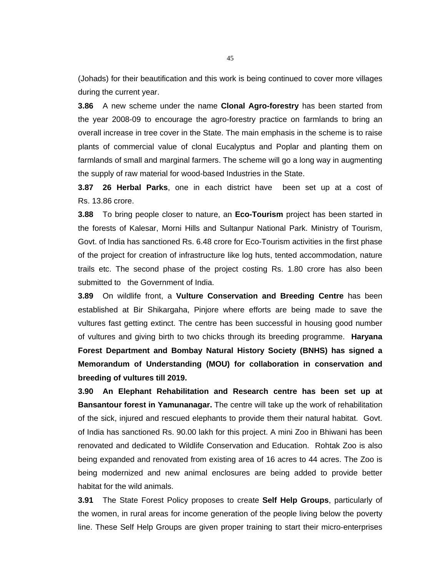(Johads) for their beautification and this work is being continued to cover more villages during the current year.

**3.86** A new scheme under the name **Clonal Agro-forestry** has been started from the year 2008-09 to encourage the agro-forestry practice on farmlands to bring an overall increase in tree cover in the State. The main emphasis in the scheme is to raise plants of commercial value of clonal Eucalyptus and Poplar and planting them on farmlands of small and marginal farmers. The scheme will go a long way in augmenting the supply of raw material for wood-based Industries in the State.

**3.87 26 Herbal Parks**, one in each district have been set up at a cost of Rs. 13.86 crore.

**3.88** To bring people closer to nature, an **Eco-Tourism** project has been started in the forests of Kalesar, Morni Hills and Sultanpur National Park. Ministry of Tourism, Govt. of India has sanctioned Rs. 6.48 crore for Eco-Tourism activities in the first phase of the project for creation of infrastructure like log huts, tented accommodation, nature trails etc. The second phase of the project costing Rs. 1.80 crore has also been submitted to the Government of India.

**3.89** On wildlife front, a **Vulture Conservation and Breeding Centre** has been established at Bir Shikargaha, Pinjore where efforts are being made to save the vultures fast getting extinct. The centre has been successful in housing good number of vultures and giving birth to two chicks through its breeding programme. **Haryana Forest Department and Bombay Natural History Society (BNHS) has signed a Memorandum of Understanding (MOU) for collaboration in conservation and breeding of vultures till 2019.** 

**3.90 An Elephant Rehabilitation and Research centre has been set up at Bansantour forest in Yamunanagar.** The centre will take up the work of rehabilitation of the sick, injured and rescued elephants to provide them their natural habitat. Govt. of India has sanctioned Rs. 90.00 lakh for this project. A mini Zoo in Bhiwani has been renovated and dedicated to Wildlife Conservation and Education. Rohtak Zoo is also being expanded and renovated from existing area of 16 acres to 44 acres. The Zoo is being modernized and new animal enclosures are being added to provide better habitat for the wild animals.

**3.91** The State Forest Policy proposes to create **Self Help Groups**, particularly of the women, in rural areas for income generation of the people living below the poverty line. These Self Help Groups are given proper training to start their micro-enterprises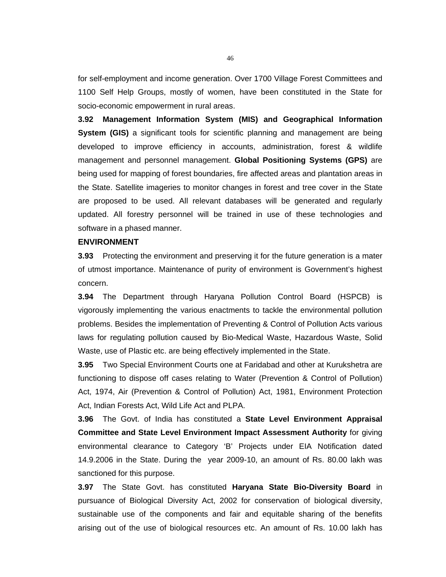for self-employment and income generation. Over 1700 Village Forest Committees and 1100 Self Help Groups, mostly of women, have been constituted in the State for socio-economic empowerment in rural areas.

**3.92 Management Information System (MIS) and Geographical Information System (GIS)** a significant tools for scientific planning and management are being developed to improve efficiency in accounts, administration, forest & wildlife management and personnel management. **Global Positioning Systems (GPS)** are being used for mapping of forest boundaries, fire affected areas and plantation areas in the State. Satellite imageries to monitor changes in forest and tree cover in the State are proposed to be used. All relevant databases will be generated and regularly updated. All forestry personnel will be trained in use of these technologies and software in a phased manner.

# **ENVIRONMENT**

**3.93** Protecting the environment and preserving it for the future generation is a mater of utmost importance. Maintenance of purity of environment is Government's highest concern.

**3.94** The Department through Haryana Pollution Control Board (HSPCB) is vigorously implementing the various enactments to tackle the environmental pollution problems. Besides the implementation of Preventing & Control of Pollution Acts various laws for regulating pollution caused by Bio-Medical Waste, Hazardous Waste, Solid Waste, use of Plastic etc. are being effectively implemented in the State.

**3.95** Two Special Environment Courts one at Faridabad and other at Kurukshetra are functioning to dispose off cases relating to Water (Prevention & Control of Pollution) Act, 1974, Air (Prevention & Control of Pollution) Act, 1981, Environment Protection Act, Indian Forests Act, Wild Life Act and PLPA.

**3.96** The Govt. of India has constituted a **State Level Environment Appraisal Committee and State Level Environment Impact Assessment Authority** for giving environmental clearance to Category 'B' Projects under EIA Notification dated 14.9.2006 in the State. During the year 2009-10, an amount of Rs. 80.00 lakh was sanctioned for this purpose.

**3.97** The State Govt. has constituted **Haryana State Bio-Diversity Board** in pursuance of Biological Diversity Act, 2002 for conservation of biological diversity, sustainable use of the components and fair and equitable sharing of the benefits arising out of the use of biological resources etc. An amount of Rs. 10.00 lakh has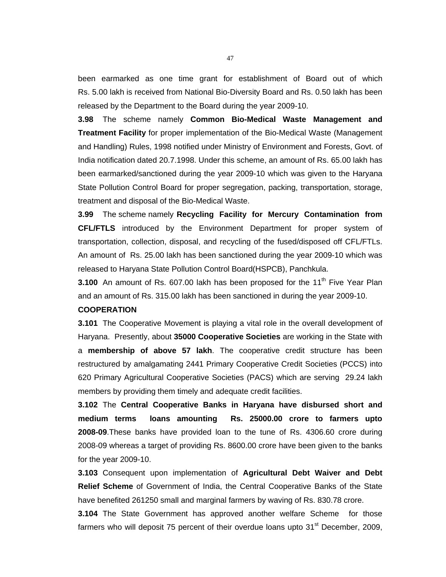been earmarked as one time grant for establishment of Board out of which Rs. 5.00 lakh is received from National Bio-Diversity Board and Rs. 0.50 lakh has been released by the Department to the Board during the year 2009-10.

**3.98** The scheme namely **Common Bio-Medical Waste Management and Treatment Facility** for proper implementation of the Bio-Medical Waste (Management and Handling) Rules, 1998 notified under Ministry of Environment and Forests, Govt. of India notification dated 20.7.1998. Under this scheme, an amount of Rs. 65.00 lakh has been earmarked/sanctioned during the year 2009-10 which was given to the Haryana State Pollution Control Board for proper segregation, packing, transportation, storage, treatment and disposal of the Bio-Medical Waste.

**3.99** The scheme namely **Recycling Facility for Mercury Contamination from CFL/FTLS** introduced by the Environment Department for proper system of transportation, collection, disposal, and recycling of the fused/disposed off CFL/FTLs. An amount of Rs. 25.00 lakh has been sanctioned during the year 2009-10 which was released to Haryana State Pollution Control Board(HSPCB), Panchkula.

**3.100** An amount of Rs. 607.00 lakh has been proposed for the 11<sup>th</sup> Five Year Plan and an amount of Rs. 315.00 lakh has been sanctioned in during the year 2009-10.

#### **COOPERATION**

**3.101** The Cooperative Movement is playing a vital role in the overall development of Haryana. Presently, about **35000 Cooperative Societies** are working in the State with a **membership of above 57 lakh**. The cooperative credit structure has been restructured by amalgamating 2441 Primary Cooperative Credit Societies (PCCS) into 620 Primary Agricultural Cooperative Societies (PACS) which are serving 29.24 lakh members by providing them timely and adequate credit facilities.

**3.102** The **Central Cooperative Banks in Haryana have disbursed short and medium terms loans amounting Rs. 25000.00 crore to farmers upto 2008-09**.These banks have provided loan to the tune of Rs. 4306.60 crore during 2008-09 whereas a target of providing Rs. 8600.00 crore have been given to the banks for the year 2009-10.

**3.103** Consequent upon implementation of **Agricultural Debt Waiver and Debt Relief Scheme** of Government of India, the Central Cooperative Banks of the State have benefited 261250 small and marginal farmers by waving of Rs. 830.78 crore.

**3.104** The State Government has approved another welfare Scheme for those farmers who will deposit 75 percent of their overdue loans upto  $31<sup>st</sup>$  December, 2009,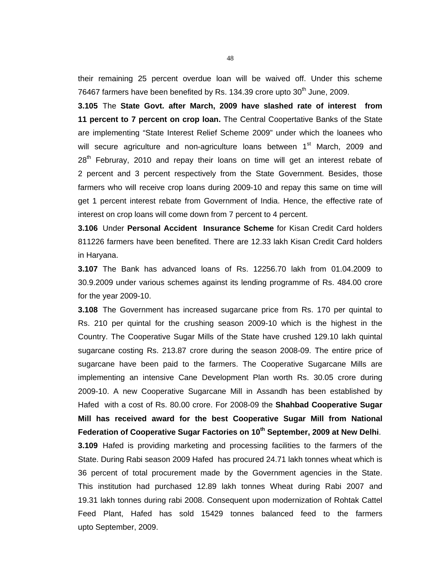their remaining 25 percent overdue loan will be waived off. Under this scheme 76467 farmers have been benefited by Rs. 134.39 crore upto  $30<sup>th</sup>$  June, 2009.

**3.105** The **State Govt. after March, 2009 have slashed rate of interest from 11 percent to 7 percent on crop loan.** The Central Coopertative Banks of the State are implementing "State Interest Relief Scheme 2009" under which the loanees who will secure agriculture and non-agriculture loans between 1<sup>st</sup> March, 2009 and  $28<sup>th</sup>$  Februray, 2010 and repay their loans on time will get an interest rebate of 2 percent and 3 percent respectively from the State Government. Besides, those farmers who will receive crop loans during 2009-10 and repay this same on time will get 1 percent interest rebate from Government of India. Hence, the effective rate of interest on crop loans will come down from 7 percent to 4 percent.

**3.106** Under **Personal Accident Insurance Scheme** for Kisan Credit Card holders 811226 farmers have been benefited. There are 12.33 lakh Kisan Credit Card holders in Haryana.

**3.107** The Bank has advanced loans of Rs. 12256.70 lakh from 01.04.2009 to 30.9.2009 under various schemes against its lending programme of Rs. 484.00 crore for the year 2009-10.

**3.108** The Government has increased sugarcane price from Rs. 170 per quintal to Rs. 210 per quintal for the crushing season 2009-10 which is the highest in the Country. The Cooperative Sugar Mills of the State have crushed 129.10 lakh quintal sugarcane costing Rs. 213.87 crore during the season 2008-09. The entire price of sugarcane have been paid to the farmers. The Cooperative Sugarcane Mills are implementing an intensive Cane Development Plan worth Rs. 30.05 crore during 2009-10. A new Cooperative Sugarcane Mill in Assandh has been established by Hafed with a cost of Rs. 80.00 crore. For 2008-09 the **Shahbad Cooperative Sugar Mill has received award for the best Cooperative Sugar Mill from National Federation of Cooperative Sugar Factories on 10th September, 2009 at New Delhi**.

**3.109** Hafed is providing marketing and processing facilities to the farmers of the State. During Rabi season 2009 Hafed has procured 24.71 lakh tonnes wheat which is 36 percent of total procurement made by the Government agencies in the State. This institution had purchased 12.89 lakh tonnes Wheat during Rabi 2007 and 19.31 lakh tonnes during rabi 2008. Consequent upon modernization of Rohtak Cattel Feed Plant, Hafed has sold 15429 tonnes balanced feed to the farmers upto September, 2009.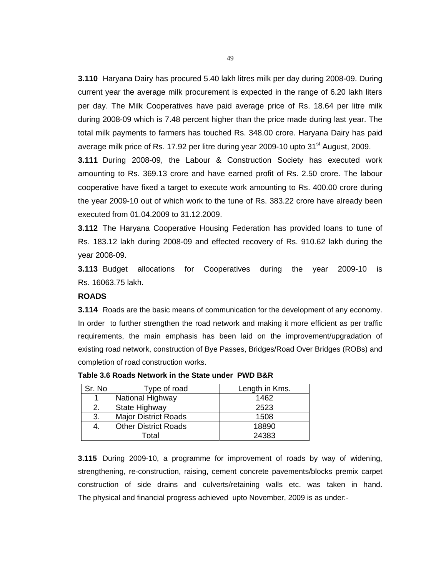**3.110** Haryana Dairy has procured 5.40 lakh litres milk per day during 2008-09. During current year the average milk procurement is expected in the range of 6.20 lakh liters per day. The Milk Cooperatives have paid average price of Rs. 18.64 per litre milk during 2008-09 which is 7.48 percent higher than the price made during last year. The total milk payments to farmers has touched Rs. 348.00 crore. Haryana Dairy has paid average milk price of Rs. 17.92 per litre during year 2009-10 upto  $31<sup>st</sup>$  August, 2009.

**3.111** During 2008-09, the Labour & Construction Society has executed work amounting to Rs. 369.13 crore and have earned profit of Rs. 2.50 crore. The labour cooperative have fixed a target to execute work amounting to Rs. 400.00 crore during the year 2009-10 out of which work to the tune of Rs. 383.22 crore have already been executed from 01.04.2009 to 31.12.2009.

**3.112** The Haryana Cooperative Housing Federation has provided loans to tune of Rs. 183.12 lakh during 2008-09 and effected recovery of Rs. 910.62 lakh during the year 2008-09.

**3.113** Budget allocations for Cooperatives during the year 2009-10 is Rs. 16063.75 lakh.

#### **ROADS**

**3.114** Roads are the basic means of communication for the development of any economy. In order to further strengthen the road network and making it more efficient as per traffic requirements, the main emphasis has been laid on the improvement/upgradation of existing road network, construction of Bye Passes, Bridges/Road Over Bridges (ROBs) and completion of road construction works.

| Sr. No                      | Type of road                | Length in Kms. |
|-----------------------------|-----------------------------|----------------|
| National Highway            |                             | 1462           |
| 2.                          | State Highway               | 2523           |
| 3.                          | <b>Major District Roads</b> | 1508           |
| <b>Other District Roads</b> |                             | 18890          |
|                             | Total                       | 24383          |

**Table 3.6 Roads Network in the State under PWD B&R**

**3.115** During 2009-10, a programme for improvement of roads by way of widening, strengthening, re-construction, raising, cement concrete pavements/blocks premix carpet construction of side drains and culverts/retaining walls etc. was taken in hand. The physical and financial progress achieved upto November, 2009 is as under:-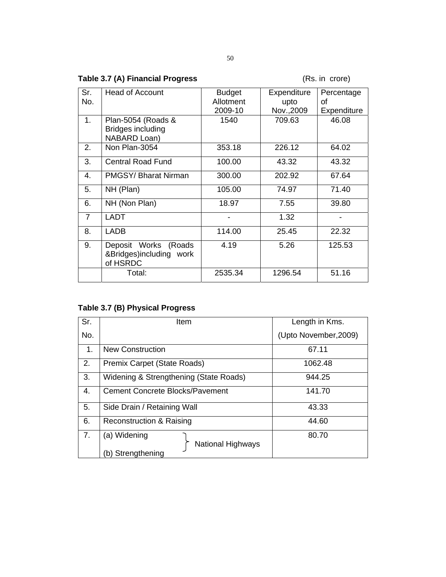# Table 3.7 (A) Financial Progress **and Capacital State (Rs. in crore)**

| Sr.<br>No.     | <b>Head of Account</b>                                         | <b>Budget</b><br>Allotment | Expenditure        | Percentage        |
|----------------|----------------------------------------------------------------|----------------------------|--------------------|-------------------|
|                |                                                                | 2009-10                    | upto<br>Nov., 2009 | οf<br>Expenditure |
| 1.             | Plan-5054 (Roads &<br><b>Bridges including</b><br>NABARD Loan) | 1540                       | 709.63             | 46.08             |
| 2.             | Non Plan-3054                                                  | 353.18                     | 226.12             | 64.02             |
| 3.             | <b>Central Road Fund</b>                                       | 100.00                     | 43.32              | 43.32             |
| 4.             | <b>PMGSY/Bharat Nirman</b>                                     | 300.00                     | 202.92             | 67.64             |
| 5.             | NH (Plan)                                                      | 105.00                     | 74.97              | 71.40             |
| 6.             | NH (Non Plan)                                                  | 18.97                      | 7.55               | 39.80             |
| $\overline{7}$ | <b>LADT</b>                                                    |                            | 1.32               |                   |
| 8.             | <b>LADB</b>                                                    | 114.00                     | 25.45              | 22.32             |
| 9.             | Deposit Works (Roads<br>&Bridges)including work<br>of HSRDC    | 4.19                       | 5.26               | 125.53            |
|                | Total:                                                         | 2535.34                    | 1296.54            | 51.16             |

# **Table 3.7 (B) Physical Progress**

| Sr.         | Item                                                          | Length in Kms.        |
|-------------|---------------------------------------------------------------|-----------------------|
| No.         |                                                               | (Upto November, 2009) |
| $1_{\cdot}$ | <b>New Construction</b>                                       | 67.11                 |
| 2.          | Premix Carpet (State Roads)                                   | 1062.48               |
| 3.          | Widening & Strengthening (State Roads)                        | 944.25                |
| 4.          | <b>Cement Concrete Blocks/Pavement</b>                        | 141.70                |
| 5.          | Side Drain / Retaining Wall                                   | 43.33                 |
| 6.          | <b>Reconstruction &amp; Raising</b>                           | 44.60                 |
| 7.          | (a) Widening<br><b>National Highways</b><br>(b) Strengthening | 80.70                 |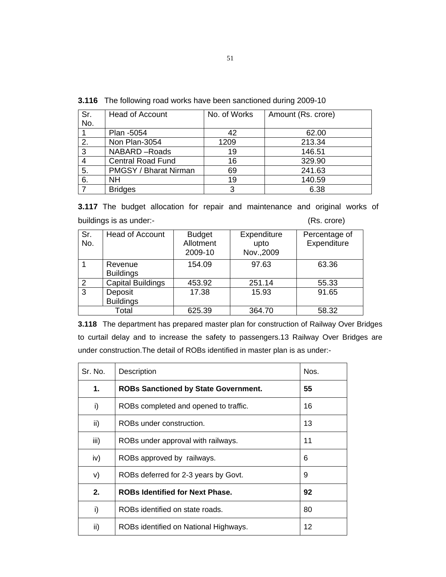**3.116** The following road works have been sanctioned during 2009-10

| Sr. | Head of Account          | No. of Works | Amount (Rs. crore) |
|-----|--------------------------|--------------|--------------------|
| No. |                          |              |                    |
|     | Plan -5054               | 42           | 62.00              |
| 2.  | Non Plan-3054            | 1209         | 213.34             |
| 3   | NABARD-Roads             | 19           | 146.51             |
| 4   | <b>Central Road Fund</b> | 16           | 329.90             |
| 5.  | PMGSY / Bharat Nirman    | 69           | 241.63             |
| 6.  | NΗ                       | 19           | 140.59             |
|     | <b>Bridges</b>           | ລ            | 6.38               |

**3.117** The budget allocation for repair and maintenance and original works of buildings is as under:-<br>
(Rs. crore)

| Sr.<br>No.   | <b>Head of Account</b>      | <b>Budget</b><br>Allotment<br>2009-10 | Expenditure<br>upto<br>Nov., 2009 | Percentage of<br>Expenditure |
|--------------|-----------------------------|---------------------------------------|-----------------------------------|------------------------------|
|              | Revenue<br><b>Buildings</b> | 154.09                                | 97.63                             | 63.36                        |
| 2            | <b>Capital Buildings</b>    | 453.92                                | 251.14                            | 55.33                        |
| $\mathbf{3}$ | Deposit<br><b>Buildings</b> | 17.38                                 | 15.93                             | 91.65                        |
|              | Total                       | 625.39                                | 364.70                            | 58.32                        |

**3.118** The department has prepared master plan for construction of Railway Over Bridges to curtail delay and to increase the safety to passengers.13 Railway Over Bridges are under construction.The detail of ROBs identified in master plan is as under:-

| Sr. No. | Description                                 | Nos. |
|---------|---------------------------------------------|------|
| 1.      | <b>ROBs Sanctioned by State Government.</b> | 55   |
| i)      | ROBs completed and opened to traffic.       | 16   |
| ii)     | ROBs under construction.                    | 13   |
| iii)    | ROBs under approval with railways.          | 11   |
| iv)     | ROBs approved by railways.                  | 6    |
| V)      | ROBs deferred for 2-3 years by Govt.        | 9    |
| 2.      | <b>ROBs Identified for Next Phase.</b>      | 92   |
| i)      | ROBs identified on state roads.             | 80   |
| ii)     | ROBs identified on National Highways.       | 12   |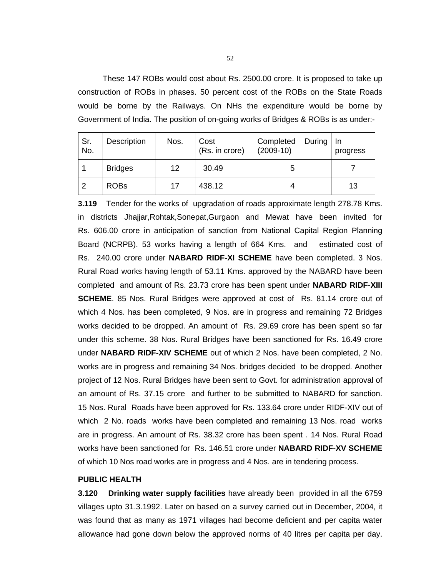These 147 ROBs would cost about Rs. 2500.00 crore. It is proposed to take up construction of ROBs in phases. 50 percent cost of the ROBs on the State Roads would be borne by the Railways. On NHs the expenditure would be borne by Government of India. The position of on-going works of Bridges & ROBs is as under:-

| Sr.<br>No. | Description    | Nos. | Cost<br>(Rs. in crore) | Completed<br>During   In<br>$(2009-10)$ | progress |
|------------|----------------|------|------------------------|-----------------------------------------|----------|
|            | <b>Bridges</b> | 12   | 30.49                  |                                         |          |
| ົ          | <b>ROBs</b>    | 17   | 438.12                 |                                         | 13       |

**3.119** Tender for the works of upgradation of roads approximate length 278.78 Kms. in districts Jhajjar,Rohtak,Sonepat,Gurgaon and Mewat have been invited for Rs. 606.00 crore in anticipation of sanction from National Capital Region Planning Board (NCRPB). 53 works having a length of 664 Kms. and estimated cost of Rs. 240.00 crore under **NABARD RIDF-XI SCHEME** have been completed. 3 Nos. Rural Road works having length of 53.11 Kms. approved by the NABARD have been completed and amount of Rs. 23.73 crore has been spent under **NABARD RIDF-XIII SCHEME**. 85 Nos. Rural Bridges were approved at cost of Rs. 81.14 crore out of which 4 Nos. has been completed, 9 Nos. are in progress and remaining 72 Bridges works decided to be dropped. An amount of Rs. 29.69 crore has been spent so far under this scheme. 38 Nos. Rural Bridges have been sanctioned for Rs. 16.49 crore under **NABARD RIDF-XIV SCHEME** out of which 2 Nos. have been completed, 2 No. works are in progress and remaining 34 Nos. bridges decided to be dropped. Another project of 12 Nos. Rural Bridges have been sent to Govt. for administration approval of an amount of Rs. 37.15 crore and further to be submitted to NABARD for sanction. 15 Nos. Rural Roads have been approved for Rs. 133.64 crore under RIDF-XIV out of which 2 No. roads works have been completed and remaining 13 Nos. road works are in progress. An amount of Rs. 38.32 crore has been spent . 14 Nos. Rural Road works have been sanctioned for Rs. 146.51 crore under **NABARD RIDF-XV SCHEME**  of which 10 Nos road works are in progress and 4 Nos. are in tendering process.

# **PUBLIC HEALTH**

**3.120 Drinking water supply facilities** have already been provided in all the 6759 villages upto 31.3.1992. Later on based on a survey carried out in December, 2004, it was found that as many as 1971 villages had become deficient and per capita water allowance had gone down below the approved norms of 40 litres per capita per day.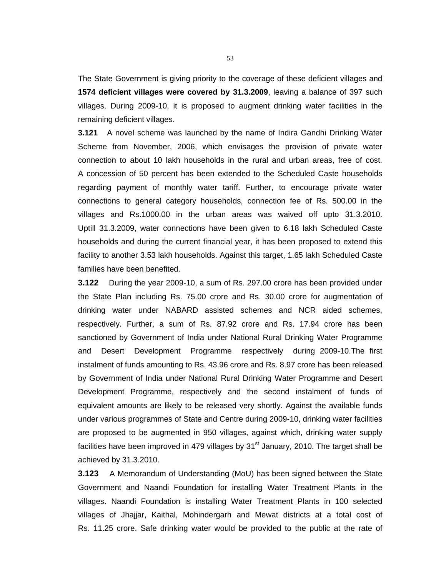The State Government is giving priority to the coverage of these deficient villages and **1574 deficient villages were covered by 31.3.2009**, leaving a balance of 397 such villages. During 2009-10, it is proposed to augment drinking water facilities in the remaining deficient villages.

**3.121** A novel scheme was launched by the name of Indira Gandhi Drinking Water Scheme from November, 2006, which envisages the provision of private water connection to about 10 lakh households in the rural and urban areas, free of cost. A concession of 50 percent has been extended to the Scheduled Caste households regarding payment of monthly water tariff. Further, to encourage private water connections to general category households, connection fee of Rs. 500.00 in the villages and Rs.1000.00 in the urban areas was waived off upto 31.3.2010. Uptill 31.3.2009, water connections have been given to 6.18 lakh Scheduled Caste households and during the current financial year, it has been proposed to extend this facility to another 3.53 lakh households. Against this target, 1.65 lakh Scheduled Caste families have been benefited.

**3.122** During the year 2009-10, a sum of Rs. 297.00 crore has been provided under the State Plan including Rs. 75.00 crore and Rs. 30.00 crore for augmentation of drinking water under NABARD assisted schemes and NCR aided schemes, respectively. Further, a sum of Rs. 87.92 crore and Rs. 17.94 crore has been sanctioned by Government of India under National Rural Drinking Water Programme and Desert Development Programme respectively during 2009-10.The first instalment of funds amounting to Rs. 43.96 crore and Rs. 8.97 crore has been released by Government of India under National Rural Drinking Water Programme and Desert Development Programme, respectively and the second instalment of funds of equivalent amounts are likely to be released very shortly. Against the available funds under various programmes of State and Centre during 2009-10, drinking water facilities are proposed to be augmented in 950 villages, against which, drinking water supply facilities have been improved in 479 villages by  $31<sup>st</sup>$  January, 2010. The target shall be achieved by 31.3.2010.

**3.123** A Memorandum of Understanding (MoU) has been signed between the State Government and Naandi Foundation for installing Water Treatment Plants in the villages. Naandi Foundation is installing Water Treatment Plants in 100 selected villages of Jhajjar, Kaithal, Mohindergarh and Mewat districts at a total cost of Rs. 11.25 crore. Safe drinking water would be provided to the public at the rate of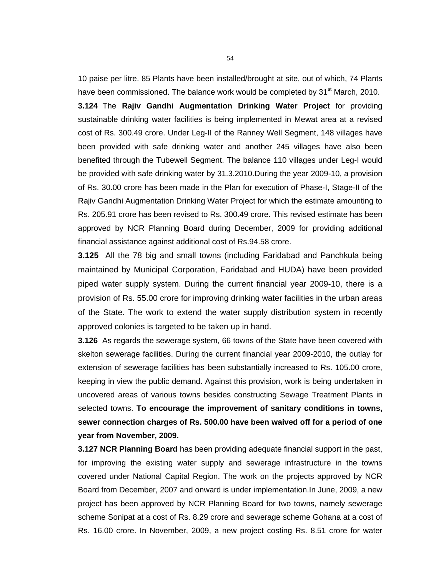10 paise per litre. 85 Plants have been installed/brought at site, out of which, 74 Plants have been commissioned. The balance work would be completed by 31<sup>st</sup> March, 2010.

**3.124** The **Rajiv Gandhi Augmentation Drinking Water Project** for providing sustainable drinking water facilities is being implemented in Mewat area at a revised cost of Rs. 300.49 crore. Under Leg-II of the Ranney Well Segment, 148 villages have been provided with safe drinking water and another 245 villages have also been benefited through the Tubewell Segment. The balance 110 villages under Leg-I would be provided with safe drinking water by 31.3.2010.During the year 2009-10, a provision of Rs. 30.00 crore has been made in the Plan for execution of Phase-I, Stage-II of the Rajiv Gandhi Augmentation Drinking Water Project for which the estimate amounting to Rs. 205.91 crore has been revised to Rs. 300.49 crore. This revised estimate has been approved by NCR Planning Board during December, 2009 for providing additional financial assistance against additional cost of Rs.94.58 crore.

**3.125** All the 78 big and small towns (including Faridabad and Panchkula being maintained by Municipal Corporation, Faridabad and HUDA) have been provided piped water supply system. During the current financial year 2009-10, there is a provision of Rs. 55.00 crore for improving drinking water facilities in the urban areas of the State. The work to extend the water supply distribution system in recently approved colonies is targeted to be taken up in hand.

**3.126** As regards the sewerage system, 66 towns of the State have been covered with skelton sewerage facilities. During the current financial year 2009-2010, the outlay for extension of sewerage facilities has been substantially increased to Rs. 105.00 crore, keeping in view the public demand. Against this provision, work is being undertaken in uncovered areas of various towns besides constructing Sewage Treatment Plants in selected towns. **To encourage the improvement of sanitary conditions in towns, sewer connection charges of Rs. 500.00 have been waived off for a period of one year from November, 2009.** 

**3.127 NCR Planning Board** has been providing adequate financial support in the past, for improving the existing water supply and sewerage infrastructure in the towns covered under National Capital Region. The work on the projects approved by NCR Board from December, 2007 and onward is under implementation.In June, 2009, a new project has been approved by NCR Planning Board for two towns, namely sewerage scheme Sonipat at a cost of Rs. 8.29 crore and sewerage scheme Gohana at a cost of Rs. 16.00 crore. In November, 2009, a new project costing Rs. 8.51 crore for water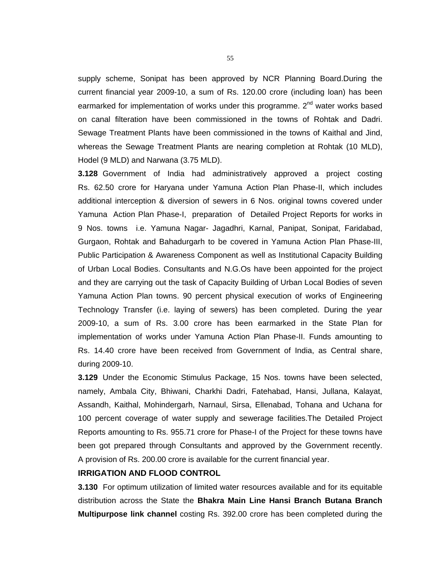supply scheme, Sonipat has been approved by NCR Planning Board.During the current financial year 2009-10, a sum of Rs. 120.00 crore (including loan) has been earmarked for implementation of works under this programme.  $2<sup>nd</sup>$  water works based on canal filteration have been commissioned in the towns of Rohtak and Dadri. Sewage Treatment Plants have been commissioned in the towns of Kaithal and Jind, whereas the Sewage Treatment Plants are nearing completion at Rohtak (10 MLD), Hodel (9 MLD) and Narwana (3.75 MLD).

**3.128** Government of India had administratively approved a project costing Rs. 62.50 crore for Haryana under Yamuna Action Plan Phase-II, which includes additional interception & diversion of sewers in 6 Nos. original towns covered under Yamuna Action Plan Phase-I, preparation of Detailed Project Reports for works in 9 Nos. towns i.e. Yamuna Nagar- Jagadhri, Karnal, Panipat, Sonipat, Faridabad, Gurgaon, Rohtak and Bahadurgarh to be covered in Yamuna Action Plan Phase-III, Public Participation & Awareness Component as well as Institutional Capacity Building of Urban Local Bodies. Consultants and N.G.Os have been appointed for the project and they are carrying out the task of Capacity Building of Urban Local Bodies of seven Yamuna Action Plan towns. 90 percent physical execution of works of Engineering Technology Transfer (i.e. laying of sewers) has been completed. During the year 2009-10, a sum of Rs. 3.00 crore has been earmarked in the State Plan for implementation of works under Yamuna Action Plan Phase-II. Funds amounting to Rs. 14.40 crore have been received from Government of India, as Central share, during 2009-10.

**3.129** Under the Economic Stimulus Package, 15 Nos. towns have been selected, namely, Ambala City, Bhiwani, Charkhi Dadri, Fatehabad, Hansi, Jullana, Kalayat, Assandh, Kaithal, Mohindergarh, Narnaul, Sirsa, Ellenabad, Tohana and Uchana for 100 percent coverage of water supply and sewerage facilities.The Detailed Project Reports amounting to Rs. 955.71 crore for Phase-I of the Project for these towns have been got prepared through Consultants and approved by the Government recently. A provision of Rs. 200.00 crore is available for the current financial year.

# **IRRIGATION AND FLOOD CONTROL**

**3.130** For optimum utilization of limited water resources available and for its equitable distribution across the State the **Bhakra Main Line Hansi Branch Butana Branch Multipurpose link channel** costing Rs. 392.00 crore has been completed during the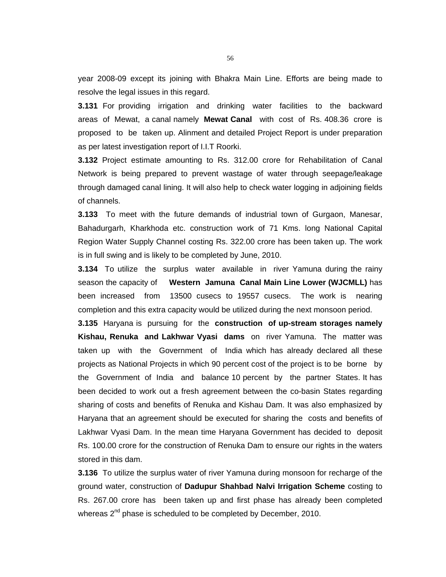year 2008-09 except its joining with Bhakra Main Line. Efforts are being made to resolve the legal issues in this regard.

**3.131** For providing irrigation and drinking water facilities to the backward areas of Mewat, a canal namely **Mewat Canal** with cost of Rs. 408.36 crore is proposed to be taken up. Alinment and detailed Project Report is under preparation as per latest investigation report of I.I.T Roorki.

**3.132** Project estimate amounting to Rs. 312.00 crore for Rehabilitation of Canal Network is being prepared to prevent wastage of water through seepage/leakage through damaged canal lining. It will also help to check water logging in adjoining fields of channels.

**3.133** To meet with the future demands of industrial town of Gurgaon, Manesar, Bahadurgarh, Kharkhoda etc. construction work of 71 Kms. long National Capital Region Water Supply Channel costing Rs. 322.00 crore has been taken up. The work is in full swing and is likely to be completed by June, 2010.

**3.134** To utilize the surplus water available in river Yamuna during the rainy season the capacity of **Western Jamuna Canal Main Line Lower (WJCMLL)** has been increased from 13500 cusecs to 19557 cusecs. The work is nearing completion and this extra capacity would be utilized during the next monsoon period.

**3.135** Haryana is pursuing for the **construction of up-stream storages namely Kishau, Renuka and Lakhwar Vyasi dams** on river Yamuna. The matter was taken up with the Government of India which has already declared all these projects as National Projects in which 90 percent cost of the project is to be borne by the Government of India and balance 10 percent by the partner States. It has been decided to work out a fresh agreement between the co-basin States regarding sharing of costs and benefits of Renuka and Kishau Dam. It was also emphasized by Haryana that an agreement should be executed for sharing the costs and benefits of Lakhwar Vyasi Dam. In the mean time Haryana Government has decided to deposit Rs. 100.00 crore for the construction of Renuka Dam to ensure our rights in the waters stored in this dam.

**3.136** To utilize the surplus water of river Yamuna during monsoon for recharge of the ground water, construction of **Dadupur Shahbad Nalvi Irrigation Scheme** costing to Rs. 267.00 crore has been taken up and first phase has already been completed whereas 2<sup>nd</sup> phase is scheduled to be completed by December, 2010.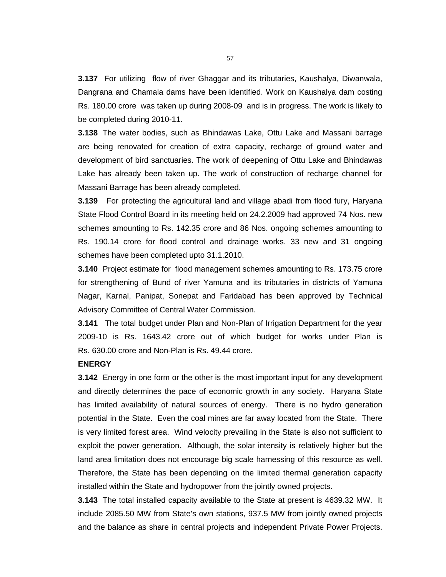**3.137** For utilizing flow of river Ghaggar and its tributaries, Kaushalya, Diwanwala, Dangrana and Chamala dams have been identified. Work on Kaushalya dam costing Rs. 180.00 crore was taken up during 2008-09 and is in progress. The work is likely to be completed during 2010-11.

**3.138** The water bodies, such as Bhindawas Lake, Ottu Lake and Massani barrage are being renovated for creation of extra capacity, recharge of ground water and development of bird sanctuaries. The work of deepening of Ottu Lake and Bhindawas Lake has already been taken up. The work of construction of recharge channel for Massani Barrage has been already completed.

**3.139** For protecting the agricultural land and village abadi from flood fury, Haryana State Flood Control Board in its meeting held on 24.2.2009 had approved 74 Nos. new schemes amounting to Rs. 142.35 crore and 86 Nos. ongoing schemes amounting to Rs. 190.14 crore for flood control and drainage works. 33 new and 31 ongoing schemes have been completed upto 31.1.2010.

**3.140** Project estimate for flood management schemes amounting to Rs. 173.75 crore for strengthening of Bund of river Yamuna and its tributaries in districts of Yamuna Nagar, Karnal, Panipat, Sonepat and Faridabad has been approved by Technical Advisory Committee of Central Water Commission.

**3.141** The total budget under Plan and Non-Plan of Irrigation Department for the year 2009-10 is Rs. 1643.42 crore out of which budget for works under Plan is Rs. 630.00 crore and Non-Plan is Rs. 49.44 crore.

### **ENERGY**

**3.142** Energy in one form or the other is the most important input for any development and directly determines the pace of economic growth in any society. Haryana State has limited availability of natural sources of energy. There is no hydro generation potential in the State. Even the coal mines are far away located from the State. There is very limited forest area. Wind velocity prevailing in the State is also not sufficient to exploit the power generation. Although, the solar intensity is relatively higher but the land area limitation does not encourage big scale harnessing of this resource as well. Therefore, the State has been depending on the limited thermal generation capacity installed within the State and hydropower from the jointly owned projects.

**3.143** The total installed capacity available to the State at present is 4639.32 MW. It include 2085.50 MW from State's own stations, 937.5 MW from jointly owned projects and the balance as share in central projects and independent Private Power Projects.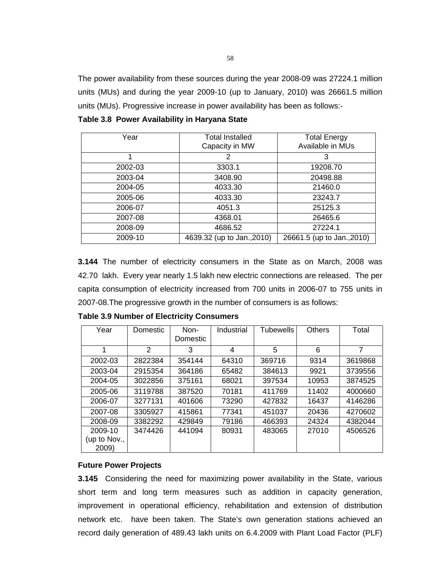The power availability from these sources during the year 2008-09 was 27224.1 million units (MUs) and during the year 2009-10 (up to January, 2010) was 26661.5 million units (MUs). Progressive increase in power availability has been as follows:-

| Year    | <b>Total Installed</b><br>Capacity in MW | <b>Total Energy</b><br>Available in MUs |
|---------|------------------------------------------|-----------------------------------------|
|         |                                          | 3                                       |
| 2002-03 | 3303.1                                   | 19208.70                                |
| 2003-04 | 3408.90                                  | 20498.88                                |
| 2004-05 | 4033.30                                  | 21460.0                                 |
| 2005-06 | 4033.30                                  | 23243.7                                 |
| 2006-07 | 4051.3                                   | 25125.3                                 |
| 2007-08 | 4368.01                                  | 26465.6                                 |
| 2008-09 | 4686.52                                  | 27224.1                                 |
| 2009-10 | 4639.32 (up to Jan., 2010)               | 26661.5 (up to Jan., 2010)              |

**Table 3.8 Power Availability in Haryana State** 

**3.144** The number of electricity consumers in the State as on March, 2008 was 42.70 lakh. Every year nearly 1.5 lakh new electric connections are released. The per capita consumption of electricity increased from 700 units in 2006-07 to 755 units in 2007-08.The progressive growth in the number of consumers is as follows:

| Year         | Domestic       | Non-<br>Domestic | Industrial | Tubewells | <b>Others</b> | Total   |
|--------------|----------------|------------------|------------|-----------|---------------|---------|
| 1            | $\overline{2}$ | 3                | 4          | 5         | 6             | 7       |
| 2002-03      | 2822384        | 354144           | 64310      | 369716    | 9314          | 3619868 |
| 2003-04      | 2915354        | 364186           | 65482      | 384613    | 9921          | 3739556 |
| 2004-05      | 3022856        | 375161           | 68021      | 397534    | 10953         | 3874525 |
| 2005-06      | 3119788        | 387520           | 70181      | 411769    | 11402         | 4000660 |
| 2006-07      | 3277131        | 401606           | 73290      | 427832    | 16437         | 4146286 |
| 2007-08      | 3305927        | 415861           | 77341      | 451037    | 20436         | 4270602 |
| 2008-09      | 3382292        | 429849           | 79186      | 466393    | 24324         | 4382044 |
| 2009-10      | 3474426        | 441094           | 80931      | 483065    | 27010         | 4506526 |
| (up to Nov., |                |                  |            |           |               |         |
| 2009)        |                |                  |            |           |               |         |

**Table 3.9 Number of Electricity Consumers** 

#### **Future Power Projects**

**3.145** Considering the need for maximizing power availability in the State, various short term and long term measures such as addition in capacity generation, improvement in operational efficiency, rehabilitation and extension of distribution network etc. have been taken. The State's own generation stations achieved an record daily generation of 489.43 lakh units on 6.4.2009 with Plant Load Factor (PLF)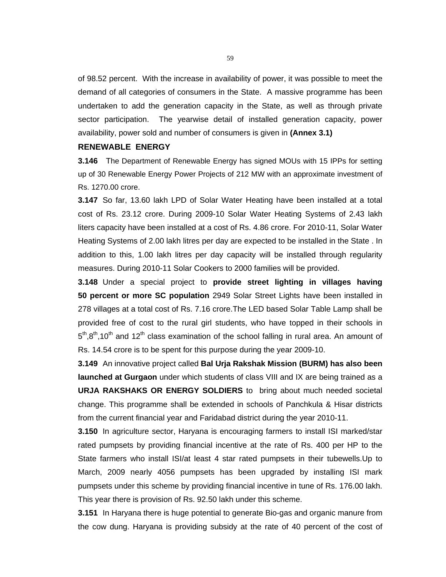of 98.52 percent. With the increase in availability of power, it was possible to meet the demand of all categories of consumers in the State. A massive programme has been undertaken to add the generation capacity in the State, as well as through private sector participation. The yearwise detail of installed generation capacity, power availability, power sold and number of consumers is given in **(Annex 3.1)**

#### **RENEWABLE ENERGY**

**3.146** The Department of Renewable Energy has signed MOUs with 15 IPPs for setting up of 30 Renewable Energy Power Projects of 212 MW with an approximate investment of Rs. 1270.00 crore.

**3.147** So far, 13.60 lakh LPD of Solar Water Heating have been installed at a total cost of Rs. 23.12 crore. During 2009-10 Solar Water Heating Systems of 2.43 lakh liters capacity have been installed at a cost of Rs. 4.86 crore. For 2010-11, Solar Water Heating Systems of 2.00 lakh litres per day are expected to be installed in the State . In addition to this, 1.00 lakh litres per day capacity will be installed through regularity measures. During 2010-11 Solar Cookers to 2000 families will be provided.

**3.148** Under a special project to **provide street lighting in villages having 50 percent or more SC population** 2949 Solar Street Lights have been installed in 278 villages at a total cost of Rs. 7.16 crore.The LED based Solar Table Lamp shall be provided free of cost to the rural girl students, who have topped in their schools in  $5<sup>th</sup>$ ,8<sup>th</sup>,10<sup>th</sup> and 12<sup>th</sup> class examination of the school falling in rural area. An amount of Rs. 14.54 crore is to be spent for this purpose during the year 2009-10.

**3.149** An innovative project called **Bal Urja Rakshak Mission (BURM) has also been launched at Gurgaon** under which students of class VIII and IX are being trained as a **URJA RAKSHAKS OR ENERGY SOLDIERS** to bring about much needed societal change. This programme shall be extended in schools of Panchkula & Hisar districts from the current financial year and Faridabad district during the year 2010-11.

**3.150** In agriculture sector, Haryana is encouraging farmers to install ISI marked/star rated pumpsets by providing financial incentive at the rate of Rs. 400 per HP to the State farmers who install ISI/at least 4 star rated pumpsets in their tubewells.Up to March, 2009 nearly 4056 pumpsets has been upgraded by installing ISI mark pumpsets under this scheme by providing financial incentive in tune of Rs. 176.00 lakh. This year there is provision of Rs. 92.50 lakh under this scheme.

**3.151** In Haryana there is huge potential to generate Bio-gas and organic manure from the cow dung. Haryana is providing subsidy at the rate of 40 percent of the cost of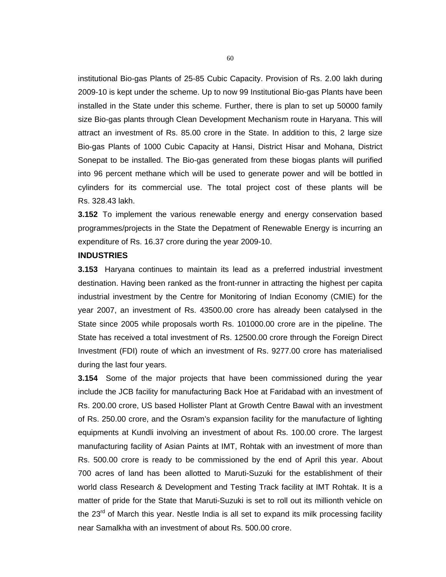institutional Bio-gas Plants of 25-85 Cubic Capacity. Provision of Rs. 2.00 lakh during 2009-10 is kept under the scheme. Up to now 99 Institutional Bio-gas Plants have been installed in the State under this scheme. Further, there is plan to set up 50000 family size Bio-gas plants through Clean Development Mechanism route in Haryana. This will attract an investment of Rs. 85.00 crore in the State. In addition to this, 2 large size Bio-gas Plants of 1000 Cubic Capacity at Hansi, District Hisar and Mohana, District Sonepat to be installed. The Bio-gas generated from these biogas plants will purified into 96 percent methane which will be used to generate power and will be bottled in cylinders for its commercial use. The total project cost of these plants will be Rs. 328.43 lakh.

**3.152** To implement the various renewable energy and energy conservation based programmes/projects in the State the Depatment of Renewable Energy is incurring an expenditure of Rs. 16.37 crore during the year 2009-10.

## **INDUSTRIES**

**3.153** Haryana continues to maintain its lead as a preferred industrial investment destination. Having been ranked as the front-runner in attracting the highest per capita industrial investment by the Centre for Monitoring of Indian Economy (CMIE) for the year 2007, an investment of Rs. 43500.00 crore has already been catalysed in the State since 2005 while proposals worth Rs. 101000.00 crore are in the pipeline. The State has received a total investment of Rs. 12500.00 crore through the Foreign Direct Investment (FDI) route of which an investment of Rs. 9277.00 crore has materialised during the last four years.

**3.154** Some of the major projects that have been commissioned during the year include the JCB facility for manufacturing Back Hoe at Faridabad with an investment of Rs. 200.00 crore, US based Hollister Plant at Growth Centre Bawal with an investment of Rs. 250.00 crore, and the Osram's expansion facility for the manufacture of lighting equipments at Kundli involving an investment of about Rs. 100.00 crore. The largest manufacturing facility of Asian Paints at IMT, Rohtak with an investment of more than Rs. 500.00 crore is ready to be commissioned by the end of April this year. About 700 acres of land has been allotted to Maruti-Suzuki for the establishment of their world class Research & Development and Testing Track facility at IMT Rohtak. It is a matter of pride for the State that Maruti-Suzuki is set to roll out its millionth vehicle on the  $23<sup>rd</sup>$  of March this year. Nestle India is all set to expand its milk processing facility near Samalkha with an investment of about Rs. 500.00 crore.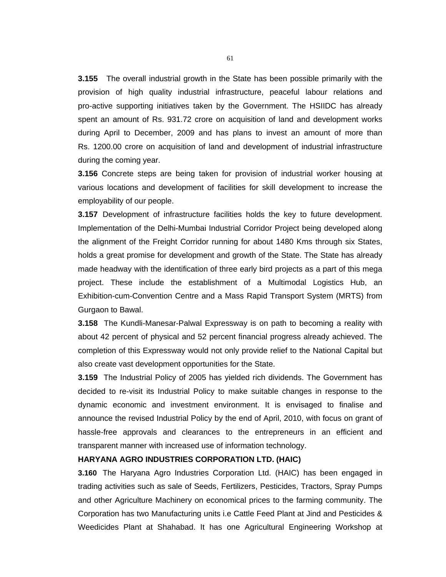**3.155** The overall industrial growth in the State has been possible primarily with the provision of high quality industrial infrastructure, peaceful labour relations and pro-active supporting initiatives taken by the Government. The HSIIDC has already spent an amount of Rs. 931.72 crore on acquisition of land and development works during April to December, 2009 and has plans to invest an amount of more than Rs. 1200.00 crore on acquisition of land and development of industrial infrastructure during the coming year.

**3.156** Concrete steps are being taken for provision of industrial worker housing at various locations and development of facilities for skill development to increase the employability of our people.

**3.157** Development of infrastructure facilities holds the key to future development. Implementation of the Delhi-Mumbai Industrial Corridor Project being developed along the alignment of the Freight Corridor running for about 1480 Kms through six States, holds a great promise for development and growth of the State. The State has already made headway with the identification of three early bird projects as a part of this mega project. These include the establishment of a Multimodal Logistics Hub, an Exhibition-cum-Convention Centre and a Mass Rapid Transport System (MRTS) from Gurgaon to Bawal.

**3.158** The Kundli-Manesar-Palwal Expressway is on path to becoming a reality with about 42 percent of physical and 52 percent financial progress already achieved. The completion of this Expressway would not only provide relief to the National Capital but also create vast development opportunities for the State.

**3.159** The Industrial Policy of 2005 has yielded rich dividends. The Government has decided to re-visit its Industrial Policy to make suitable changes in response to the dynamic economic and investment environment. It is envisaged to finalise and announce the revised Industrial Policy by the end of April, 2010, with focus on grant of hassle-free approvals and clearances to the entrepreneurs in an efficient and transparent manner with increased use of information technology.

#### **HARYANA AGRO INDUSTRIES CORPORATION LTD. (HAIC)**

**3.160** The Haryana Agro Industries Corporation Ltd. (HAIC) has been engaged in trading activities such as sale of Seeds, Fertilizers, Pesticides, Tractors, Spray Pumps and other Agriculture Machinery on economical prices to the farming community. The Corporation has two Manufacturing units i.e Cattle Feed Plant at Jind and Pesticides & Weedicides Plant at Shahabad. It has one Agricultural Engineering Workshop at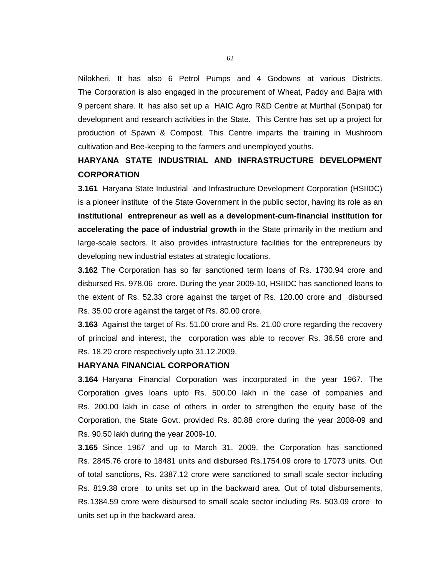Nilokheri. It has also 6 Petrol Pumps and 4 Godowns at various Districts. The Corporation is also engaged in the procurement of Wheat, Paddy and Bajra with 9 percent share. It has also set up a HAIC Agro R&D Centre at Murthal (Sonipat) for development and research activities in the State. This Centre has set up a project for production of Spawn & Compost. This Centre imparts the training in Mushroom cultivation and Bee-keeping to the farmers and unemployed youths.

# **HARYANA STATE INDUSTRIAL AND INFRASTRUCTURE DEVELOPMENT CORPORATION**

**3.161** Haryana State Industrial and Infrastructure Development Corporation (HSIIDC) is a pioneer institute of the State Government in the public sector, having its role as an **institutional entrepreneur as well as a development-cum-financial institution for accelerating the pace of industrial growth** in the State primarily in the medium and large-scale sectors. It also provides infrastructure facilities for the entrepreneurs by developing new industrial estates at strategic locations.

**3.162** The Corporation has so far sanctioned term loans of Rs. 1730.94 crore and disbursed Rs. 978.06 crore. During the year 2009-10, HSIIDC has sanctioned loans to the extent of Rs. 52.33 crore against the target of Rs. 120.00 crore and disbursed Rs. 35.00 crore against the target of Rs. 80.00 crore.

**3.163** Against the target of Rs. 51.00 crore and Rs. 21.00 crore regarding the recovery of principal and interest, the corporation was able to recover Rs. 36.58 crore and Rs. 18.20 crore respectively upto 31.12.2009.

### **HARYANA FINANCIAL CORPORATION**

**3.164** Haryana Financial Corporation was incorporated in the year 1967. The Corporation gives loans upto Rs. 500.00 lakh in the case of companies and Rs. 200.00 lakh in case of others in order to strengthen the equity base of the Corporation, the State Govt. provided Rs. 80.88 crore during the year 2008-09 and Rs. 90.50 lakh during the year 2009-10.

**3.165** Since 1967 and up to March 31, 2009, the Corporation has sanctioned Rs. 2845.76 crore to 18481 units and disbursed Rs.1754.09 crore to 17073 units. Out of total sanctions, Rs. 2387.12 crore were sanctioned to small scale sector including Rs. 819.38 crore to units set up in the backward area. Out of total disbursements, Rs.1384.59 crore were disbursed to small scale sector including Rs. 503.09 crore to units set up in the backward area.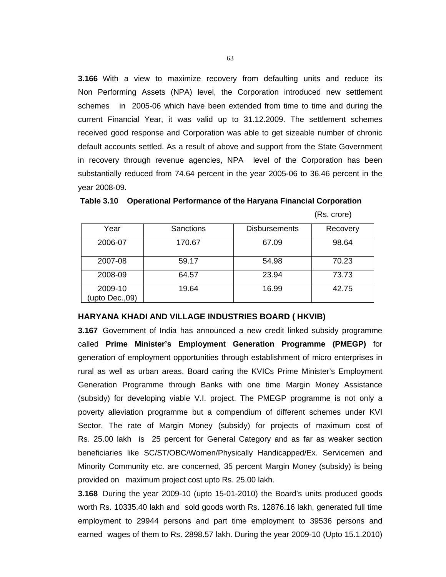**3.166** With a view to maximize recovery from defaulting units and reduce its Non Performing Assets (NPA) level, the Corporation introduced new settlement schemes in 2005-06 which have been extended from time to time and during the current Financial Year, it was valid up to 31.12.2009. The settlement schemes received good response and Corporation was able to get sizeable number of chronic default accounts settled. As a result of above and support from the State Government in recovery through revenue agencies, NPA level of the Corporation has been substantially reduced from 74.64 percent in the year 2005-06 to 36.46 percent in the year 2008-09.

 **Table 3.10 Operational Performance of the Haryana Financial Corporation** (Rs. crore)

| (Rs. crore) |  |
|-------------|--|
|-------------|--|

| Year                      | Sanctions | <b>Disbursements</b> | Recovery |
|---------------------------|-----------|----------------------|----------|
| 2006-07                   | 170.67    | 67.09                | 98.64    |
| 2007-08                   | 59.17     | 54.98                | 70.23    |
| 2008-09                   | 64.57     | 23.94                | 73.73    |
| 2009-10<br>(upto Dec.,09) | 19.64     | 16.99                | 42.75    |

#### **HARYANA KHADI AND VILLAGE INDUSTRIES BOARD ( HKVIB)**

**3.167** Government of India has announced a new credit linked subsidy programme called **Prime Minister's Employment Generation Programme (PMEGP)** for generation of employment opportunities through establishment of micro enterprises in rural as well as urban areas. Board caring the KVICs Prime Minister's Employment Generation Programme through Banks with one time Margin Money Assistance (subsidy) for developing viable V.I. project. The PMEGP programme is not only a poverty alleviation programme but a compendium of different schemes under KVI Sector. The rate of Margin Money (subsidy) for projects of maximum cost of Rs. 25.00 lakh is 25 percent for General Category and as far as weaker section beneficiaries like SC/ST/OBC/Women/Physically Handicapped/Ex. Servicemen and Minority Community etc. are concerned, 35 percent Margin Money (subsidy) is being provided on maximum project cost upto Rs. 25.00 lakh.

**3.168** During the year 2009-10 (upto 15-01-2010) the Board's units produced goods worth Rs. 10335.40 lakh and sold goods worth Rs. 12876.16 lakh, generated full time employment to 29944 persons and part time employment to 39536 persons and earned wages of them to Rs. 2898.57 lakh. During the year 2009-10 (Upto 15.1.2010)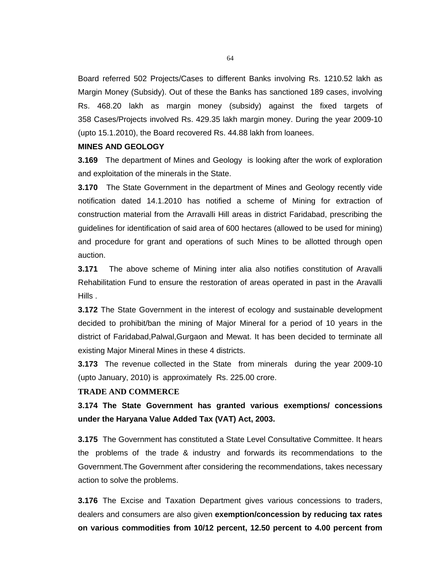Board referred 502 Projects/Cases to different Banks involving Rs. 1210.52 lakh as Margin Money (Subsidy). Out of these the Banks has sanctioned 189 cases, involving Rs. 468.20 lakh as margin money (subsidy) against the fixed targets of 358 Cases/Projects involved Rs. 429.35 lakh margin money. During the year 2009-10 (upto 15.1.2010), the Board recovered Rs. 44.88 lakh from loanees.

#### **MINES AND GEOLOGY**

**3.169** The department of Mines and Geology is looking after the work of exploration and exploitation of the minerals in the State.

**3.170** The State Government in the department of Mines and Geology recently vide notification dated 14.1.2010 has notified a scheme of Mining for extraction of construction material from the Arravalli Hill areas in district Faridabad, prescribing the guidelines for identification of said area of 600 hectares (allowed to be used for mining) and procedure for grant and operations of such Mines to be allotted through open auction.

**3.171** The above scheme of Mining inter alia also notifies constitution of Aravalli Rehabilitation Fund to ensure the restoration of areas operated in past in the Aravalli Hills .

**3.172** The State Government in the interest of ecology and sustainable development decided to prohibit/ban the mining of Major Mineral for a period of 10 years in the district of Faridabad,Palwal,Gurgaon and Mewat. It has been decided to terminate all existing Major Mineral Mines in these 4 districts.

**3.173** The revenue collected in the State from minerals during the year 2009-10 (upto January, 2010) is approximately Rs. 225.00 crore.

#### **TRADE AND COMMERCE**

**3.174 The State Government has granted various exemptions/ concessions under the Haryana Value Added Tax (VAT) Act, 2003.** 

**3.175** The Government has constituted a State Level Consultative Committee. It hears the problems of the trade & industry and forwards its recommendations to the Government.The Government after considering the recommendations, takes necessary action to solve the problems.

**3.176** The Excise and Taxation Department gives various concessions to traders, dealers and consumers are also given **exemption/concession by reducing tax rates on various commodities from 10/12 percent, 12.50 percent to 4.00 percent from**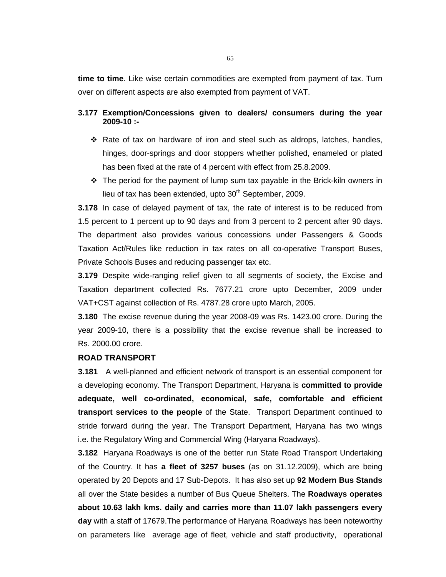**time to time**. Like wise certain commodities are exempted from payment of tax. Turn over on different aspects are also exempted from payment of VAT.

# **3.177 Exemption/Concessions given to dealers/ consumers during the year 2009-10 :-**

- \* Rate of tax on hardware of iron and steel such as aldrops, latches, handles, hinges, door-springs and door stoppers whether polished, enameled or plated has been fixed at the rate of 4 percent with effect from 25.8.2009.
- $\div$  The period for the payment of lump sum tax payable in the Brick-kiln owners in lieu of tax has been extended, upto  $30<sup>th</sup>$  September, 2009.

**3.178** In case of delayed payment of tax, the rate of interest is to be reduced from 1.5 percent to 1 percent up to 90 days and from 3 percent to 2 percent after 90 days. The department also provides various concessions under Passengers & Goods Taxation Act/Rules like reduction in tax rates on all co-operative Transport Buses, Private Schools Buses and reducing passenger tax etc.

**3.179** Despite wide-ranging relief given to all segments of society, the Excise and Taxation department collected Rs. 7677.21 crore upto December, 2009 under VAT+CST against collection of Rs. 4787.28 crore upto March, 2005.

**3.180** The excise revenue during the year 2008-09 was Rs. 1423.00 crore. During the year 2009-10, there is a possibility that the excise revenue shall be increased to Rs. 2000.00 crore.

## **ROAD TRANSPORT**

**3.181** A well-planned and efficient network of transport is an essential component for a developing economy. The Transport Department, Haryana is **committed to provide adequate, well co-ordinated, economical, safe, comfortable and efficient transport services to the people** of the State. Transport Department continued to stride forward during the year. The Transport Department, Haryana has two wings i.e. the Regulatory Wing and Commercial Wing (Haryana Roadways).

**3.182** Haryana Roadways is one of the better run State Road Transport Undertaking of the Country. It has **a fleet of 3257 buses** (as on 31.12.2009), which are being operated by 20 Depots and 17 Sub-Depots. It has also set up **92 Modern Bus Stands** all over the State besides a number of Bus Queue Shelters. The **Roadways operates about 10.63 lakh kms. daily and carries more than 11.07 lakh passengers every day** with a staff of 17679.The performance of Haryana Roadways has been noteworthy on parameters like average age of fleet, vehicle and staff productivity, operational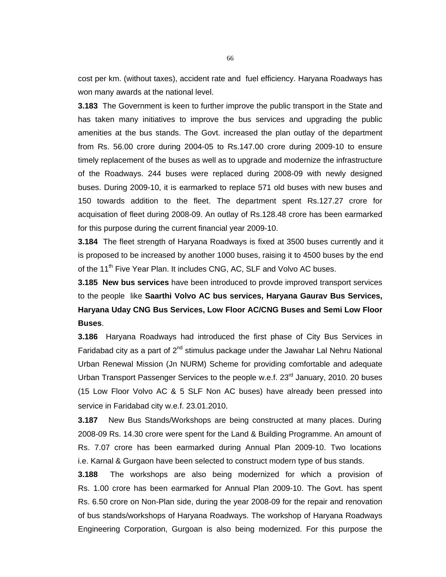cost per km. (without taxes), accident rate and fuel efficiency. Haryana Roadways has won many awards at the national level.

**3.183** The Government is keen to further improve the public transport in the State and has taken many initiatives to improve the bus services and upgrading the public amenities at the bus stands. The Govt. increased the plan outlay of the department from Rs. 56.00 crore during 2004-05 to Rs.147.00 crore during 2009-10 to ensure timely replacement of the buses as well as to upgrade and modernize the infrastructure of the Roadways. 244 buses were replaced during 2008-09 with newly designed buses. During 2009-10, it is earmarked to replace 571 old buses with new buses and 150 towards addition to the fleet. The department spent Rs.127.27 crore for acquisation of fleet during 2008-09. An outlay of Rs.128.48 crore has been earmarked for this purpose during the current financial year 2009-10.

**3.184** The fleet strength of Haryana Roadways is fixed at 3500 buses currently and it is proposed to be increased by another 1000 buses, raising it to 4500 buses by the end of the 11<sup>th</sup> Five Year Plan. It includes CNG, AC, SLF and Volvo AC buses.

**3.185 New bus services** have been introduced to provde improved transport services to the people like **Saarthi Volvo AC bus services, Haryana Gaurav Bus Services, Haryana Uday CNG Bus Services, Low Floor AC/CNG Buses and Semi Low Floor Buses**.

**3.186** Haryana Roadways had introduced the first phase of City Bus Services in Faridabad city as a part of  $2^{nd}$  stimulus package under the Jawahar Lal Nehru National Urban Renewal Mission (Jn NURM) Scheme for providing comfortable and adequate Urban Transport Passenger Services to the people w.e.f. 23<sup>rd</sup> January, 2010. 20 buses (15 Low Floor Volvo AC & 5 SLF Non AC buses) have already been pressed into service in Faridabad city w.e.f. 23.01.2010.

**3.187** New Bus Stands/Workshops are being constructed at many places. During 2008-09 Rs. 14.30 crore were spent for the Land & Building Programme. An amount of Rs. 7.07 crore has been earmarked during Annual Plan 2009-10. Two locations i.e. Karnal & Gurgaon have been selected to construct modern type of bus stands.

**3.188** The workshops are also being modernized for which a provision of Rs. 1.00 crore has been earmarked for Annual Plan 2009-10. The Govt. has spent Rs. 6.50 crore on Non-Plan side, during the year 2008-09 for the repair and renovation of bus stands/workshops of Haryana Roadways. The workshop of Haryana Roadways Engineering Corporation, Gurgoan is also being modernized. For this purpose the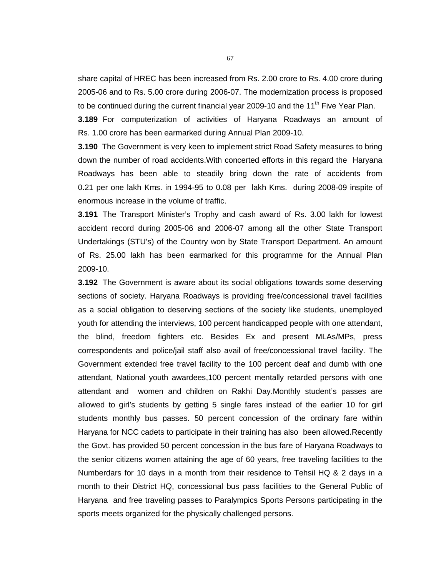share capital of HREC has been increased from Rs. 2.00 crore to Rs. 4.00 crore during 2005-06 and to Rs. 5.00 crore during 2006-07. The modernization process is proposed to be continued during the current financial year 2009-10 and the  $11<sup>th</sup>$  Five Year Plan.

**3.189** For computerization of activities of Haryana Roadways an amount of Rs. 1.00 crore has been earmarked during Annual Plan 2009-10.

**3.190** The Government is very keen to implement strict Road Safety measures to bring down the number of road accidents.With concerted efforts in this regard the Haryana Roadways has been able to steadily bring down the rate of accidents from 0.21 per one lakh Kms. in 1994-95 to 0.08 per lakh Kms. during 2008-09 inspite of enormous increase in the volume of traffic.

**3.191** The Transport Minister's Trophy and cash award of Rs. 3.00 lakh for lowest accident record during 2005-06 and 2006-07 among all the other State Transport Undertakings (STU's) of the Country won by State Transport Department. An amount of Rs. 25.00 lakh has been earmarked for this programme for the Annual Plan 2009-10.

**3.192** The Government is aware about its social obligations towards some deserving sections of society. Haryana Roadways is providing free/concessional travel facilities as a social obligation to deserving sections of the society like students, unemployed youth for attending the interviews, 100 percent handicapped people with one attendant, the blind, freedom fighters etc. Besides Ex and present MLAs/MPs, press correspondents and police/jail staff also avail of free/concessional travel facility. The Government extended free travel facility to the 100 percent deaf and dumb with one attendant, National youth awardees,100 percent mentally retarded persons with one attendant and women and children on Rakhi Day.Monthly student's passes are allowed to girl's students by getting 5 single fares instead of the earlier 10 for girl students monthly bus passes. 50 percent concession of the ordinary fare within Haryana for NCC cadets to participate in their training has also been allowed.Recently the Govt. has provided 50 percent concession in the bus fare of Haryana Roadways to the senior citizens women attaining the age of 60 years, free traveling facilities to the Numberdars for 10 days in a month from their residence to Tehsil HQ & 2 days in a month to their District HQ, concessional bus pass facilities to the General Public of Haryana and free traveling passes to Paralympics Sports Persons participating in the sports meets organized for the physically challenged persons.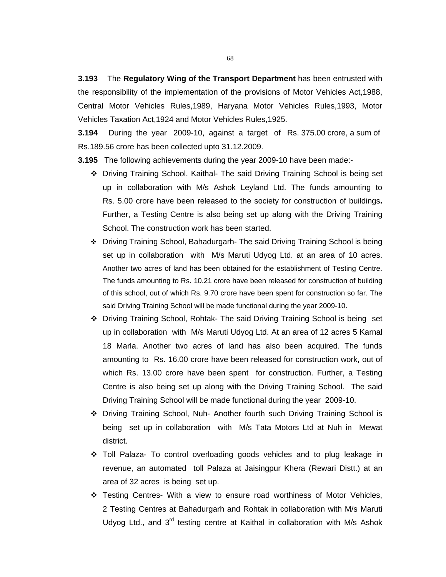**3.193** The **Regulatory Wing of the Transport Department** has been entrusted with the responsibility of the implementation of the provisions of Motor Vehicles Act,1988, Central Motor Vehicles Rules,1989, Haryana Motor Vehicles Rules,1993, Motor Vehicles Taxation Act,1924 and Motor Vehicles Rules,1925.

**3.194** During the year 2009-10, against a target of Rs. 375.00 crore, a sum of Rs.189.56 crore has been collected upto 31.12.2009.

**3.195** The following achievements during the year 2009-10 have been made:-

- Driving Training School, Kaithal- The said Driving Training School is being set up in collaboration with M/s Ashok Leyland Ltd. The funds amounting to Rs. 5.00 crore have been released to the society for construction of buildings**.**  Further, a Testing Centre is also being set up along with the Driving Training School. The construction work has been started.
- Driving Training School, Bahadurgarh- The said Driving Training School is being set up in collaboration with M/s Maruti Udyog Ltd. at an area of 10 acres. Another two acres of land has been obtained for the establishment of Testing Centre. The funds amounting to Rs. 10.21 crore have been released for construction of building of this school, out of which Rs. 9.70 crore have been spent for construction so far. The said Driving Training School will be made functional during the year 2009-10.
- Driving Training School, Rohtak- The said Driving Training School is being set up in collaboration with M/s Maruti Udyog Ltd. At an area of 12 acres 5 Karnal 18 Marla. Another two acres of land has also been acquired. The funds amounting to Rs. 16.00 crore have been released for construction work, out of which Rs. 13.00 crore have been spent for construction. Further, a Testing Centre is also being set up along with the Driving Training School. The said Driving Training School will be made functional during the year 2009-10.
- Driving Training School, Nuh- Another fourth such Driving Training School is being set up in collaboration with M/s Tata Motors Ltd at Nuh in Mewat district.
- Toll Palaza- To control overloading goods vehicles and to plug leakage in revenue, an automated toll Palaza at Jaisingpur Khera (Rewari Distt.) at an area of 32 acres is being set up.
- Testing Centres- With a view to ensure road worthiness of Motor Vehicles, 2 Testing Centres at Bahadurgarh and Rohtak in collaboration with M/s Maruti Udyog Ltd., and  $3<sup>rd</sup>$  testing centre at Kaithal in collaboration with M/s Ashok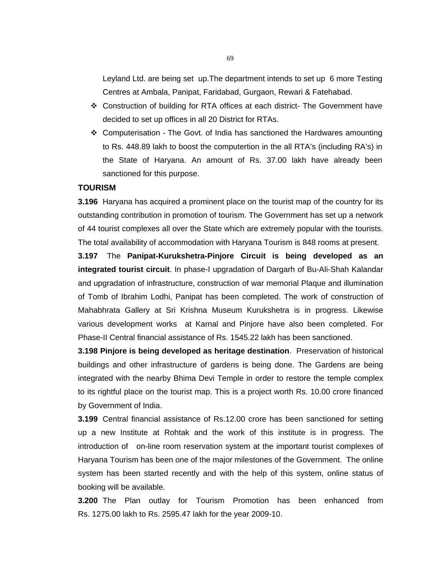Leyland Ltd. are being set up.The department intends to set up 6 more Testing Centres at Ambala, Panipat, Faridabad, Gurgaon, Rewari & Fatehabad.

- Construction of building for RTA offices at each district- The Government have decided to set up offices in all 20 District for RTAs.
- Computerisation The Govt. of India has sanctioned the Hardwares amounting to Rs. 448.89 lakh to boost the computertion in the all RTA's (including RA's) in the State of Haryana. An amount of Rs. 37.00 lakh have already been sanctioned for this purpose.

## **TOURISM**

**3.196** Haryana has acquired a prominent place on the tourist map of the country for its outstanding contribution in promotion of tourism. The Government has set up a network of 44 tourist complexes all over the State which are extremely popular with the tourists. The total availability of accommodation with Haryana Tourism is 848 rooms at present.

**3.197** The **Panipat-Kurukshetra-Pinjore Circuit is being developed as an integrated tourist circuit**. In phase-I upgradation of Dargarh of Bu-Ali-Shah Kalandar and upgradation of infrastructure, construction of war memorial Plaque and illumination of Tomb of Ibrahim Lodhi, Panipat has been completed. The work of construction of Mahabhrata Gallery at Sri Krishna Museum Kurukshetra is in progress. Likewise various development works at Karnal and Pinjore have also been completed. For Phase-II Central financial assistance of Rs. 1545.22 lakh has been sanctioned.

**3.198 Pinjore is being developed as heritage destination**. Preservation of historical buildings and other infrastructure of gardens is being done. The Gardens are being integrated with the nearby Bhima Devi Temple in order to restore the temple complex to its rightful place on the tourist map. This is a project worth Rs. 10.00 crore financed by Government of India.

**3.199** Central financial assistance of Rs.12.00 crore has been sanctioned for setting up a new Institute at Rohtak and the work of this institute is in progress. The introduction of on-line room reservation system at the important tourist complexes of Haryana Tourism has been one of the major milestones of the Government. The online system has been started recently and with the help of this system, online status of booking will be available.

**3.200** The Plan outlay for Tourism Promotion has been enhanced from Rs. 1275.00 lakh to Rs. 2595.47 lakh for the year 2009-10.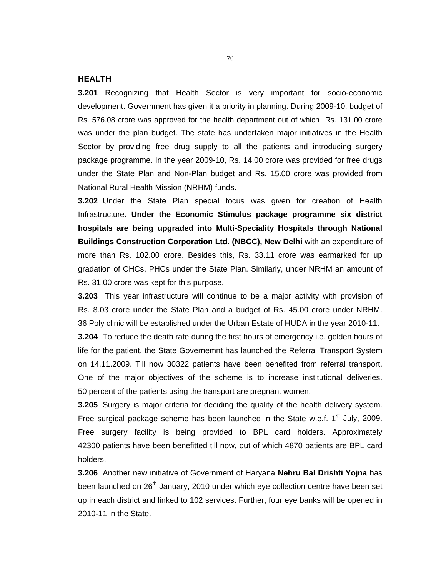#### **HEALTH**

**3.201** Recognizing that Health Sector is very important for socio-economic development. Government has given it a priority in planning. During 2009-10, budget of Rs. 576.08 crore was approved for the health department out of which Rs. 131.00 crore was under the plan budget. The state has undertaken major initiatives in the Health Sector by providing free drug supply to all the patients and introducing surgery package programme. In the year 2009-10, Rs. 14.00 crore was provided for free drugs under the State Plan and Non-Plan budget and Rs. 15.00 crore was provided from National Rural Health Mission (NRHM) funds.

**3.202** Under the State Plan special focus was given for creation of Health Infrastructure**. Under the Economic Stimulus package programme six district hospitals are being upgraded into Multi-Speciality Hospitals through National Buildings Construction Corporation Ltd. (NBCC), New Delhi** with an expenditure of more than Rs. 102.00 crore. Besides this, Rs. 33.11 crore was earmarked for up gradation of CHCs, PHCs under the State Plan. Similarly, under NRHM an amount of Rs. 31.00 crore was kept for this purpose.

**3.203** This year infrastructure will continue to be a major activity with provision of Rs. 8.03 crore under the State Plan and a budget of Rs. 45.00 crore under NRHM. 36 Poly clinic will be established under the Urban Estate of HUDA in the year 2010-11. **3.204** To reduce the death rate during the first hours of emergency i.e. golden hours of life for the patient, the State Governemnt has launched the Referral Transport System on 14.11.2009. Till now 30322 patients have been benefited from referral transport. One of the major objectives of the scheme is to increase institutional deliveries. 50 percent of the patients using the transport are pregnant women.

**3.205** Surgery is major criteria for deciding the quality of the health delivery system. Free surgical package scheme has been launched in the State w.e.f.  $1<sup>st</sup>$  July, 2009. Free surgery facility is being provided to BPL card holders. Approximately 42300 patients have been benefitted till now, out of which 4870 patients are BPL card holders.

**3.206** Another new initiative of Government of Haryana **Nehru Bal Drishti Yojna** has been launched on 26<sup>th</sup> January, 2010 under which eye collection centre have been set up in each district and linked to 102 services. Further, four eye banks will be opened in 2010-11 in the State.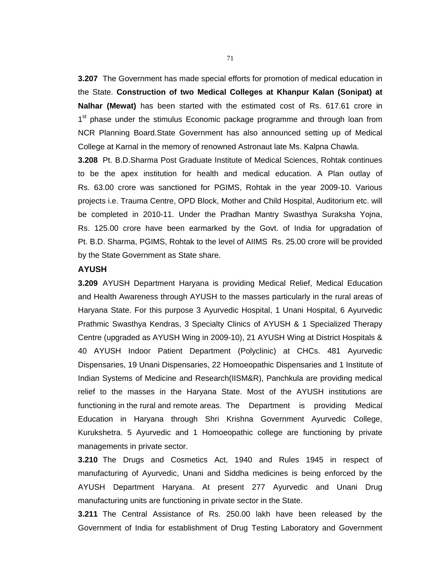**3.207** The Government has made special efforts for promotion of medical education in the State. **Construction of two Medical Colleges at Khanpur Kalan (Sonipat) at Nalhar (Mewat)** has been started with the estimated cost of Rs. 617.61 crore in 1<sup>st</sup> phase under the stimulus Economic package programme and through loan from NCR Planning Board.State Government has also announced setting up of Medical College at Karnal in the memory of renowned Astronaut late Ms. Kalpna Chawla.

**3.208** Pt. B.D.Sharma Post Graduate Institute of Medical Sciences, Rohtak continues to be the apex institution for health and medical education. A Plan outlay of Rs. 63.00 crore was sanctioned for PGIMS, Rohtak in the year 2009-10. Various projects i.e. Trauma Centre, OPD Block, Mother and Child Hospital, Auditorium etc. will be completed in 2010-11. Under the Pradhan Mantry Swasthya Suraksha Yojna, Rs. 125.00 crore have been earmarked by the Govt. of India for upgradation of Pt. B.D. Sharma, PGIMS, Rohtak to the level of AIIMS Rs. 25.00 crore will be provided by the State Government as State share.

# **AYUSH**

**3.209** AYUSH Department Haryana is providing Medical Relief, Medical Education and Health Awareness through AYUSH to the masses particularly in the rural areas of Haryana State. For this purpose 3 Ayurvedic Hospital, 1 Unani Hospital, 6 Ayurvedic Prathmic Swasthya Kendras, 3 Specialty Clinics of AYUSH & 1 Specialized Therapy Centre (upgraded as AYUSH Wing in 2009-10), 21 AYUSH Wing at District Hospitals & 40 AYUSH Indoor Patient Department (Polyclinic) at CHCs. 481 Ayurvedic Dispensaries, 19 Unani Dispensaries, 22 Homoeopathic Dispensaries and 1 Institute of Indian Systems of Medicine and Research(IISM&R), Panchkula are providing medical relief to the masses in the Haryana State. Most of the AYUSH institutions are functioning in the rural and remote areas. The Department is providing Medical Education in Haryana through Shri Krishna Government Ayurvedic College, Kurukshetra. 5 Ayurvedic and 1 Homoeopathic college are functioning by private managements in private sector.

**3.210** The Drugs and Cosmetics Act, 1940 and Rules 1945 in respect of manufacturing of Ayurvedic, Unani and Siddha medicines is being enforced by the AYUSH Department Haryana. At present 277 Ayurvedic and Unani Drug manufacturing units are functioning in private sector in the State.

**3.211** The Central Assistance of Rs. 250.00 lakh have been released by the Government of India for establishment of Drug Testing Laboratory and Government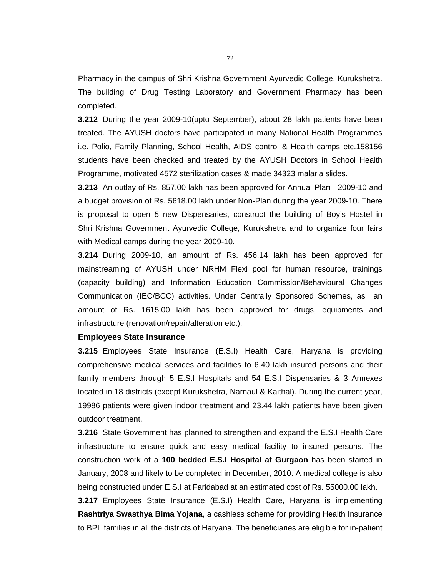Pharmacy in the campus of Shri Krishna Government Ayurvedic College, Kurukshetra. The building of Drug Testing Laboratory and Government Pharmacy has been completed.

**3.212** During the year 2009-10(upto September), about 28 lakh patients have been treated. The AYUSH doctors have participated in many National Health Programmes i.e. Polio, Family Planning, School Health, AIDS control & Health camps etc.158156 students have been checked and treated by the AYUSH Doctors in School Health Programme, motivated 4572 sterilization cases & made 34323 malaria slides.

**3.213** An outlay of Rs. 857.00 lakh has been approved for Annual Plan 2009-10 and a budget provision of Rs. 5618.00 lakh under Non-Plan during the year 2009-10. There is proposal to open 5 new Dispensaries, construct the building of Boy's Hostel in Shri Krishna Government Ayurvedic College, Kurukshetra and to organize four fairs with Medical camps during the year 2009-10.

**3.214** During 2009-10, an amount of Rs. 456.14 lakh has been approved for mainstreaming of AYUSH under NRHM Flexi pool for human resource, trainings (capacity building) and Information Education Commission/Behavioural Changes Communication (IEC/BCC) activities. Under Centrally Sponsored Schemes, as an amount of Rs. 1615.00 lakh has been approved for drugs, equipments and infrastructure (renovation/repair/alteration etc.).

# **Employees State Insurance**

**3.215** Employees State Insurance (E.S.I) Health Care, Haryana is providing comprehensive medical services and facilities to 6.40 lakh insured persons and their family members through 5 E.S.I Hospitals and 54 E.S.I Dispensaries & 3 Annexes located in 18 districts (except Kurukshetra, Narnaul & Kaithal). During the current year, 19986 patients were given indoor treatment and 23.44 lakh patients have been given outdoor treatment.

**3.216** State Government has planned to strengthen and expand the E.S.I Health Care infrastructure to ensure quick and easy medical facility to insured persons. The construction work of a **100 bedded E.S.I Hospital at Gurgaon** has been started in January, 2008 and likely to be completed in December, 2010. A medical college is also being constructed under E.S.I at Faridabad at an estimated cost of Rs. 55000.00 lakh.

**3.217** Employees State Insurance (E.S.I) Health Care, Haryana is implementing **Rashtriya Swasthya Bima Yojana**, a cashless scheme for providing Health Insurance to BPL families in all the districts of Haryana. The beneficiaries are eligible for in-patient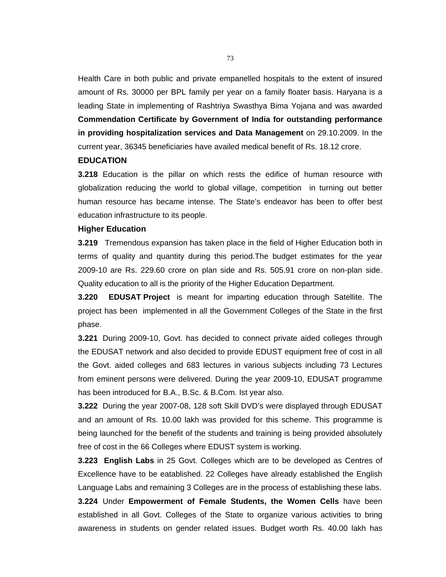Health Care in both public and private empanelled hospitals to the extent of insured amount of Rs. 30000 per BPL family per year on a family floater basis. Haryana is a leading State in implementing of Rashtriya Swasthya Bima Yojana and was awarded **Commendation Certificate by Government of India for outstanding performance in providing hospitalization services and Data Management** on 29.10.2009. In the current year, 36345 beneficiaries have availed medical benefit of Rs. 18.12 crore.

# **EDUCATION**

**3.218** Education is the pillar on which rests the edifice of human resource with globalization reducing the world to global village, competition in turning out better human resource has became intense. The State's endeavor has been to offer best education infrastructure to its people.

### **Higher Education**

**3.219** Tremendous expansion has taken place in the field of Higher Education both in terms of quality and quantity during this period.The budget estimates for the year 2009-10 are Rs. 229.60 crore on plan side and Rs. 505.91 crore on non-plan side. Quality education to all is the priority of the Higher Education Department.

**3.220 EDUSAT Project** is meant for imparting education through Satellite. The project has been implemented in all the Government Colleges of the State in the first phase.

**3.221** During 2009-10, Govt. has decided to connect private aided colleges through the EDUSAT network and also decided to provide EDUST equipment free of cost in all the Govt. aided colleges and 683 lectures in various subjects including 73 Lectures from eminent persons were delivered. During the year 2009-10, EDUSAT programme has been introduced for B.A., B.Sc. & B.Com. Ist year also.

**3.222** During the year 2007-08, 128 soft Skill DVD's were displayed through EDUSAT and an amount of Rs. 10.00 lakh was provided for this scheme. This programme is being launched for the benefit of the students and training is being provided absolutely free of cost in the 66 Colleges where EDUST system is working.

**3.223 English Labs** in 25 Govt. Colleges which are to be developed as Centres of Excellence have to be eatablished. 22 Colleges have already established the English Language Labs and remaining 3 Colleges are in the process of establishing these labs. **3.224** Under **Empowerment of Female Students, the Women Cells** have been established in all Govt. Colleges of the State to organize various activities to bring awareness in students on gender related issues. Budget worth Rs. 40.00 lakh has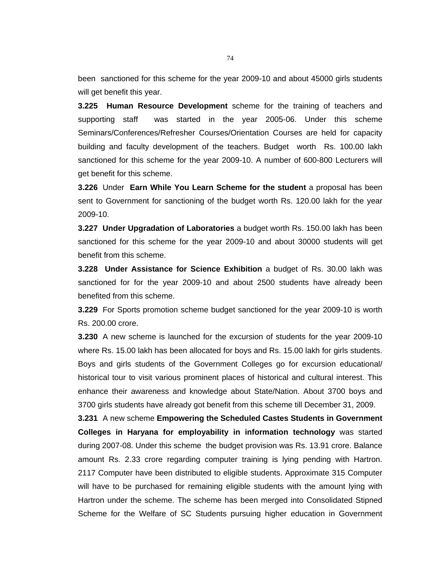been sanctioned for this scheme for the year 2009-10 and about 45000 girls students will get benefit this year.

**3.225 Human Resource Development** scheme for the training of teachers and supporting staff was started in the year 2005-06. Under this scheme Seminars/Conferences/Refresher Courses/Orientation Courses are held for capacity building and faculty development of the teachers. Budget worth Rs. 100.00 lakh sanctioned for this scheme for the year 2009-10. A number of 600-800 Lecturers will get benefit for this scheme.

**3.226** Under **Earn While You Learn Scheme for the student** a proposal has been sent to Government for sanctioning of the budget worth Rs. 120.00 lakh for the year 2009-10.

**3.227 Under Upgradation of Laboratories** a budget worth Rs. 150.00 lakh has been sanctioned for this scheme for the year 2009-10 and about 30000 students will get benefit from this scheme.

**3.228 Under Assistance for Science Exhibition** a budget of Rs. 30.00 lakh was sanctioned for for the year 2009-10 and about 2500 students have already been benefited from this scheme.

**3.229** For Sports promotion scheme budget sanctioned for the year 2009-10 is worth Rs. 200.00 crore.

**3.230** A new scheme is launched for the excursion of students for the year 2009-10 where Rs. 15.00 lakh has been allocated for boys and Rs. 15.00 lakh for girls students. Boys and girls students of the Government Colleges go for excursion educational/ historical tour to visit various prominent places of historical and cultural interest. This enhance their awareness and knowledge about State/Nation. About 3700 boys and 3700 girls students have already got benefit from this scheme till December 31, 2009.

**3.231** A new scheme **Empowering the Scheduled Castes Students in Government Colleges in Haryana for employability in information technology** was started during 2007-08. Under this scheme the budget provision was Rs. 13.91 crore. Balance amount Rs. 2.33 crore regarding computer training is lying pending with Hartron. 2117 Computer have been distributed to eligible students. Approximate 315 Computer will have to be purchased for remaining eligible students with the amount lying with Hartron under the scheme. The scheme has been merged into Consolidated Stipned Scheme for the Welfare of SC Students pursuing higher education in Government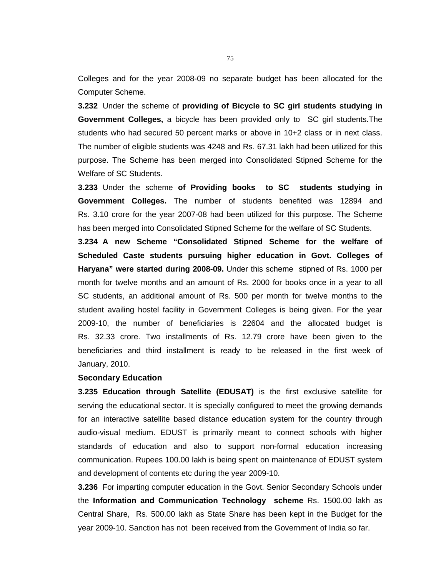Colleges and for the year 2008-09 no separate budget has been allocated for the Computer Scheme.

**3.232** Under the scheme of **providing of Bicycle to SC girl students studying in Government Colleges,** a bicycle has been provided only to SC girl students.The students who had secured 50 percent marks or above in 10+2 class or in next class. The number of eligible students was 4248 and Rs. 67.31 lakh had been utilized for this purpose. The Scheme has been merged into Consolidated Stipned Scheme for the Welfare of SC Students.

**3.233** Under the scheme **of Providing books to SC students studying in Government Colleges.** The number of students benefited was 12894 and Rs. 3.10 crore for the year 2007-08 had been utilized for this purpose. The Scheme has been merged into Consolidated Stipned Scheme for the welfare of SC Students.

**3.234 A new Scheme "Consolidated Stipned Scheme for the welfare of Scheduled Caste students pursuing higher education in Govt. Colleges of Haryana" were started during 2008-09.** Under this schemestipned of Rs. 1000 per month for twelve months and an amount of Rs. 2000 for books once in a year to all SC students, an additional amount of Rs. 500 per month for twelve months to the student availing hostel facility in Government Colleges is being given. For the year 2009-10, the number of beneficiaries is 22604 and the allocated budget is Rs. 32.33 crore. Two installments of Rs. 12.79 crore have been given to the beneficiaries and third installment is ready to be released in the first week of January, 2010.

# **Secondary Education**

**3.235 Education through Satellite (EDUSAT)** is the first exclusive satellite for serving the educational sector. It is specially configured to meet the growing demands for an interactive satellite based distance education system for the country through audio-visual medium. EDUST is primarily meant to connect schools with higher standards of education and also to support non-formal education increasing communication. Rupees 100.00 lakh is being spent on maintenance of EDUST system and development of contents etc during the year 2009-10.

**3.236** For imparting computer education in the Govt. Senior Secondary Schools under the **Information and Communication Technology scheme** Rs. 1500.00 lakh as Central Share, Rs. 500.00 lakh as State Share has been kept in the Budget for the year 2009-10. Sanction has not been received from the Government of India so far.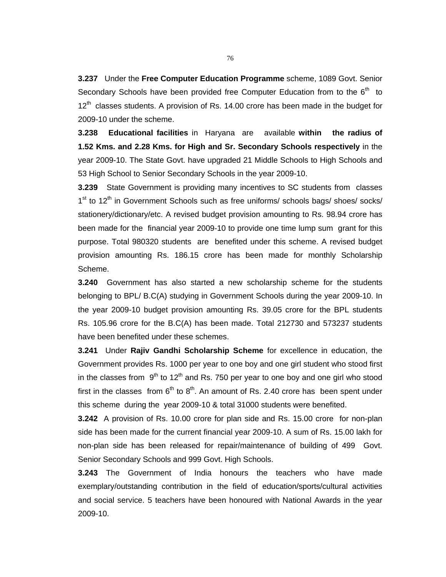**3.237** Under the **Free Computer Education Programme** scheme, 1089 Govt. Senior Secondary Schools have been provided free Computer Education from to the  $6<sup>th</sup>$  to  $12<sup>th</sup>$  classes students. A provision of Rs. 14.00 crore has been made in the budget for 2009-10 under the scheme.

**3.238 Educational facilities** in Haryana are available **within the radius of 1.52 Kms. and 2.28 Kms. for High and Sr. Secondary Schools respectively** in the year 2009-10. The State Govt. have upgraded 21 Middle Schools to High Schools and 53 High School to Senior Secondary Schools in the year 2009-10.

**3.239** State Government is providing many incentives to SC students from classes 1<sup>st</sup> to 12<sup>th</sup> in Government Schools such as free uniforms/ schools bags/ shoes/ socks/ stationery/dictionary/etc. A revised budget provision amounting to Rs. 98.94 crore has been made for the financial year 2009-10 to provide one time lump sum grant for this purpose. Total 980320 students are benefited under this scheme. A revised budget provision amounting Rs. 186.15 crore has been made for monthly Scholarship Scheme.

**3.240** Government has also started a new scholarship scheme for the students belonging to BPL/ B.C(A) studying in Government Schools during the year 2009-10. In the year 2009-10 budget provision amounting Rs. 39.05 crore for the BPL students Rs. 105.96 crore for the B.C(A) has been made. Total 212730 and 573237 students have been benefited under these schemes.

**3.241** Under **Rajiv Gandhi Scholarship Scheme** for excellence in education, the Government provides Rs. 1000 per year to one boy and one girl student who stood first in the classes from  $9<sup>th</sup>$  to 12<sup>th</sup> and Rs. 750 per year to one boy and one girl who stood first in the classes from  $6<sup>th</sup>$  to  $8<sup>th</sup>$ . An amount of Rs. 2.40 crore has been spent under this scheme during the year 2009-10 & total 31000 students were benefited.

**3.242** A provision of Rs. 10.00 crore for plan side and Rs. 15.00 crore for non-plan side has been made for the current financial year 2009-10. A sum of Rs. 15.00 lakh for non-plan side has been released for repair/maintenance of building of 499 Govt. Senior Secondary Schools and 999 Govt. High Schools.

**3.243** The Government of India honours the teachers who have made exemplary/outstanding contribution in the field of education/sports/cultural activities and social service. 5 teachers have been honoured with National Awards in the year 2009-10.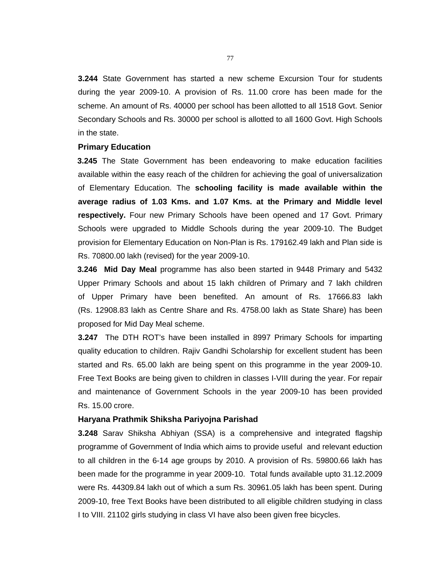**3.244** State Government has started a new scheme Excursion Tour for students during the year 2009-10. A provision of Rs. 11.00 crore has been made for the scheme. An amount of Rs. 40000 per school has been allotted to all 1518 Govt. Senior Secondary Schools and Rs. 30000 per school is allotted to all 1600 Govt. High Schools in the state.

#### **Primary Education**

 **3.245** The State Government has been endeavoring to make education facilities available within the easy reach of the children for achieving the goal of universalization of Elementary Education. The **schooling facility is made available within the average radius of 1.03 Kms. and 1.07 Kms. at the Primary and Middle level respectively.** Four new Primary Schools have been opened and 17 Govt. Primary Schools were upgraded to Middle Schools during the year 2009-10. The Budget provision for Elementary Education on Non-Plan is Rs. 179162.49 lakh and Plan side is Rs. 70800.00 lakh (revised) for the year 2009-10.

 **3.246 Mid Day Meal** programme has also been started in 9448 Primary and 5432 Upper Primary Schools and about 15 lakh children of Primary and 7 lakh children of Upper Primary have been benefited. An amount of Rs. 17666.83 lakh (Rs. 12908.83 lakh as Centre Share and Rs. 4758.00 lakh as State Share) has been proposed for Mid Day Meal scheme.

**3.247** The DTH ROT's have been installed in 8997 Primary Schools for imparting quality education to children. Rajiv Gandhi Scholarship for excellent student has been started and Rs. 65.00 lakh are being spent on this programme in the year 2009-10. Free Text Books are being given to children in classes I-VIII during the year. For repair and maintenance of Government Schools in the year 2009-10 has been provided Rs. 15.00 crore.

#### **Haryana Prathmik Shiksha Pariyojna Parishad**

**3.248** Sarav Shiksha Abhiyan (SSA) is a comprehensive and integrated flagship programme of Government of India which aims to provide useful and relevant eduction to all children in the 6-14 age groups by 2010. A provision of Rs. 59800.66 lakh has been made for the programme in year 2009-10. Total funds available upto 31.12.2009 were Rs. 44309.84 lakh out of which a sum Rs. 30961.05 lakh has been spent. During 2009-10, free Text Books have been distributed to all eligible children studying in class I to VIII. 21102 girls studying in class VI have also been given free bicycles.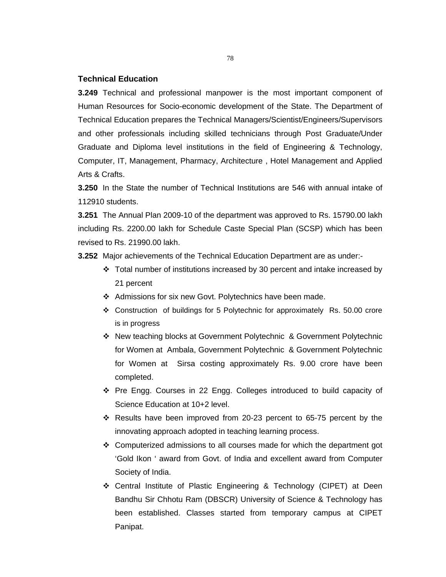### **Technical Education**

**3.249** Technical and professional manpower is the most important component of Human Resources for Socio-economic development of the State. The Department of Technical Education prepares the Technical Managers/Scientist/Engineers/Supervisors and other professionals including skilled technicians through Post Graduate/Under Graduate and Diploma level institutions in the field of Engineering & Technology, Computer, IT, Management, Pharmacy, Architecture , Hotel Management and Applied Arts & Crafts.

**3.250** In the State the number of Technical Institutions are 546 with annual intake of 112910 students.

**3.251** The Annual Plan 2009-10 of the department was approved to Rs. 15790.00 lakh including Rs. 2200.00 lakh for Schedule Caste Special Plan (SCSP) which has been revised to Rs. 21990.00 lakh.

**3.252** Major achievements of the Technical Education Department are as under:-

- Total number of institutions increased by 30 percent and intake increased by 21 percent
- \* Admissions for six new Govt. Polytechnics have been made.
- Construction of buildings for 5 Polytechnic for approximately Rs. 50.00 crore is in progress
- New teaching blocks at Government Polytechnic & Government Polytechnic for Women at Ambala, Government Polytechnic & Government Polytechnic for Women at Sirsa costing approximately Rs. 9.00 crore have been completed.
- Pre Engg. Courses in 22 Engg. Colleges introduced to build capacity of Science Education at 10+2 level.
- \* Results have been improved from 20-23 percent to 65-75 percent by the innovating approach adopted in teaching learning process.
- Computerized admissions to all courses made for which the department got 'Gold Ikon ' award from Govt. of India and excellent award from Computer Society of India.
- Central Institute of Plastic Engineering & Technology (CIPET) at Deen Bandhu Sir Chhotu Ram (DBSCR) University of Science & Technology has been established. Classes started from temporary campus at CIPET Panipat.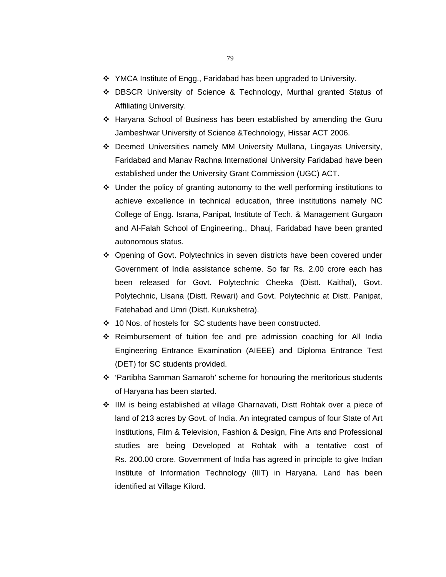- 79
- $\div$  YMCA Institute of Engg., Faridabad has been upgraded to University.
- DBSCR University of Science & Technology, Murthal granted Status of Affiliating University.
- Haryana School of Business has been established by amending the Guru Jambeshwar University of Science &Technology, Hissar ACT 2006.
- Deemed Universities namely MM University Mullana, Lingayas University, Faridabad and Manav Rachna International University Faridabad have been established under the University Grant Commission (UGC) ACT.
- Under the policy of granting autonomy to the well performing institutions to achieve excellence in technical education, three institutions namely NC College of Engg. Israna, Panipat, Institute of Tech. & Management Gurgaon and Al-Falah School of Engineering., Dhauj, Faridabad have been granted autonomous status.
- Opening of Govt. Polytechnics in seven districts have been covered under Government of India assistance scheme. So far Rs. 2.00 crore each has been released for Govt. Polytechnic Cheeka (Distt. Kaithal), Govt. Polytechnic, Lisana (Distt. Rewari) and Govt. Polytechnic at Distt. Panipat, Fatehabad and Umri (Distt. Kurukshetra).
- 10 Nos. of hostels for SC students have been constructed.
- $\div$  Reimbursement of tuition fee and pre admission coaching for All India Engineering Entrance Examination (AIEEE) and Diploma Entrance Test (DET) for SC students provided.
- 'Partibha Samman Samaroh' scheme for honouring the meritorious students of Haryana has been started.
- IIM is being established at village Gharnavati, Distt Rohtak over a piece of land of 213 acres by Govt. of India. An integrated campus of four State of Art Institutions, Film & Television, Fashion & Design, Fine Arts and Professional studies are being Developed at Rohtak with a tentative cost of Rs. 200.00 crore. Government of India has agreed in principle to give Indian Institute of Information Technology (IIIT) in Haryana. Land has been identified at Village Kilord.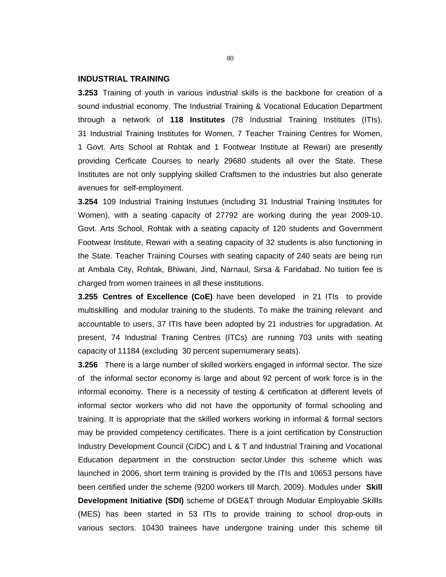#### **INDUSTRIAL TRAINING**

**3.253** Training of youth in various industrial skills is the backbone for creation of a sound industrial economy. The Industrial Training & Vocational Education Department through a network of **118 Institutes** (78 Industrial Training Institutes (ITIs), 31 Industrial Training Institutes for Women, 7 Teacher Training Centres for Women, 1 Govt. Arts School at Rohtak and 1 Footwear Institute at Rewari) are presently providing Cerficate Courses to nearly 29680 students all over the State. These Institutes are not only supplying skilled Craftsmen to the industries but also generate avenues for self-employment.

**3.254** 109 Industrial Training Instutues (including 31 Industrial Training Institutes for Women), with a seating capacity of 27792 are working during the year 2009-10. Govt. Arts School, Rohtak with a seating capacity of 120 students and Government Footwear Institute, Rewari with a seating capacity of 32 students is also functioning in the State. Teacher Training Courses with seating capacity of 240 seats are being run at Ambala City, Rohtak, Bhiwani, Jind, Narnaul, Sirsa & Faridabad. No tuition fee is charged from women trainees in all these institutions.

**3.255 Centres of Excellence (CoE)** have been developed in 21 ITIs to provide multiskilling and modular training to the students. To make the training relevant and accountable to users, 37 ITIs have been adopted by 21 industries for upgradation. At present, 74 Industrial Traning Centres (ITCs) are running 703 units with seating capacity of 11184 (excluding 30 percent supernumerary seats).

**3.256** There is a large number of skilled workers engaged in informal sector. The size of the informal sector economy is large and about 92 percent of work force is in the informal economy. There is a necessity of testing & certification at different levels of informal sector workers who did not have the opportunity of formal schooling and training. It is appropriate that the skilled workers working in informal & formal sectors may be provided competency certificates. There is a joint certification by Construction Industry Development Council (CIDC) and L & T and Industrial Training and Vocational Education department in the construction sector.Under this scheme which was launched in 2006, short term training is provided by the ITIs and 10653 persons have been certified under the scheme (9200 workers till March, 2009). Modules under **Skill Development Initiative (SDI)** scheme of DGE&T through Modular Employable Skillls (MES) has been started in 53 ITIs to provide training to school drop-outs in various sectors. 10430 trainees have undergone training under this scheme till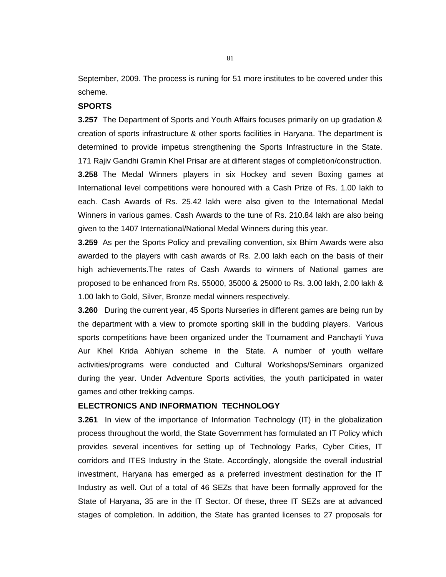September, 2009. The process is runing for 51 more institutes to be covered under this scheme.

## **SPORTS**

**3.257** The Department of Sports and Youth Affairs focuses primarily on up gradation & creation of sports infrastructure & other sports facilities in Haryana. The department is determined to provide impetus strengthening the Sports Infrastructure in the State. 171 Rajiv Gandhi Gramin Khel Prisar are at different stages of completion/construction. **3.258** The Medal Winners players in six Hockey and seven Boxing games at International level competitions were honoured with a Cash Prize of Rs. 1.00 lakh to each. Cash Awards of Rs. 25.42 lakh were also given to the International Medal Winners in various games. Cash Awards to the tune of Rs. 210.84 lakh are also being given to the 1407 International/National Medal Winners during this year.

**3.259** As per the Sports Policy and prevailing convention, six Bhim Awards were also awarded to the players with cash awards of Rs. 2.00 lakh each on the basis of their high achievements.The rates of Cash Awards to winners of National games are proposed to be enhanced from Rs. 55000, 35000 & 25000 to Rs. 3.00 lakh, 2.00 lakh & 1.00 lakh to Gold, Silver, Bronze medal winners respectively.

**3.260** During the current year, 45 Sports Nurseries in different games are being run by the department with a view to promote sporting skill in the budding players. Various sports competitions have been organized under the Tournament and Panchayti Yuva Aur Khel Krida Abhiyan scheme in the State. A number of youth welfare activities/programs were conducted and Cultural Workshops/Seminars organized during the year. Under Adventure Sports activities, the youth participated in water games and other trekking camps.

#### **ELECTRONICS AND INFORMATION TECHNOLOGY**

**3.261** In view of the importance of Information Technology (IT) in the globalization process throughout the world, the State Government has formulated an IT Policy which provides several incentives for setting up of Technology Parks, Cyber Cities, IT corridors and ITES Industry in the State. Accordingly, alongside the overall industrial investment, Haryana has emerged as a preferred investment destination for the IT Industry as well. Out of a total of 46 SEZs that have been formally approved for the State of Haryana, 35 are in the IT Sector. Of these, three IT SEZs are at advanced stages of completion. In addition, the State has granted licenses to 27 proposals for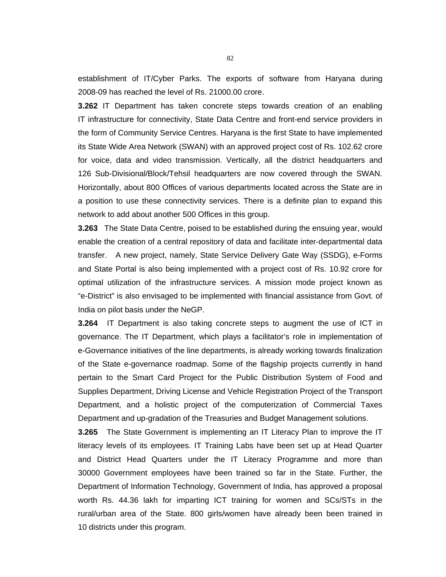establishment of IT/Cyber Parks. The exports of software from Haryana during 2008-09 has reached the level of Rs. 21000.00 crore.

**3.262** IT Department has taken concrete steps towards creation of an enabling IT infrastructure for connectivity, State Data Centre and front-end service providers in the form of Community Service Centres. Haryana is the first State to have implemented its State Wide Area Network (SWAN) with an approved project cost of Rs. 102.62 crore for voice, data and video transmission. Vertically, all the district headquarters and 126 Sub-Divisional/Block/Tehsil headquarters are now covered through the SWAN. Horizontally, about 800 Offices of various departments located across the State are in a position to use these connectivity services. There is a definite plan to expand this network to add about another 500 Offices in this group.

**3.263** The State Data Centre, poised to be established during the ensuing year, would enable the creation of a central repository of data and facilitate inter-departmental data transfer. A new project, namely, State Service Delivery Gate Way (SSDG), e-Forms and State Portal is also being implemented with a project cost of Rs. 10.92 crore for optimal utilization of the infrastructure services. A mission mode project known as "e-District" is also envisaged to be implemented with financial assistance from Govt. of India on pilot basis under the NeGP.

**3.264** IT Department is also taking concrete steps to augment the use of ICT in governance. The IT Department, which plays a facilitator's role in implementation of e-Governance initiatives of the line departments, is already working towards finalization of the State e-governance roadmap. Some of the flagship projects currently in hand pertain to the Smart Card Project for the Public Distribution System of Food and Supplies Department, Driving License and Vehicle Registration Project of the Transport Department, and a holistic project of the computerization of Commercial Taxes Department and up-gradation of the Treasuries and Budget Management solutions.

**3.265** The State Government is implementing an IT Literacy Plan to improve the IT literacy levels of its employees. IT Training Labs have been set up at Head Quarter and District Head Quarters under the IT Literacy Programme and more than 30000 Government employees have been trained so far in the State. Further, the Department of Information Technology, Government of India, has approved a proposal worth Rs. 44.36 lakh for imparting ICT training for women and SCs/STs in the rural/urban area of the State. 800 girls/women have already been been trained in 10 districts under this program.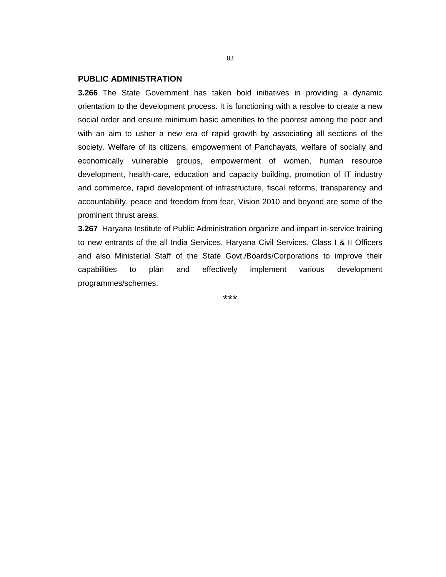## **PUBLIC ADMINISTRATION**

**3.266** The State Government has taken bold initiatives in providing a dynamic orientation to the development process. It is functioning with a resolve to create a new social order and ensure minimum basic amenities to the poorest among the poor and with an aim to usher a new era of rapid growth by associating all sections of the society. Welfare of its citizens, empowerment of Panchayats, welfare of socially and economically vulnerable groups, empowerment of women, human resource development, health-care, education and capacity building, promotion of IT industry and commerce, rapid development of infrastructure, fiscal reforms, transparency and accountability, peace and freedom from fear, Vision 2010 and beyond are some of the prominent thrust areas.

**3.267** Haryana Institute of Public Administration organize and impart in-service training to new entrants of the all India Services, Haryana Civil Services, Class I & II Officers and also Ministerial Staff of the State Govt./Boards/Corporations to improve their capabilities to plan and effectively implement various development programmes/schemes.

\*\*\*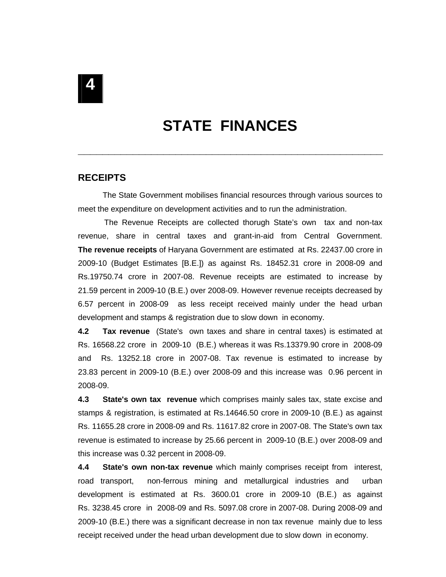# **STATE FINANCES**

**\_\_\_\_\_\_\_\_\_\_\_\_\_\_\_\_\_\_\_\_\_\_\_\_\_\_\_\_\_\_\_\_\_\_\_\_\_\_\_\_\_\_\_\_\_\_\_\_\_\_**

# **RECEIPTS**

 The State Government mobilises financial resources through various sources to meet the expenditure on development activities and to run the administration.

 The Revenue Receipts are collected thorugh State's own tax and non-tax revenue, share in central taxes and grant-in-aid from Central Government. **The revenue receipts** of Haryana Government are estimated at Rs. 22437.00 crore in 2009-10 (Budget Estimates [B.E.]) as against Rs. 18452.31 crore in 2008-09 and Rs.19750.74 crore in 2007-08. Revenue receipts are estimated to increase by 21.59 percent in 2009-10 (B.E.) over 2008-09. However revenue receipts decreased by 6.57 percent in 2008-09 as less receipt received mainly under the head urban development and stamps & registration due to slow down in economy.

**4.2 Tax revenue** (State's own taxes and share in central taxes) is estimated at Rs. 16568.22 crore in 2009-10 (B.E.) whereas it was Rs.13379.90 crore in 2008-09 and Rs. 13252.18 crore in 2007-08. Tax revenue is estimated to increase by 23.83 percent in 2009-10 (B.E.) over 2008-09 and this increase was 0.96 percent in 2008-09.

**4.3 State's own tax revenue** which comprises mainly sales tax, state excise and stamps & registration, is estimated at Rs.14646.50 crore in 2009-10 (B.E.) as against Rs. 11655.28 crore in 2008-09 and Rs. 11617.82 crore in 2007-08. The State's own tax revenue is estimated to increase by 25.66 percent in 2009-10 (B.E.) over 2008-09 and this increase was 0.32 percent in 2008-09.

**4.4 State's own non-tax revenue** which mainly comprises receipt from interest, road transport, non-ferrous mining and metallurgical industries and urban development is estimated at Rs. 3600.01 crore in 2009-10 (B.E.) as against Rs. 3238.45 crore in 2008-09 and Rs. 5097.08 crore in 2007-08. During 2008-09 and 2009-10 (B.E.) there was a significant decrease in non tax revenue mainly due to less receipt received under the head urban development due to slow down in economy.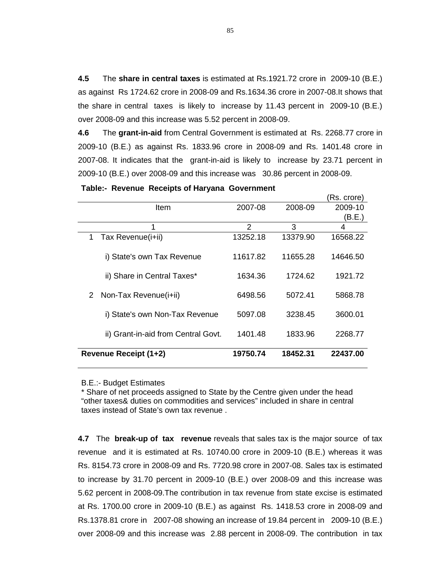**4.5** The **share in central taxes** is estimated at Rs.1921.72 crore in 2009-10 (B.E.) as against Rs 1724.62 crore in 2008-09 and Rs.1634.36 crore in 2007-08.It shows that the share in central taxes is likely to increase by 11.43 percent in 2009-10 (B.E.) over 2008-09 and this increase was 5.52 percent in 2008-09.

**4.6** The **grant-in-aid** from Central Government is estimated at Rs. 2268.77 crore in 2009-10 (B.E.) as against Rs. 1833.96 crore in 2008-09 and Rs. 1401.48 crore in 2007-08. It indicates that the grant-in-aid is likely to increase by 23.71 percent in 2009-10 (B.E.) over 2008-09 and this increase was 30.86 percent in 2008-09.

(Rs. crore)

| Item                                | 2007-08  | 2008-09  | 2009-10  |
|-------------------------------------|----------|----------|----------|
|                                     |          |          | (B.E.)   |
|                                     | 2        | 3        | 4        |
| Tax Revenue(i+ii)<br>1              | 13252.18 | 13379.90 | 16568.22 |
| i) State's own Tax Revenue          | 11617.82 | 11655.28 | 14646.50 |
| ii) Share in Central Taxes*         | 1634.36  | 1724.62  | 1921.72  |
| Non-Tax Revenue(i+ii)<br>2          | 6498.56  | 5072.41  | 5868.78  |
| i) State's own Non-Tax Revenue      | 5097.08  | 3238.45  | 3600.01  |
| ii) Grant-in-aid from Central Govt. | 1401.48  | 1833.96  | 2268.77  |
| Revenue Receipt (1+2)               | 19750.74 | 18452.31 | 22437.00 |

**Table:- Revenue Receipts of Haryana Government** 

#### B.E.:- Budget Estimates

\* Share of net proceeds assigned to State by the Centre given under the head "other taxes& duties on commodities and services" included in share in central taxes instead of State's own tax revenue .

**4.7** The **break-up of tax revenue** reveals that sales tax is the major source of tax revenue and it is estimated at Rs. 10740.00 crore in 2009-10 (B.E.) whereas it was Rs. 8154.73 crore in 2008-09 and Rs. 7720.98 crore in 2007-08. Sales tax is estimated to increase by 31.70 percent in 2009-10 (B.E.) over 2008-09 and this increase was 5.62 percent in 2008-09.The contribution in tax revenue from state excise is estimated at Rs. 1700.00 crore in 2009-10 (B.E.) as against Rs. 1418.53 crore in 2008-09 and Rs.1378.81 crore in 2007-08 showing an increase of 19.84 percent in 2009-10 (B.E.) over 2008-09 and this increase was 2.88 percent in 2008-09. The contribution in tax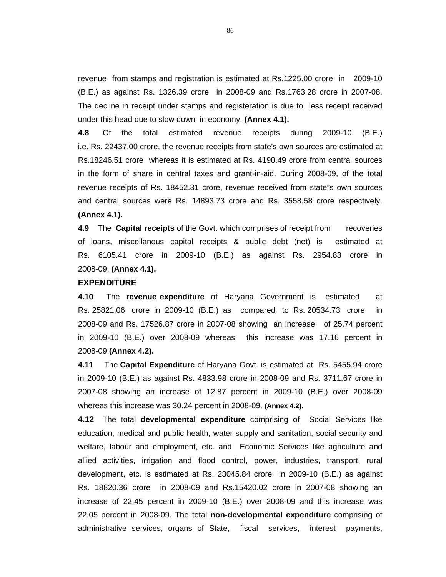revenue from stamps and registration is estimated at Rs.1225.00 crore in 2009-10 (B.E.) as against Rs. 1326.39 crore in 2008-09 and Rs.1763.28 crore in 2007-08. The decline in receipt under stamps and registeration is due to less receipt received under this head due to slow down in economy. **(Annex 4.1).**

**4.8** Of the total estimated revenue receipts during 2009-10 (B.E.) i.e. Rs. 22437.00 crore, the revenue receipts from state's own sources are estimated at Rs.18246.51 crore whereas it is estimated at Rs. 4190.49 crore from central sources in the form of share in central taxes and grant-in-aid. During 2008-09, of the total revenue receipts of Rs. 18452.31 crore, revenue received from state"s own sources and central sources were Rs. 14893.73 crore and Rs. 3558.58 crore respectively. **(Annex 4.1).** 

**4.9** The **Capital receipts** of the Govt. which comprises of receipt from recoveries of loans, miscellanous capital receipts & public debt (net) is estimated at Rs. 6105.41 crore in 2009-10 (B.E.) as against Rs. 2954.83 crore in 2008-09. **(Annex 4.1).**

#### **EXPENDITURE**

**4.10** The **revenue expenditure** of Haryana Government is estimated at Rs. 25821.06 crore in 2009-10 (B.E.) as compared to Rs. 20534.73 crore in 2008-09 and Rs. 17526.87 crore in 2007-08 showing an increase of 25.74 percent in 2009-10 (B.E.) over 2008-09 whereas this increase was 17.16 percent in 2008-09.**(Annex 4.2).**

**4.11** The **Capital Expenditure** of Haryana Govt. is estimated at Rs. 5455.94 crore in 2009-10 (B.E.) as against Rs. 4833.98 crore in 2008-09 and Rs. 3711.67 crore in 2007-08 showing an increase of 12.87 percent in 2009-10 (B.E.) over 2008-09 whereas this increase was 30.24 percent in 2008-09. **(Annex 4.2).**

**4.12** The total **developmental expenditure** comprising of Social Services like education, medical and public health, water supply and sanitation, social security and welfare, labour and employment, etc. and Economic Services like agriculture and allied activities, irrigation and flood control, power, industries, transport, rural development, etc. is estimated at Rs. 23045.84 crore in 2009-10 (B.E.) as against Rs. 18820.36 crore in 2008-09 and Rs.15420.02 crore in 2007-08 showing an increase of 22.45 percent in 2009-10 (B.E.) over 2008-09 and this increase was 22.05 percent in 2008-09. The total **non-developmental expenditure** comprising of administrative services, organs of State, fiscal services, interest payments,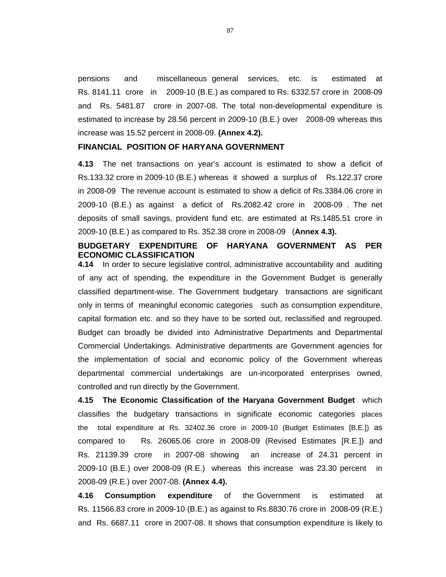pensions and miscellaneous general services, etc. is estimated at Rs. 8141.11 crore in 2009-10 (B.E.) as compared to Rs. 6332.57 crore in 2008-09 and Rs. 5481.87 crore in 2007-08. The total non-developmental expenditure is estimated to increase by 28.56 percent in 2009-10 (B.E.) over 2008-09 whereas this increase was 15.52 percent in 2008-09. **(Annex 4.2).**

### **FINANCIAL POSITION OF HARYANA GOVERNMENT**

**4.13** The net transactions on year's account is estimated to show a deficit of Rs.133.32 crore in 2009-10 (B.E.) whereas it showed a surplus of Rs.122.37 crore in 2008-09 The revenue account is estimated to show a deficit of Rs.3384.06 crore in 2009-10 (B.E.) as against a deficit of Rs.2082.42 crore in 2008-09 . The net deposits of small savings, provident fund etc. are estimated at Rs.1485.51 crore in 2009-10 (B.E.) as compared to Rs. 352.38 crore in 2008-09 (**Annex 4.3).**

# **BUDGETARY EXPENDITURE OF HARYANA GOVERNMENT AS PER ECONOMIC CLASSIFICATION**

**4.14** In order to secure legislative control, administrative accountability and auditing of any act of spending, the expenditure in the Government Budget is generally classified department-wise. The Government budgetary transactions are significant only in terms of meaningful economic categories such as consumption expenditure, capital formation etc. and so they have to be sorted out, reclassified and regrouped. Budget can broadly be divided into Administrative Departments and Departmental Commercial Undertakings. Administrative departments are Government agencies for the implementation of social and economic policy of the Government whereas departmental commercial undertakings are un-incorporated enterprises owned, controlled and run directly by the Government.

**4.15 The Economic Classification of the Haryana Government Budget** which classifies the budgetary transactions in significate economic categories places the total expenditure at Rs. 32402.36 crore in 2009-10 (Budget Estimates [B.E.]) as compared to Rs. 26065.06 crore in 2008-09 (Revised Estimates [R.E.]) and Rs. 21139.39 crore in 2007-08 showing an increase of 24.31 percent in 2009-10 (B.E.) over 2008-09 (R.E.) whereas this increase was 23.30 percent in 2008-09 (R.E.) over 2007-08. **(Annex 4.4).** 

**4.16 Consumption expenditure** of the Government is estimated at Rs. 11566.83 crore in 2009-10 (B.E.) as against to Rs.8830.76 crore in 2008-09 (R.E.) and Rs. 6687.11 crore in 2007-08. It shows that consumption expenditure is likely to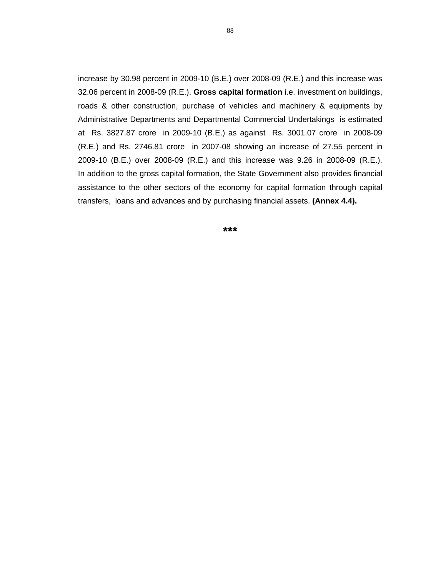increase by 30.98 percent in 2009-10 (B.E.) over 2008-09 (R.E.) and this increase was 32.06 percent in 2008-09 (R.E.). **Gross capital formation** i.e. investment on buildings, roads & other construction, purchase of vehicles and machinery & equipments by Administrative Departments and Departmental Commercial Undertakings is estimated at Rs. 3827.87 crore in 2009-10 (B.E.) as against Rs. 3001.07 crore in 2008-09 (R.E.) and Rs. 2746.81 crore in 2007-08 showing an increase of 27.55 percent in 2009-10 (B.E.) over 2008-09 (R.E.) and this increase was 9.26 in 2008-09 (R.E.). In addition to the gross capital formation, the State Government also provides financial assistance to the other sectors of the economy for capital formation through capital transfers, loans and advances and by purchasing financial assets. **(Annex 4.4).**

**\*\*\***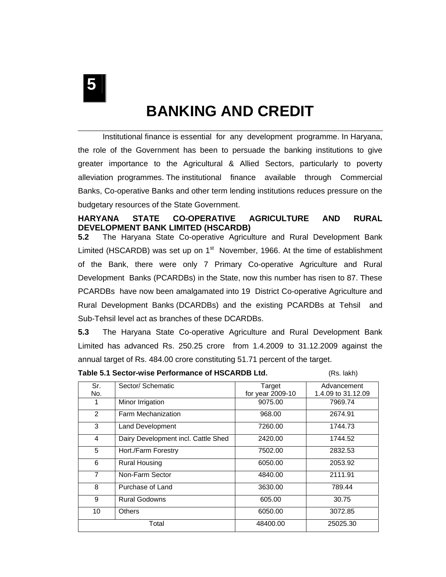**5** 

# **BANKING AND CREDIT**

Institutional finance is essential for any development programme. In Haryana, the role of the Government has been to persuade the banking institutions to give greater importance to the Agricultural & Allied Sectors, particularly to poverty alleviation programmes. The institutional finance available through Commercial Banks, Co-operative Banks and other term lending institutions reduces pressure on the budgetary resources of the State Government.

# **HARYANA STATE CO-OPERATIVE AGRICULTURE AND RURAL DEVELOPMENT BANK LIMITED (HSCARDB)**

**5.2** The Haryana State Co-operative Agriculture and Rural Development Bank Limited (HSCARDB) was set up on  $1<sup>st</sup>$  November, 1966. At the time of establishment of the Bank, there were only 7 Primary Co-operative Agriculture and Rural Development Banks (PCARDBs) in the State, now this number has risen to 87. These PCARDBs have now been amalgamated into 19 District Co-operative Agriculture and Rural Development Banks (DCARDBs) and the existing PCARDBs at Tehsil and Sub-Tehsil level act as branches of these DCARDBs.

**5.3** The Haryana State Co-operative Agriculture and Rural Development Bank Limited has advanced Rs. 250.25 crore from 1.4.2009 to 31.12.2009 against the annual target of Rs. 484.00 crore constituting 51.71 percent of the target.

| Table 5.1 Sector-wise Performance of HSCARDB Ltd. | (Rs. lakh) |
|---------------------------------------------------|------------|
|---------------------------------------------------|------------|

| Sr.            | Sector/ Schematic                   | Target           | Advancement        |
|----------------|-------------------------------------|------------------|--------------------|
| No.            |                                     | for year 2009-10 | 1.4.09 to 31.12.09 |
| 1              | Minor Irrigation                    | 9075.00          | 7969.74            |
| 2              | Farm Mechanization                  | 968.00           | 2674.91            |
| 3              | Land Development                    | 7260.00          | 1744.73            |
| 4              | Dairy Development incl. Cattle Shed | 2420.00          | 1744.52            |
| 5              | Hort./Farm Forestry                 | 7502.00          | 2832.53            |
| 6              | <b>Rural Housing</b>                | 6050.00          | 2053.92            |
| $\overline{7}$ | Non-Farm Sector                     | 4840.00          | 2111.91            |
| 8              | Purchase of Land                    | 3630.00          | 789.44             |
| 9              | <b>Rural Godowns</b>                | 605.00           | 30.75              |
| 10             | <b>Others</b>                       | 6050.00          | 3072.85            |
|                | Total                               | 48400.00         | 25025.30           |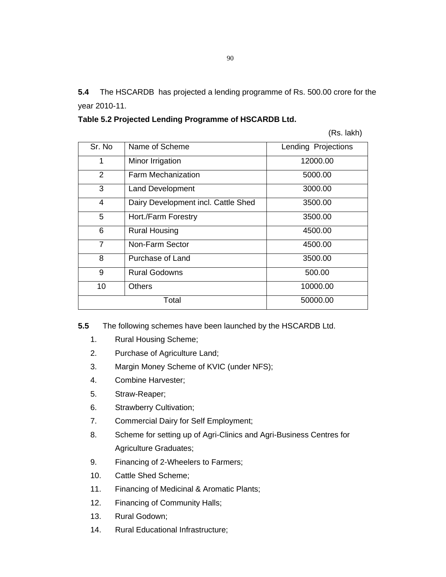**5.4** The HSCARDB has projected a lending programme of Rs. 500.00 crore for the year 2010-11.

| Table 5.2 Projected Lending Programme of HSCARDB Ltd. |
|-------------------------------------------------------|
|-------------------------------------------------------|

(Rs. lakh)

| Sr. No | Name of Scheme                      | Lending Projections |
|--------|-------------------------------------|---------------------|
| 1      | Minor Irrigation                    | 12000.00            |
| 2      | Farm Mechanization                  | 5000.00             |
| 3      | <b>Land Development</b>             | 3000.00             |
| 4      | Dairy Development incl. Cattle Shed | 3500.00             |
| 5      | Hort./Farm Forestry                 | 3500.00             |
| 6      | <b>Rural Housing</b>                | 4500.00             |
| 7      | Non-Farm Sector                     | 4500.00             |
| 8      | Purchase of Land                    | 3500.00             |
| 9      | <b>Rural Godowns</b>                | 500.00              |
| 10     | <b>Others</b>                       | 10000.00            |
|        | Total                               | 50000.00            |

**5.5** The following schemes have been launched by the HSCARDB Ltd.

- 1. Rural Housing Scheme;
- 2. Purchase of Agriculture Land;
- 3. Margin Money Scheme of KVIC (under NFS);
- 4. Combine Harvester;
- 5. Straw-Reaper;
- 6. Strawberry Cultivation;
- 7. Commercial Dairy for Self Employment;
- 8. Scheme for setting up of Agri-Clinics and Agri-Business Centres for Agriculture Graduates;
- 9. Financing of 2-Wheelers to Farmers;
- 10. Cattle Shed Scheme;
- 11. Financing of Medicinal & Aromatic Plants;
- 12. Financing of Community Halls;
- 13. Rural Godown;
- 14. Rural Educational Infrastructure;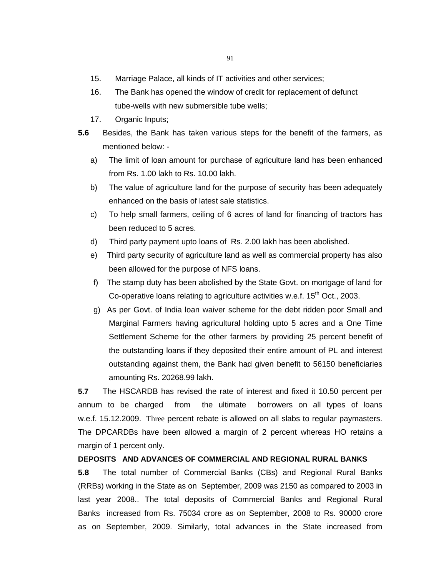- 15. Marriage Palace, all kinds of IT activities and other services;
- 16. The Bank has opened the window of credit for replacement of defunct tube-wells with new submersible tube wells;
- 17. Organic Inputs;
- **5.6** Besides, the Bank has taken various steps for the benefit of the farmers, as mentioned below:
	- a) The limit of loan amount for purchase of agriculture land has been enhanced from Rs. 1.00 lakh to Rs. 10.00 lakh.
	- b) The value of agriculture land for the purpose of security has been adequately enhanced on the basis of latest sale statistics.
	- c) To help small farmers, ceiling of 6 acres of land for financing of tractors has been reduced to 5 acres.
	- d) Third party payment upto loans of Rs. 2.00 lakh has been abolished.
	- e) Third party security of agriculture land as well as commercial property has also been allowed for the purpose of NFS loans.
	- f) The stamp duty has been abolished by the State Govt. on mortgage of land for Co-operative loans relating to agriculture activities w.e.f.  $15<sup>th</sup>$  Oct., 2003.
	- g) As per Govt. of India loan waiver scheme for the debt ridden poor Small and Marginal Farmers having agricultural holding upto 5 acres and a One Time Settlement Scheme for the other farmers by providing 25 percent benefit of the outstanding loans if they deposited their entire amount of PL and interest outstanding against them, the Bank had given benefit to 56150 beneficiaries amounting Rs. 20268.99 lakh.

**5.7** The HSCARDB has revised the rate of interest and fixed it 10.50 percent per annum to be charged from the ultimate borrowers on all types of loans w.e.f. 15.12.2009. Three percent rebate is allowed on all slabs to regular paymasters. The DPCARDBs have been allowed a margin of 2 percent whereas HO retains a margin of 1 percent only.

# **DEPOSITS AND ADVANCES OF COMMERCIAL AND REGIONAL RURAL BANKS**

**5.8** The total number of Commercial Banks (CBs) and Regional Rural Banks (RRBs) working in the State as on September, 2009 was 2150 as compared to 2003 in last year 2008.. The total deposits of Commercial Banks and Regional Rural Banks increased from Rs. 75034 crore as on September, 2008 to Rs. 90000 crore as on September, 2009. Similarly, total advances in the State increased from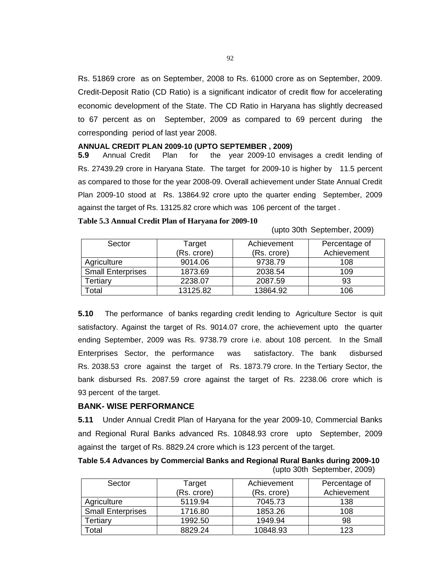Rs. 51869 crore as on September, 2008 to Rs. 61000 crore as on September, 2009. Credit-Deposit Ratio (CD Ratio) is a significant indicator of credit flow for accelerating economic development of the State. The CD Ratio in Haryana has slightly decreased to 67 percent as on September, 2009 as compared to 69 percent during the corresponding period of last year 2008.

#### **ANNUAL CREDIT PLAN 2009-10 (UPTO SEPTEMBER , 2009)**

**5.9** Annual Credit Plan for the year 2009-10 envisages a credit lending of Rs. 27439.29 crore in Haryana State. The target for 2009-10 is higher by 11.5 percent as compared to those for the year 2008-09. Overall achievement under State Annual Credit Plan 2009-10 stood at Rs. 13864.92 crore upto the quarter ending September, 2009 against the target of Rs. 13125.82 crore which was 106 percent of the target .

#### **Table 5.3 Annual Credit Plan of Haryana for 2009-10**

(upto 30th September, 2009)

| Sector                   | Target      | Achievement | Percentage of |
|--------------------------|-------------|-------------|---------------|
|                          | (Rs. crore) | (Rs. crore) | Achievement   |
| Agriculture              | 9014.06     | 9738.79     | 108           |
| <b>Small Enterprises</b> | 1873.69     | 2038.54     | 109           |
| Tertiarv                 | 2238.07     | 2087.59     | 93            |
| Гоtal                    | 13125.82    | 13864.92    | 106           |

**5.10** The performance of banks regarding credit lending to Agriculture Sector is quit satisfactory. Against the target of Rs. 9014.07 crore, the achievement upto the quarter ending September, 2009 was Rs. 9738.79 crore i.e. about 108 percent. In the Small Enterprises Sector, the performance was satisfactory. The bank disbursed Rs. 2038.53 crore against the target of Rs. 1873.79 crore. In the Tertiary Sector, the bank disbursed Rs. 2087.59 crore against the target of Rs. 2238.06 crore which is 93 percent of the target.

## **BANK- WISE PERFORMANCE**

**5.11** Under Annual Credit Plan of Haryana for the year 2009-10, Commercial Banks and Regional Rural Banks advanced Rs. 10848.93 crore upto September, 2009 against the target of Rs. 8829.24 crore which is 123 percent of the target.

**Table 5.4 Advances by Commercial Banks and Regional Rural Banks during 2009-10**  (upto 30th September, 2009)

| Sector                   | Target<br>(Rs. crore) | Achievement<br>(Rs. crore) | Percentage of<br>Achievement |
|--------------------------|-----------------------|----------------------------|------------------------------|
|                          |                       |                            |                              |
| Agriculture              | 5119.94               | 7045.73                    | 138                          |
| <b>Small Enterprises</b> | 1716.80               | 1853.26                    | 108                          |
| ertiary <sup>-</sup>     | 1992.50               | 1949.94                    | 98                           |
| otal <sup>-</sup>        | 8829.24               | 10848.93                   | 123                          |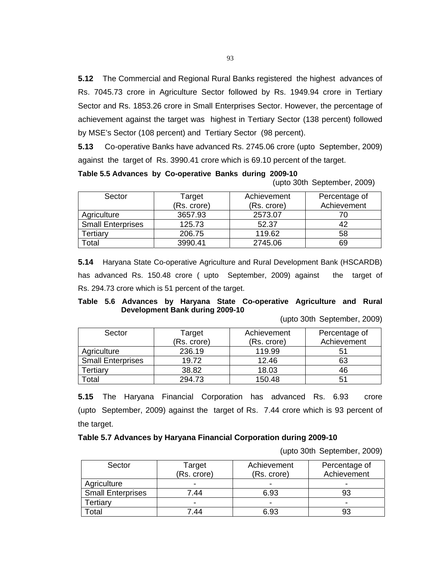**5.12** The Commercial and Regional Rural Banks registered the highest advances of Rs. 7045.73 crore in Agriculture Sector followed by Rs. 1949.94 crore in Tertiary Sector and Rs. 1853.26 crore in Small Enterprises Sector. However, the percentage of achievement against the target was highest in Tertiary Sector (138 percent) followed by MSE's Sector (108 percent) and Tertiary Sector (98 percent).

**5.13** Co-operative Banks have advanced Rs. 2745.06 crore (upto September, 2009) against the target of Rs. 3990.41 crore which is 69.10 percent of the target.

| Table 5.5 Advances by Co-operative Banks during 2009-10 |  |  |  |  |  |
|---------------------------------------------------------|--|--|--|--|--|
|---------------------------------------------------------|--|--|--|--|--|

(upto 30th September, 2009)

| Sector                   | Target<br>(Rs. crore) | Achievement<br>(Rs. crore) | Percentage of<br>Achievement |
|--------------------------|-----------------------|----------------------------|------------------------------|
| Agriculture              | 3657.93               | 2573.07                    |                              |
| <b>Small Enterprises</b> | 125.73                | 52.37                      |                              |
| Tertiary                 | 206.75                | 119.62                     | 58                           |
| otal <sup>-</sup>        | 3990.41               | 2745.06                    | 69                           |

**5.14** Haryana State Co-operative Agriculture and Rural Development Bank (HSCARDB) has advanced Rs. 150.48 crore ( upto September, 2009) against the target of Rs. 294.73 crore which is 51 percent of the target.

# **Table 5.6 Advances by Haryana State Co-operative Agriculture and Rural Development Bank during 2009-10**

(upto 30th September, 2009)

| Sector                   | Target      | Achievement | Percentage of |
|--------------------------|-------------|-------------|---------------|
|                          | (Rs. crore) | (Rs. crore) | Achievement   |
| Agriculture              | 236.19      | 119.99      | 51            |
| <b>Small Enterprises</b> | 19.72       | 12.46       | 63            |
| Tertiary                 | 38.82       | 18.03       | 46            |
| otal <sup>-</sup>        | 294.73      | 150.48      | 51            |

**5.15** The Haryana Financial Corporation has advanced Rs. 6.93 crore (upto September, 2009) against the target of Rs. 7.44 crore which is 93 percent of the target.

# **Table 5.7 Advances by Haryana Financial Corporation during 2009-10**

(upto 30th September, 2009)

| Sector                   | Target      | Achievement              | Percentage of |
|--------------------------|-------------|--------------------------|---------------|
|                          | (Rs. crore) | (Rs. crore)              | Achievement   |
| Agriculture              |             | $\,$                     |               |
| <b>Small Enterprises</b> | 7.44        | 6.93                     | 93            |
| Tertiary                 | -           | $\overline{\phantom{0}}$ | -             |
| otal <sup>-</sup>        | .44         | 6.93                     |               |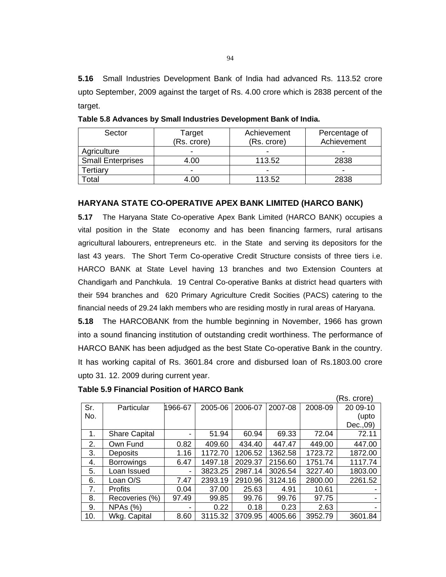**5.16** Small Industries Development Bank of India had advanced Rs. 113.52 crore upto September, 2009 against the target of Rs. 4.00 crore which is 2838 percent of the target.

| Sector                   | Target<br>(Rs. crore)    | Achievement<br>(Rs. crore) | Percentage of<br>Achievement |
|--------------------------|--------------------------|----------------------------|------------------------------|
| Agriculture              | ۰                        |                            |                              |
| <b>Small Enterprises</b> | 4.00                     | 113.52                     | 2838                         |
| ertiary <sup>-</sup>     | $\overline{\phantom{0}}$ | $\overline{\phantom{a}}$   | $\overline{\phantom{0}}$     |
| cotal                    | 4.00                     | 113.52                     | 2838                         |

**Table 5.8 Advances by Small Industries Development Bank of India.** 

# **HARYANA STATE CO-OPERATIVE APEX BANK LIMITED (HARCO BANK)**

**5.17** The Haryana State Co-operative Apex Bank Limited (HARCO BANK) occupies a vital position in the State economy and has been financing farmers, rural artisans agricultural labourers, entrepreneurs etc. in the State and serving its depositors for the last 43 years. The Short Term Co-operative Credit Structure consists of three tiers i.e. HARCO BANK at State Level having 13 branches and two Extension Counters at Chandigarh and Panchkula. 19 Central Co-operative Banks at district head quarters with their 594 branches and 620 Primary Agriculture Credit Socities (PACS) catering to the financial needs of 29.24 lakh members who are residing mostly in rural areas of Haryana.

**5.18** The HARCOBANK from the humble beginning in November, 1966 has grown into a sound financing institution of outstanding credit worthiness. The performance of HARCO BANK has been adjudged as the best State Co-operative Bank in the country. It has working capital of Rs. 3601.84 crore and disbursed loan of Rs.1803.00 crore upto 31. 12. 2009 during current year.

|     |                      |                |         |         |         |         | (Rs. crore) |
|-----|----------------------|----------------|---------|---------|---------|---------|-------------|
| Sr. | Particular           | 1966-67        | 2005-06 | 2006-07 | 2007-08 | 2008-09 | 20 09-10    |
| No. |                      |                |         |         |         |         | (upto       |
|     |                      |                |         |         |         |         | Dec., 09)   |
| 1.  | <b>Share Capital</b> | -              | 51.94   | 60.94   | 69.33   | 72.04   | 72.11       |
| 2.  | Own Fund             | 0.82           | 409.60  | 434.40  | 447.47  | 449.00  | 447.00      |
| 3.  | <b>Deposits</b>      | 1.16           | 1172.70 | 1206.52 | 1362.58 | 1723.72 | 1872.00     |
| 4.  | <b>Borrowings</b>    | 6.47           | 1497.18 | 2029.37 | 2156.60 | 1751.74 | 1117.74     |
| 5.  | Loan Issued          | $\blacksquare$ | 3823.25 | 2987.14 | 3026.54 | 3227.40 | 1803.00     |
| 6.  | Loan O/S             | 7.47           | 2393.19 | 2910.96 | 3124.16 | 2800.00 | 2261.52     |
| 7.  | <b>Profits</b>       | 0.04           | 37.00   | 25.63   | 4.91    | 10.61   |             |
| 8.  | Recoveries (%)       | 97.49          | 99.85   | 99.76   | 99.76   | 97.75   |             |
| 9.  | NPAs (%)             |                | 0.22    | 0.18    | 0.23    | 2.63    |             |
| 10. | Wkg. Capital         | 8.60           | 3115.32 | 3709.95 | 4005.66 | 3952.79 | 3601.84     |

#### **Table 5.9 Financial Position of HARCO Bank**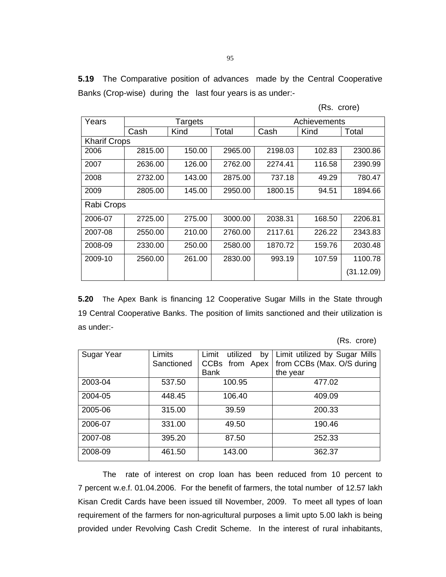**5.19** The Comparative position of advances made by the Central Cooperative Banks (Crop-wise) during the last four years is as under:-

|  | (Rs. crore) |  |
|--|-------------|--|
|--|-------------|--|

| Years               |         | Targets |         |         | Achievements |            |  |
|---------------------|---------|---------|---------|---------|--------------|------------|--|
|                     | Cash    | Kind    | Total   | Cash    | Kind         | Total      |  |
| <b>Kharif Crops</b> |         |         |         |         |              |            |  |
| 2006                | 2815.00 | 150.00  | 2965.00 | 2198.03 | 102.83       | 2300.86    |  |
| 2007                | 2636.00 | 126.00  | 2762.00 | 2274.41 | 116.58       | 2390.99    |  |
| 2008                | 2732.00 | 143.00  | 2875.00 | 737.18  | 49.29        | 780.47     |  |
| 2009                | 2805.00 | 145.00  | 2950.00 | 1800.15 | 94.51        | 1894.66    |  |
| Rabi Crops          |         |         |         |         |              |            |  |
| 2006-07             | 2725.00 | 275.00  | 3000.00 | 2038.31 | 168.50       | 2206.81    |  |
| 2007-08             | 2550.00 | 210.00  | 2760.00 | 2117.61 | 226.22       | 2343.83    |  |
| 2008-09             | 2330.00 | 250.00  | 2580.00 | 1870.72 | 159.76       | 2030.48    |  |
| 2009-10             | 2560.00 | 261.00  | 2830.00 | 993.19  | 107.59       | 1100.78    |  |
|                     |         |         |         |         |              | (31.12.09) |  |

**5.20** The Apex Bank is financing 12 Cooperative Sugar Mills in the State through 19 Central Cooperative Banks. The position of limits sanctioned and their utilization is as under:-

(Rs. crore)

| Sugar Year | Limits     | Limit<br>utilized<br>by | Limit utilized by Sugar Mills |
|------------|------------|-------------------------|-------------------------------|
|            | Sanctioned | CCBs from Apex          | from CCBs (Max. O/S during    |
|            |            | <b>Bank</b>             | the year                      |
| 2003-04    | 537.50     | 100.95                  | 477.02                        |
| 2004-05    | 448.45     | 106.40                  | 409.09                        |
| 2005-06    | 315.00     | 39.59                   | 200.33                        |
| 2006-07    | 331.00     | 49.50                   | 190.46                        |
| 2007-08    | 395.20     | 87.50                   | 252.33                        |
| 2008-09    | 461.50     | 143.00                  | 362.37                        |

The rate of interest on crop loan has been reduced from 10 percent to 7 percent w.e.f. 01.04.2006. For the benefit of farmers, the total number of 12.57 lakh Kisan Credit Cards have been issued till November, 2009. To meet all types of loan requirement of the farmers for non-agricultural purposes a limit upto 5.00 lakh is being provided under Revolving Cash Credit Scheme. In the interest of rural inhabitants,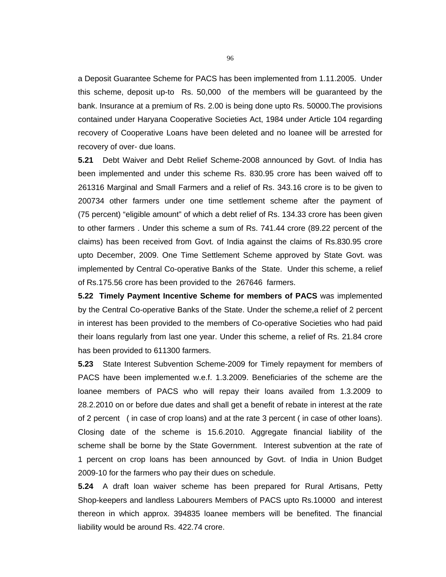a Deposit Guarantee Scheme for PACS has been implemented from 1.11.2005. Under this scheme, deposit up-to Rs. 50,000 of the members will be guaranteed by the bank. Insurance at a premium of Rs. 2.00 is being done upto Rs. 50000.The provisions contained under Haryana Cooperative Societies Act, 1984 under Article 104 regarding recovery of Cooperative Loans have been deleted and no loanee will be arrested for recovery of over- due loans.

**5.21** Debt Waiver and Debt Relief Scheme-2008 announced by Govt. of India has been implemented and under this scheme Rs. 830.95 crore has been waived off to 261316 Marginal and Small Farmers and a relief of Rs. 343.16 crore is to be given to 200734 other farmers under one time settlement scheme after the payment of (75 percent) "eligible amount" of which a debt relief of Rs. 134.33 crore has been given to other farmers . Under this scheme a sum of Rs. 741.44 crore (89.22 percent of the claims) has been received from Govt. of India against the claims of Rs.830.95 crore upto December, 2009. One Time Settlement Scheme approved by State Govt. was implemented by Central Co-operative Banks of the State. Under this scheme, a relief of Rs.175.56 crore has been provided to the 267646 farmers.

**5.22 Timely Payment Incentive Scheme for members of PACS** was implemented by the Central Co-operative Banks of the State. Under the scheme,a relief of 2 percent in interest has been provided to the members of Co-operative Societies who had paid their loans regularly from last one year. Under this scheme, a relief of Rs. 21.84 crore has been provided to 611300 farmers.

**5.23** State Interest Subvention Scheme-2009 for Timely repayment for members of PACS have been implemented w.e.f. 1.3.2009. Beneficiaries of the scheme are the loanee members of PACS who will repay their loans availed from 1.3.2009 to 28.2.2010 on or before due dates and shall get a benefit of rebate in interest at the rate of 2 percent ( in case of crop loans) and at the rate 3 percent ( in case of other loans). Closing date of the scheme is 15.6.2010. Aggregate financial liability of the scheme shall be borne by the State Government. Interest subvention at the rate of 1 percent on crop loans has been announced by Govt. of India in Union Budget 2009-10 for the farmers who pay their dues on schedule.

**5.24** A draft loan waiver scheme has been prepared for Rural Artisans, Petty Shop-keepers and landless Labourers Members of PACS upto Rs.10000 and interest thereon in which approx. 394835 loanee members will be benefited. The financial liability would be around Rs. 422.74 crore.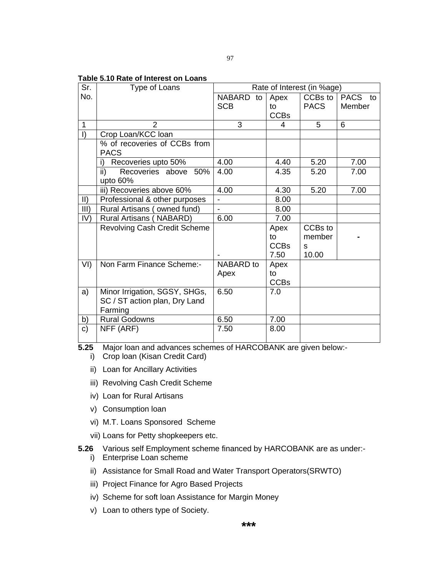## **Table 5.10 Rate of Interest on Loans**

| Sr.           | Type of Loans                         | Rate of Interest (in %age) |             |             |         |
|---------------|---------------------------------------|----------------------------|-------------|-------------|---------|
| No.           |                                       | NABARD to                  | Apex        | $CCBs$ to   | PACS to |
|               |                                       | <b>SCB</b>                 | to          | <b>PACS</b> | Member  |
|               |                                       |                            | <b>CCBs</b> |             |         |
| $\mathbf{1}$  | $\overline{2}$                        | 3                          | 4           | 5           | 6       |
| $\vert$ )     | Crop Loan/KCC loan                    |                            |             |             |         |
|               | % of recoveries of CCBs from          |                            |             |             |         |
|               | <b>PACS</b>                           |                            |             |             |         |
|               | Recoveries upto 50%<br>i)             | 4.00                       | 4.40        | 5.20        | 7.00    |
|               | $\mathsf{ii}$<br>Recoveries above 50% | 4.00                       | 4.35        | 5.20        | 7.00    |
|               | upto 60%                              |                            |             |             |         |
|               | iii) Recoveries above 60%             | 4.00                       | 4.30        | 5.20        | 7.00    |
| $\mathsf{II}$ | Professional & other purposes         |                            | 8.00        |             |         |
| III)          | Rural Artisans (owned fund)           | $\overline{\phantom{0}}$   | 8.00        |             |         |
| IV)           | Rural Artisans (NABARD)               | 6.00                       | 7.00        |             |         |
|               | <b>Revolving Cash Credit Scheme</b>   |                            | Apex        | CCBs to     |         |
|               |                                       |                            | to          | member      |         |
|               |                                       |                            | <b>CCBs</b> | S           |         |
|               |                                       |                            | 7.50        | 10.00       |         |
| VI            | Non Farm Finance Scheme:-             | <b>NABARD</b> to           | Apex        |             |         |
|               |                                       | Apex                       | to          |             |         |
|               |                                       |                            | <b>CCBs</b> |             |         |
| a)            | Minor Irrigation, SGSY, SHGs,         | 6.50                       | 7.0         |             |         |
|               | SC / ST action plan, Dry Land         |                            |             |             |         |
|               | Farming                               |                            |             |             |         |
| b)            | <b>Rural Godowns</b>                  | 6.50                       | 7.00        |             |         |
| $\mathbf{c}$  | NFF (ARF)                             | 7.50                       | 8.00        |             |         |
|               |                                       |                            |             |             |         |

**5.25** Major loan and advances schemes of HARCOBANK are given below:-

i) Crop loan (Kisan Credit Card)

- ii) Loan for Ancillary Activities
- iii) Revolving Cash Credit Scheme
- iv) Loan for Rural Artisans
- v) Consumption loan
- vi) M.T. Loans Sponsored Scheme
- vii) Loans for Petty shopkeepers etc.

# **5.26** Various self Employment scheme financed by HARCOBANK are as under:-

- i) Enterprise Loan scheme
- ii) Assistance for Small Road and Water Transport Operators(SRWTO)
- iii) Project Finance for Agro Based Projects
- iv) Scheme for soft loan Assistance for Margin Money
- v) Loan to others type of Society.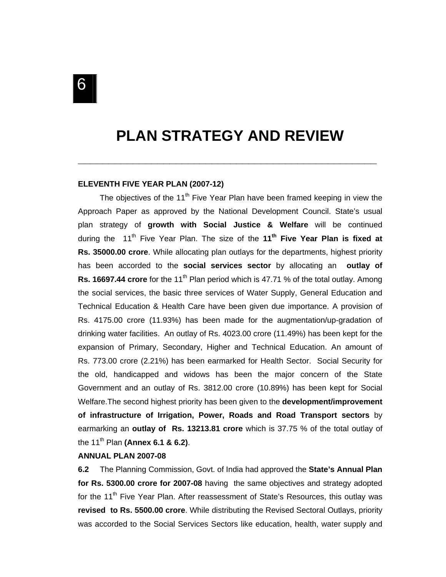# **PLAN STRATEGY AND REVIEW**

**\_\_\_\_\_\_\_\_\_\_\_\_\_\_\_\_\_\_\_\_\_\_\_\_\_\_\_\_\_\_\_\_\_\_\_\_\_\_\_\_\_\_\_\_\_\_\_\_\_** 

# **ELEVENTH FIVE YEAR PLAN (2007-12)**

The objectives of the 11<sup>th</sup> Five Year Plan have been framed keeping in view the Approach Paper as approved by the National Development Council. State's usual plan strategy of **growth with Social Justice & Welfare** will be continued during the 11<sup>th</sup> Five Year Plan. The size of the 11<sup>th</sup> Five Year Plan is fixed at **Rs. 35000.00 crore**. While allocating plan outlays for the departments, highest priority has been accorded to the **social services sector** by allocating an **outlay of Rs. 16697.44 crore** for the 11<sup>th</sup> Plan period which is 47.71 % of the total outlay. Among the social services, the basic three services of Water Supply, General Education and Technical Education & Health Care have been given due importance. A provision of Rs. 4175.00 crore (11.93%) has been made for the augmentation/up-gradation of drinking water facilities. An outlay of Rs. 4023.00 crore (11.49%) has been kept for the expansion of Primary, Secondary, Higher and Technical Education. An amount of Rs. 773.00 crore (2.21%) has been earmarked for Health Sector. Social Security for the old, handicapped and widows has been the major concern of the State Government and an outlay of Rs. 3812.00 crore (10.89%) has been kept for Social Welfare.The second highest priority has been given to the **development/improvement of infrastructure of Irrigation, Power, Roads and Road Transport sectors** by earmarking an **outlay of Rs. 13213.81 crore** which is 37.75 % of the total outlay of the 11th Plan **(Annex 6.1 & 6.2)**.

## **ANNUAL PLAN 2007-08**

**6.2** The Planning Commission, Govt. of India had approved the **State's Annual Plan for Rs. 5300.00 crore for 2007-08** having the same objectives and strategy adopted for the 11<sup>th</sup> Five Year Plan. After reassessment of State's Resources, this outlay was **revised to Rs. 5500.00 crore**. While distributing the Revised Sectoral Outlays, priority was accorded to the Social Services Sectors like education, health, water supply and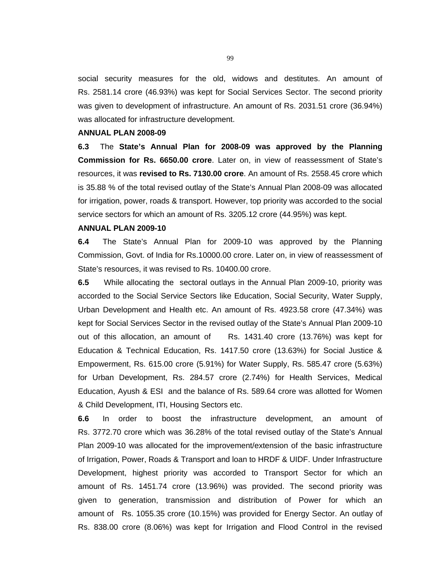social security measures for the old, widows and destitutes. An amount of Rs. 2581.14 crore (46.93%) was kept for Social Services Sector. The second priority was given to development of infrastructure. An amount of Rs. 2031.51 crore (36.94%) was allocated for infrastructure development.

#### **ANNUAL PLAN 2008-09**

**6.3** The **State's Annual Plan for 2008-09 was approved by the Planning Commission for Rs. 6650.00 crore**. Later on, in view of reassessment of State's resources, it was **revised to Rs. 7130.00 crore**. An amount of Rs. 2558.45 crore which is 35.88 % of the total revised outlay of the State's Annual Plan 2008-09 was allocated for irrigation, power, roads & transport. However, top priority was accorded to the social service sectors for which an amount of Rs. 3205.12 crore (44.95%) was kept.

## **ANNUAL PLAN 2009-10**

**6.4** The State's Annual Plan for 2009-10 was approved by the Planning Commission, Govt. of India for Rs.10000.00 crore. Later on, in view of reassessment of State's resources, it was revised to Rs. 10400.00 crore.

**6.5** While allocating the sectoral outlays in the Annual Plan 2009-10, priority was accorded to the Social Service Sectors like Education, Social Security, Water Supply, Urban Development and Health etc. An amount of Rs. 4923.58 crore (47.34%) was kept for Social Services Sector in the revised outlay of the State's Annual Plan 2009-10 out of this allocation, an amount of Rs. 1431.40 crore (13.76%) was kept for Education & Technical Education, Rs. 1417.50 crore (13.63%) for Social Justice & Empowerment, Rs. 615.00 crore (5.91%) for Water Supply, Rs. 585.47 crore (5.63%) for Urban Development, Rs. 284.57 crore (2.74%) for Health Services, Medical Education, Ayush & ESI and the balance of Rs. 589.64 crore was allotted for Women & Child Development, ITI, Housing Sectors etc.

**6.6** In order to boost the infrastructure development, an amount of Rs. 3772.70 crore which was 36.28% of the total revised outlay of the State's Annual Plan 2009-10 was allocated for the improvement/extension of the basic infrastructure of Irrigation, Power, Roads & Transport and loan to HRDF & UIDF. Under Infrastructure Development, highest priority was accorded to Transport Sector for which an amount of Rs. 1451.74 crore (13.96%) was provided. The second priority was given to generation, transmission and distribution of Power for which an amount of Rs. 1055.35 crore (10.15%) was provided for Energy Sector. An outlay of Rs. 838.00 crore (8.06%) was kept for Irrigation and Flood Control in the revised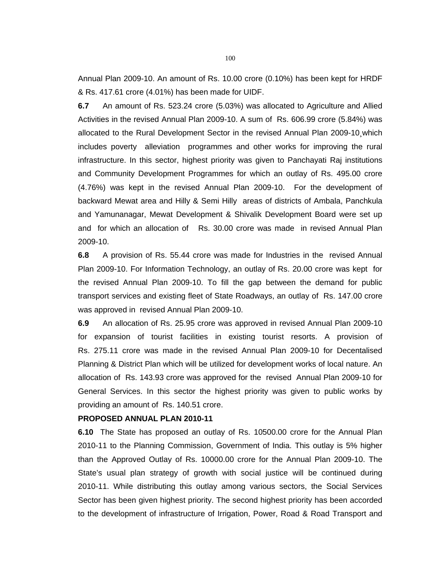Annual Plan 2009-10. An amount of Rs. 10.00 crore (0.10%) has been kept for HRDF & Rs. 417.61 crore (4.01%) has been made for UIDF.

**6.7** An amount of Rs. 523.24 crore (5.03%) was allocated to Agriculture and Allied Activities in the revised Annual Plan 2009-10. A sum of Rs. 606.99 crore (5.84%) was allocated to the Rural Development Sector in the revised Annual Plan 2009-10¸which includes poverty alleviation programmes and other works for improving the rural infrastructure. In this sector, highest priority was given to Panchayati Raj institutions and Community Development Programmes for which an outlay of Rs. 495.00 crore (4.76%) was kept in the revised Annual Plan 2009-10. For the development of backward Mewat area and Hilly & Semi Hilly areas of districts of Ambala, Panchkula and Yamunanagar, Mewat Development & Shivalik Development Board were set up and for which an allocation of Rs. 30.00 crore was made in revised Annual Plan 2009-10.

**6.8** A provision of Rs. 55.44 crore was made for Industries in the revised Annual Plan 2009-10. For Information Technology, an outlay of Rs. 20.00 crore was kept for the revised Annual Plan 2009-10. To fill the gap between the demand for public transport services and existing fleet of State Roadways, an outlay of Rs. 147.00 crore was approved in revised Annual Plan 2009-10.

**6.9** An allocation of Rs. 25.95 crore was approved in revised Annual Plan 2009-10 for expansion of tourist facilities in existing tourist resorts. A provision of Rs. 275.11 crore was made in the revised Annual Plan 2009-10 for Decentalised Planning & District Plan which will be utilized for development works of local nature. An allocation of Rs. 143.93 crore was approved for the revised Annual Plan 2009-10 for General Services. In this sector the highest priority was given to public works by providing an amount of Rs. 140.51 crore.

## **PROPOSED ANNUAL PLAN 2010-11**

**6.10** The State has proposed an outlay of Rs. 10500.00 crore for the Annual Plan 2010-11 to the Planning Commission, Government of India. This outlay is 5% higher than the Approved Outlay of Rs. 10000.00 crore for the Annual Plan 2009-10. The State's usual plan strategy of growth with social justice will be continued during 2010-11. While distributing this outlay among various sectors, the Social Services Sector has been given highest priority. The second highest priority has been accorded to the development of infrastructure of Irrigation, Power, Road & Road Transport and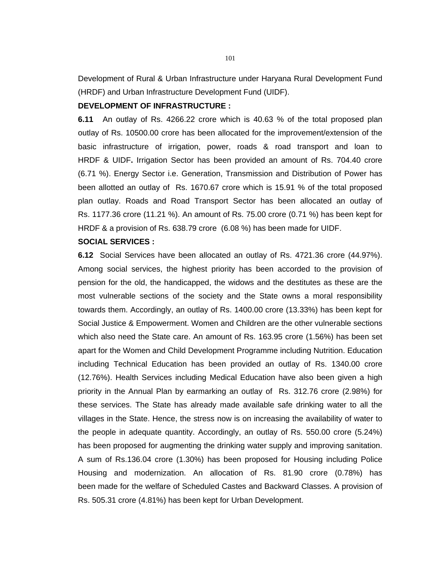Development of Rural & Urban Infrastructure under Haryana Rural Development Fund (HRDF) and Urban Infrastructure Development Fund (UIDF).

## **DEVELOPMENT OF INFRASTRUCTURE :**

**6.11** An outlay of Rs. 4266.22 crore which is 40.63 % of the total proposed plan outlay of Rs. 10500.00 crore has been allocated for the improvement/extension of the basic infrastructure of irrigation, power, roads & road transport and loan to HRDF & UIDF**.** Irrigation Sector has been provided an amount of Rs. 704.40 crore (6.71 %). Energy Sector i.e. Generation, Transmission and Distribution of Power has been allotted an outlay of Rs. 1670.67 crore which is 15.91 % of the total proposed plan outlay. Roads and Road Transport Sector has been allocated an outlay of Rs. 1177.36 crore (11.21 %). An amount of Rs. 75.00 crore (0.71 %) has been kept for HRDF & a provision of Rs. 638.79 crore (6.08 %) has been made for UIDF.

# **SOCIAL SERVICES :**

**6.12** Social Services have been allocated an outlay of Rs. 4721.36 crore (44.97%). Among social services, the highest priority has been accorded to the provision of pension for the old, the handicapped, the widows and the destitutes as these are the most vulnerable sections of the society and the State owns a moral responsibility towards them. Accordingly, an outlay of Rs. 1400.00 crore (13.33%) has been kept for Social Justice & Empowerment. Women and Children are the other vulnerable sections which also need the State care. An amount of Rs. 163.95 crore (1.56%) has been set apart for the Women and Child Development Programme including Nutrition. Education including Technical Education has been provided an outlay of Rs. 1340.00 crore (12.76%). Health Services including Medical Education have also been given a high priority in the Annual Plan by earmarking an outlay of Rs. 312.76 crore (2.98%) for these services. The State has already made available safe drinking water to all the villages in the State. Hence, the stress now is on increasing the availability of water to the people in adequate quantity. Accordingly, an outlay of Rs. 550.00 crore (5.24%) has been proposed for augmenting the drinking water supply and improving sanitation. A sum of Rs.136.04 crore (1.30%) has been proposed for Housing including Police Housing and modernization. An allocation of Rs. 81.90 crore (0.78%) has been made for the welfare of Scheduled Castes and Backward Classes. A provision of Rs. 505.31 crore (4.81%) has been kept for Urban Development.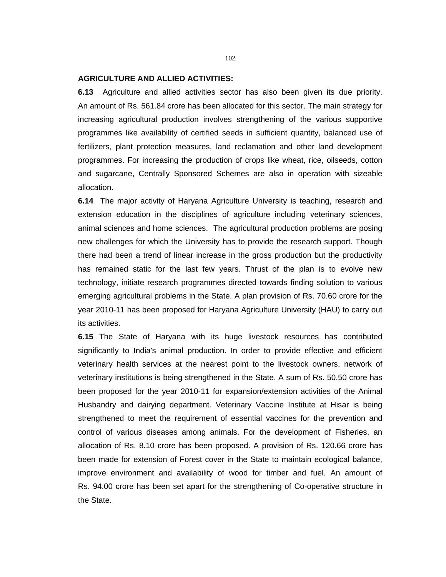#### **AGRICULTURE AND ALLIED ACTIVITIES:**

**6.13** Agriculture and allied activities sector has also been given its due priority. An amount of Rs. 561.84 crore has been allocated for this sector. The main strategy for increasing agricultural production involves strengthening of the various supportive programmes like availability of certified seeds in sufficient quantity, balanced use of fertilizers, plant protection measures, land reclamation and other land development programmes. For increasing the production of crops like wheat, rice, oilseeds, cotton and sugarcane, Centrally Sponsored Schemes are also in operation with sizeable allocation.

**6.14** The major activity of Haryana Agriculture University is teaching, research and extension education in the disciplines of agriculture including veterinary sciences, animal sciences and home sciences. The agricultural production problems are posing new challenges for which the University has to provide the research support. Though there had been a trend of linear increase in the gross production but the productivity has remained static for the last few years. Thrust of the plan is to evolve new technology, initiate research programmes directed towards finding solution to various emerging agricultural problems in the State. A plan provision of Rs. 70.60 crore for the year 2010-11 has been proposed for Haryana Agriculture University (HAU) to carry out its activities.

**6.15** The State of Haryana with its huge livestock resources has contributed significantly to India's animal production. In order to provide effective and efficient veterinary health services at the nearest point to the livestock owners, network of veterinary institutions is being strengthened in the State. A sum of Rs. 50.50 crore has been proposed for the year 2010-11 for expansion/extension activities of the Animal Husbandry and dairying department. Veterinary Vaccine Institute at Hisar is being strengthened to meet the requirement of essential vaccines for the prevention and control of various diseases among animals. For the development of Fisheries, an allocation of Rs. 8.10 crore has been proposed. A provision of Rs. 120.66 crore has been made for extension of Forest cover in the State to maintain ecological balance, improve environment and availability of wood for timber and fuel. An amount of Rs. 94.00 crore has been set apart for the strengthening of Co-operative structure in the State.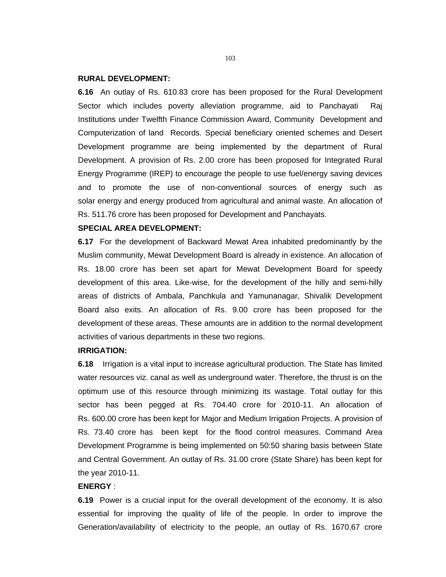#### **RURAL DEVELOPMENT:**

**6.16** An outlay of Rs. 610.83 crore has been proposed for the Rural Development Sector which includes poverty alleviation programme, aid to Panchayati Raj Institutions under Twelfth Finance Commission Award, Community Development and Computerization of land Records. Special beneficiary oriented schemes and Desert Development programme are being implemented by the department of Rural Development. A provision of Rs. 2.00 crore has been proposed for Integrated Rural Energy Programme (IREP) to encourage the people to use fuel/energy saving devices and to promote the use of non-conventional sources of energy such as solar energy and energy produced from agricultural and animal waste. An allocation of Rs. 511.76 crore has been proposed for Development and Panchayats.

# **SPECIAL AREA DEVELOPMENT:**

**6.17** For the development of Backward Mewat Area inhabited predominantly by the Muslim community, Mewat Development Board is already in existence. An allocation of Rs. 18.00 crore has been set apart for Mewat Development Board for speedy development of this area. Like-wise, for the development of the hilly and semi-hilly areas of districts of Ambala, Panchkula and Yamunanagar, Shivalik Development Board also exits. An allocation of Rs. 9.00 crore has been proposed for the development of these areas. These amounts are in addition to the normal development activities of various departments in these two regions.

# **IRRIGATION:**

**6.18** Irrigation is a vital input to increase agricultural production. The State has limited water resources viz. canal as well as underground water. Therefore, the thrust is on the optimum use of this resource through minimizing its wastage. Total outlay for this sector has been pegged at Rs. 704.40 crore for 2010-11. An allocation of Rs. 600.00 crore has been kept for Major and Medium Irrigation Projects. A provision of Rs. 73.40 crore has been kept for the flood control measures. Command Area Development Programme is being implemented on 50:50 sharing basis between State and Central Government. An outlay of Rs. 31.00 crore (State Share) has been kept for the year 2010-11.

#### **ENERGY** :

**6.19** Power is a crucial input for the overall development of the economy. It is also essential for improving the quality of life of the people. In order to improve the Generation/availability of electricity to the people, an outlay of Rs. 1670.67 crore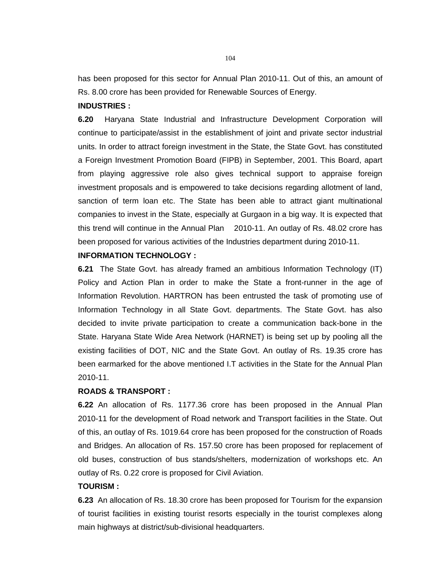has been proposed for this sector for Annual Plan 2010-11. Out of this, an amount of Rs. 8.00 crore has been provided for Renewable Sources of Energy.

## **INDUSTRIES :**

**6.20** Haryana State Industrial and Infrastructure Development Corporation will continue to participate/assist in the establishment of joint and private sector industrial units. In order to attract foreign investment in the State, the State Govt. has constituted a Foreign Investment Promotion Board (FIPB) in September, 2001. This Board, apart from playing aggressive role also gives technical support to appraise foreign investment proposals and is empowered to take decisions regarding allotment of land, sanction of term loan etc. The State has been able to attract giant multinational companies to invest in the State, especially at Gurgaon in a big way. It is expected that this trend will continue in the Annual Plan 2010-11. An outlay of Rs. 48.02 crore has been proposed for various activities of the Industries department during 2010-11.

## **INFORMATION TECHNOLOGY :**

**6.21** The State Govt. has already framed an ambitious Information Technology (IT) Policy and Action Plan in order to make the State a front-runner in the age of Information Revolution. HARTRON has been entrusted the task of promoting use of Information Technology in all State Govt. departments. The State Govt. has also decided to invite private participation to create a communication back-bone in the State. Haryana State Wide Area Network (HARNET) is being set up by pooling all the existing facilities of DOT, NIC and the State Govt. An outlay of Rs. 19.35 crore has been earmarked for the above mentioned I.T activities in the State for the Annual Plan 2010-11.

# **ROADS & TRANSPORT :**

**6.22** An allocation of Rs. 1177.36 crore has been proposed in the Annual Plan 2010-11 for the development of Road network and Transport facilities in the State. Out of this, an outlay of Rs. 1019.64 crore has been proposed for the construction of Roads and Bridges. An allocation of Rs. 157.50 crore has been proposed for replacement of old buses, construction of bus stands/shelters, modernization of workshops etc. An outlay of Rs. 0.22 crore is proposed for Civil Aviation.

# **TOURISM :**

**6.23** An allocation of Rs. 18.30 crore has been proposed for Tourism for the expansion of tourist facilities in existing tourist resorts especially in the tourist complexes along main highways at district/sub-divisional headquarters.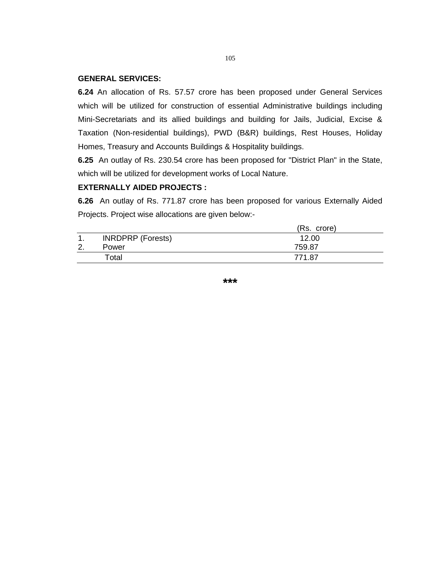#### **GENERAL SERVICES:**

**6.24** An allocation of Rs. 57.57 crore has been proposed under General Services which will be utilized for construction of essential Administrative buildings including Mini-Secretariats and its allied buildings and building for Jails, Judicial, Excise & Taxation (Non-residential buildings), PWD (B&R) buildings, Rest Houses, Holiday Homes, Treasury and Accounts Buildings & Hospitality buildings.

**6.25** An outlay of Rs. 230.54 crore has been proposed for "District Plan" in the State, which will be utilized for development works of Local Nature.

#### **EXTERNALLY AIDED PROJECTS :**

**6.26** An outlay of Rs. 771.87 crore has been proposed for various Externally Aided Projects. Project wise allocations are given below:-

|    |                          | (Rs. crore) |
|----|--------------------------|-------------|
| -1 | <b>INRDPRP</b> (Forests) | 12.00       |
| 2. | Power                    | 759.87      |
|    | Total                    | 771.87      |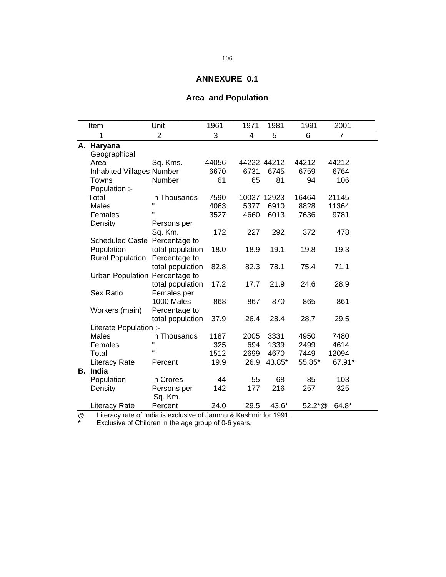# **Area and Population**

|    | Item                           | Unit             | 1961  | 1971 | 1981        | 1991     | 2001           |  |
|----|--------------------------------|------------------|-------|------|-------------|----------|----------------|--|
|    | 1                              | $\overline{2}$   | 3     | 4    | 5           | 6        | $\overline{7}$ |  |
|    | A. Haryana                     |                  |       |      |             |          |                |  |
|    | Geographical                   |                  |       |      |             |          |                |  |
|    | Area                           | Sq. Kms.         | 44056 |      | 44222 44212 | 44212    | 44212          |  |
|    | Inhabited Villages Number      |                  | 6670  | 6731 | 6745        | 6759     | 6764           |  |
|    | Towns                          | Number           | 61    | 65   | 81          | 94       | 106            |  |
|    | Population :-                  |                  |       |      |             |          |                |  |
|    | Total                          | In Thousands     | 7590  |      | 10037 12923 | 16464    | 21145          |  |
|    | Males                          | $\mathbf{H}$     | 4063  | 5377 | 6910        | 8828     | 11364          |  |
|    | Females                        | п                | 3527  | 4660 | 6013        | 7636     | 9781           |  |
|    | Density                        | Persons per      |       |      |             |          |                |  |
|    |                                | Sq. Km.          | 172   | 227  | 292         | 372      | 478            |  |
|    | Scheduled Caste Percentage to  |                  |       |      |             |          |                |  |
|    | Population                     | total population | 18.0  | 18.9 | 19.1        | 19.8     | 19.3           |  |
|    | <b>Rural Population</b>        | Percentage to    |       |      |             |          |                |  |
|    |                                | total population | 82.8  | 82.3 | 78.1        | 75.4     | 71.1           |  |
|    | Urban Population Percentage to |                  |       |      |             |          |                |  |
|    |                                | total population | 17.2  | 17.7 | 21.9        | 24.6     | 28.9           |  |
|    | <b>Sex Ratio</b>               | Females per      |       |      |             |          |                |  |
|    |                                | 1000 Males       | 868   | 867  | 870         | 865      | 861            |  |
|    | Workers (main)                 | Percentage to    |       |      |             |          |                |  |
|    |                                | total population | 37.9  | 26.4 | 28.4        | 28.7     | 29.5           |  |
|    | Literate Population :-         |                  |       |      |             |          |                |  |
|    | Males                          | In Thousands     | 1187  | 2005 | 3331        | 4950     | 7480           |  |
|    | Females                        | $\mathbf{u}$     | 325   | 694  | 1339        | 2499     | 4614           |  |
|    | Total                          |                  | 1512  | 2699 | 4670        | 7449     | 12094          |  |
|    | <b>Literacy Rate</b>           | Percent          | 19.9  | 26.9 | 43.85*      | 55.85*   | 67.91*         |  |
| В. | India                          |                  |       |      |             |          |                |  |
|    | Population                     | In Crores        | 44    | 55   | 68          | 85       | 103            |  |
|    | Density                        | Persons per      | 142   | 177  | 216         | 257      | 325            |  |
|    |                                | Sq. Km.          |       |      |             |          |                |  |
|    | <b>Literacy Rate</b>           | Percent          | 24.0  | 29.5 | 43.6*       | $52.2*@$ | 64.8*          |  |

@ Literacy rate of India is exclusive of Jammu & Kashmir for 1991.

\* Exclusive of Children in the age group of 0-6 years.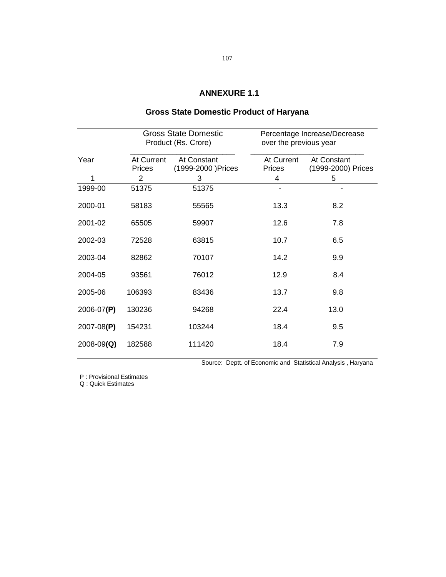### **Gross State Domestic Product of Haryana**

|                |                      | <b>Gross State Domestic</b><br>Product (Rs. Crore) | Percentage Increase/Decrease<br>over the previous year |                                   |  |
|----------------|----------------------|----------------------------------------------------|--------------------------------------------------------|-----------------------------------|--|
| Year           | At Current<br>Prices | At Constant<br>1999-2000 ) Prices                  | At Current<br>Prices                                   | At Constant<br>(1999-2000) Prices |  |
|                | 2                    | 3                                                  | 4                                                      | 5                                 |  |
| 1999-00        | 51375                | 51375                                              |                                                        |                                   |  |
| 2000-01        | 58183                | 55565                                              | 13.3                                                   | 8.2                               |  |
| 2001-02        | 65505                | 59907                                              | 12.6                                                   | 7.8                               |  |
| 2002-03        | 72528                | 63815                                              | 10.7                                                   | 6.5                               |  |
| 2003-04        | 82862                | 70107                                              | 14.2                                                   | 9.9                               |  |
| 2004-05        | 93561                | 76012                                              | 12.9                                                   | 8.4                               |  |
| 2005-06        | 106393               | 83436                                              | 13.7                                                   | 9.8                               |  |
| 2006-07(P)     | 130236               | 94268                                              | 22.4                                                   | 13.0                              |  |
| $2007 - 08(P)$ | 154231               | 103244                                             | 18.4                                                   | 9.5                               |  |
| $2008 - 09(Q)$ | 182588               | 111420                                             | 18.4                                                   | 7.9                               |  |

Source: Deptt. of Economic and Statistical Analysis , Haryana

P : Provisional Estimates

Q : Quick Estimates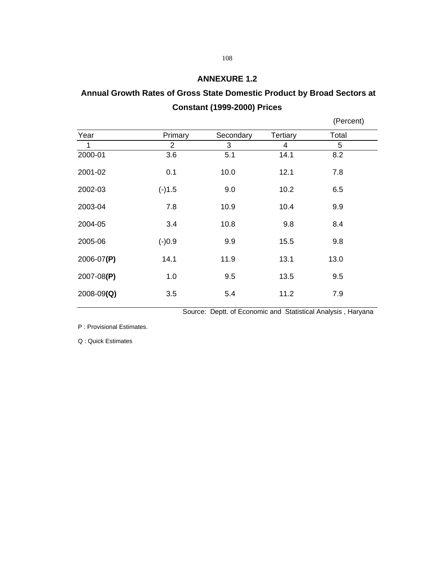# **Annual Growth Rates of Gross State Domestic Product by Broad Sectors at Constant (1999-2000) Prices**

|          |           |          | (Percent) |
|----------|-----------|----------|-----------|
| Primary  | Secondary | Tertiary | Total     |
| 2        | 3         | 4        | 5         |
| 3.6      | 5.1       | 14.1     | 8.2       |
| 0.1      | 10.0      | 12.1     | 7.8       |
| $(-)1.5$ | 9.0       | 10.2     | 6.5       |
| 7.8      | 10.9      | 10.4     | 9.9       |
| 3.4      | 10.8      | 9.8      | 8.4       |
| $(-)0.9$ | 9.9       | 15.5     | 9.8       |
| 14.1     | 11.9      | 13.1     | 13.0      |
| 1.0      | 9.5       | 13.5     | 9.5       |
| 3.5      | 5.4       | 11.2     | 7.9       |
|          |           |          |           |

Source: Deptt. of Economic and Statistical Analysis , Haryana

P : Provisional Estimates.

Q : Quick Estimates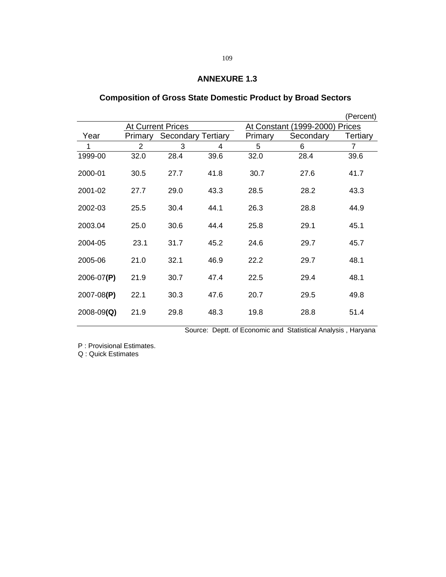# **Composition of Gross State Domestic Product by Broad Sectors**

|                |         |                           |      |                                       |           | (Percent) |  |
|----------------|---------|---------------------------|------|---------------------------------------|-----------|-----------|--|
|                |         | <b>At Current Prices</b>  |      | <u>At Constant (1999-2000) Prices</u> |           |           |  |
| Year           | Primary | <b>Secondary Tertiary</b> |      | Primary                               | Secondary | Tertiary  |  |
| 1              | 2       | 3                         | 4    | 5                                     | 6         | 7         |  |
| 1999-00        | 32.0    | 28.4                      | 39.6 | 32.0                                  | 28.4      | 39.6      |  |
| 2000-01        | 30.5    | 27.7                      | 41.8 | 30.7                                  | 27.6      | 41.7      |  |
| 2001-02        | 27.7    | 29.0                      | 43.3 | 28.5                                  | 28.2      | 43.3      |  |
| 2002-03        | 25.5    | 30.4                      | 44.1 | 26.3                                  | 28.8      | 44.9      |  |
| 2003.04        | 25.0    | 30.6                      | 44.4 | 25.8                                  | 29.1      | 45.1      |  |
| 2004-05        | 23.1    | 31.7                      | 45.2 | 24.6                                  | 29.7      | 45.7      |  |
| 2005-06        | 21.0    | 32.1                      | 46.9 | 22.2                                  | 29.7      | 48.1      |  |
| 2006-07(P)     | 21.9    | 30.7                      | 47.4 | 22.5                                  | 29.4      | 48.1      |  |
| $2007 - 08(P)$ | 22.1    | 30.3                      | 47.6 | 20.7                                  | 29.5      | 49.8      |  |
| $2008 - 09(Q)$ | 21.9    | 29.8                      | 48.3 | 19.8                                  | 28.8      | 51.4      |  |

Source: Deptt. of Economic and Statistical Analysis , Haryana

P : Provisional Estimates.

Q : Quick Estimates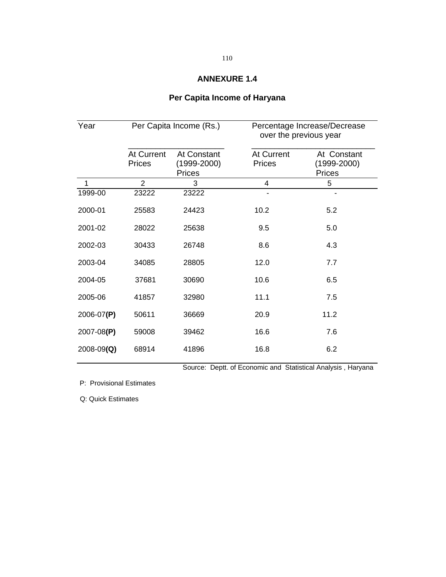# **Per Capita Income of Haryana**

| Year           |                      | Per Capita Income (Rs.)                         | Percentage Increase/Decrease<br>over the previous year |                                                 |  |
|----------------|----------------------|-------------------------------------------------|--------------------------------------------------------|-------------------------------------------------|--|
|                | At Current<br>Prices | At Constant<br>$(1999 - 2000)$<br><b>Prices</b> | At Current<br><b>Prices</b>                            | At Constant<br>$(1999 - 2000)$<br><b>Prices</b> |  |
| 1              | $\overline{2}$       | 3                                               | 4                                                      | 5                                               |  |
| 1999-00        | 23222                | 23222                                           |                                                        |                                                 |  |
| 2000-01        | 25583                | 24423                                           | 10.2                                                   | 5.2                                             |  |
| 2001-02        | 28022                | 25638                                           | 9.5                                                    | 5.0                                             |  |
| 2002-03        | 30433                | 26748                                           | 8.6                                                    | 4.3                                             |  |
| 2003-04        | 34085                | 28805                                           | 12.0                                                   | 7.7                                             |  |
| 2004-05        | 37681                | 30690                                           | 10.6                                                   | 6.5                                             |  |
| 2005-06        | 41857                | 32980                                           | 11.1                                                   | 7.5                                             |  |
| 2006-07(P)     | 50611                | 36669                                           | 20.9                                                   | 11.2                                            |  |
| 2007-08(P)     | 59008                | 39462                                           | 16.6                                                   | 7.6                                             |  |
| $2008 - 09(Q)$ | 68914                | 41896                                           | 16.8                                                   | 6.2                                             |  |

Source: Deptt. of Economic and Statistical Analysis , Haryana

P: Provisional Estimates

Q: Quick Estimates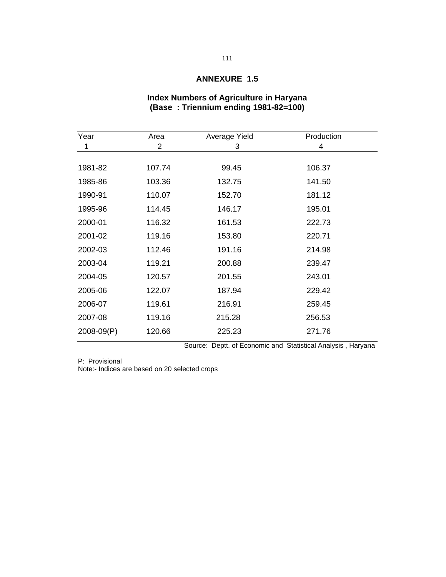#### **Index Numbers of Agriculture in Haryana (Base : Triennium ending 1981-82=100)**

| Year       | Area   | Average Yield | Production |
|------------|--------|---------------|------------|
| 1          | 2      | 3             | 4          |
|            |        |               |            |
| 1981-82    | 107.74 | 99.45         | 106.37     |
| 1985-86    | 103.36 | 132.75        | 141.50     |
| 1990-91    | 110.07 | 152.70        | 181.12     |
| 1995-96    | 114.45 | 146.17        | 195.01     |
| 2000-01    | 116.32 | 161.53        | 222.73     |
| 2001-02    | 119.16 | 153.80        | 220.71     |
| 2002-03    | 112.46 | 191.16        | 214.98     |
| 2003-04    | 119.21 | 200.88        | 239.47     |
| 2004-05    | 120.57 | 201.55        | 243.01     |
| 2005-06    | 122.07 | 187.94        | 229.42     |
| 2006-07    | 119.61 | 216.91        | 259.45     |
| 2007-08    | 119.16 | 215.28        | 256.53     |
| 2008-09(P) | 120.66 | 225.23        | 271.76     |
|            |        |               |            |

Source: Deptt. of Economic and Statistical Analysis , Haryana

P: Provisional Note:- Indices are based on 20 selected crops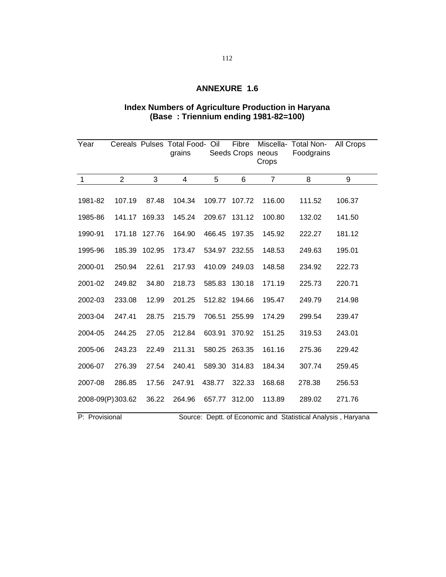#### **Index Numbers of Agriculture Production in Haryana (Base : Triennium ending 1981-82=100)**

| Year             |                |        | Cereals Pulses Total Food-<br>grains | Oil    | Fibre<br>Seeds Crops neous | Crops          | Miscella- Total Non-<br>Foodgrains | <b>All Crops</b> |
|------------------|----------------|--------|--------------------------------------|--------|----------------------------|----------------|------------------------------------|------------------|
| $\mathbf{1}$     | $\overline{2}$ | 3      | $\overline{4}$                       | 5      | 6                          | $\overline{7}$ | 8                                  | 9                |
| 1981-82          | 107.19         | 87.48  | 104.34                               | 109.77 | 107.72                     | 116.00         | 111.52                             | 106.37           |
| 1985-86          | 141.17         | 169.33 | 145.24                               | 209.67 | 131.12                     | 100.80         | 132.02                             | 141.50           |
| 1990-91          | 171.18         | 127.76 | 164.90                               | 466.45 | 197.35                     | 145.92         | 222.27                             | 181.12           |
| 1995-96          | 185.39         | 102.95 | 173.47                               | 534.97 | 232.55                     | 148.53         | 249.63                             | 195.01           |
| 2000-01          | 250.94         | 22.61  | 217.93                               | 410.09 | 249.03                     | 148.58         | 234.92                             | 222.73           |
| 2001-02          | 249.82         | 34.80  | 218.73                               | 585.83 | 130.18                     | 171.19         | 225.73                             | 220.71           |
| 2002-03          | 233.08         | 12.99  | 201.25                               | 512.82 | 194.66                     | 195.47         | 249.79                             | 214.98           |
| 2003-04          | 247.41         | 28.75  | 215.79                               | 706.51 | 255.99                     | 174.29         | 299.54                             | 239.47           |
| 2004-05          | 244.25         | 27.05  | 212.84                               | 603.91 | 370.92                     | 151.25         | 319.53                             | 243.01           |
| 2005-06          | 243.23         | 22.49  | 211.31                               | 580.25 | 263.35                     | 161.16         | 275.36                             | 229.42           |
| 2006-07          | 276.39         | 27.54  | 240.41                               | 589.30 | 314.83                     | 184.34         | 307.74                             | 259.45           |
| 2007-08          | 286.85         | 17.56  | 247.91                               | 438.77 | 322.33                     | 168.68         | 278.38                             | 256.53           |
| 2008-09(P)303.62 |                | 36.22  | 264.96                               | 657.77 | 312.00                     | 113.89         | 289.02                             | 271.76           |

P: Provisional Source: Deptt. of Economic and Statistical Analysis, Haryana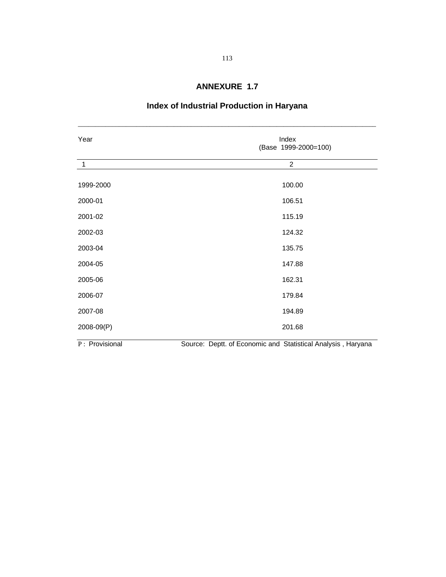# **Index of Industrial Production in Haryana**

\_\_\_\_\_\_\_\_\_\_\_\_\_\_\_\_\_\_\_\_\_\_\_\_\_\_\_\_\_\_\_\_\_\_\_\_\_\_\_\_\_\_\_\_\_\_\_\_\_\_\_\_\_\_\_\_\_\_\_\_\_\_\_\_\_\_\_\_\_\_\_\_\_\_\_\_\_\_\_\_\_\_\_\_\_\_\_

| Year           | Index<br>(Base 1999-2000=100)                                |
|----------------|--------------------------------------------------------------|
| $\mathbf{1}$   | $\overline{2}$                                               |
| 1999-2000      | 100.00                                                       |
| 2000-01        | 106.51                                                       |
| 2001-02        | 115.19                                                       |
| 2002-03        | 124.32                                                       |
| 2003-04        | 135.75                                                       |
| 2004-05        | 147.88                                                       |
| 2005-06        | 162.31                                                       |
| 2006-07        | 179.84                                                       |
| 2007-08        | 194.89                                                       |
| 2008-09(P)     | 201.68                                                       |
| P: Provisional | Source: Deptt. of Economic and Statistical Analysis, Haryana |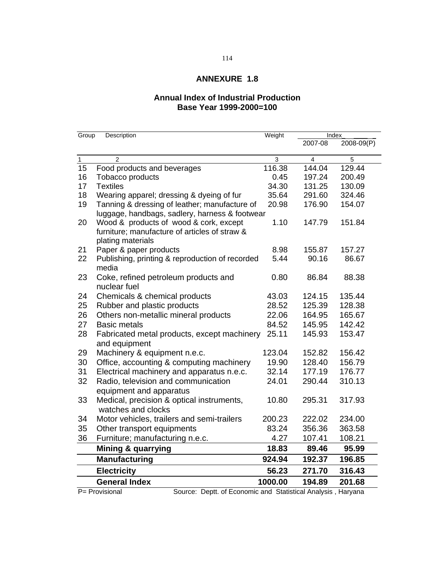### **Annual Index of Industrial Production Base Year 1999-2000=100**

| Group        | Description                                                                    | Weight  |         | Index      |
|--------------|--------------------------------------------------------------------------------|---------|---------|------------|
|              |                                                                                |         | 2007-08 | 2008-09(P) |
| $\mathbf{1}$ | $\overline{2}$                                                                 | 3       | 4       | 5          |
| 15           | Food products and beverages                                                    | 116.38  | 144.04  | 129.44     |
| 16           | Tobacco products                                                               | 0.45    | 197.24  | 200.49     |
| 17           | <b>Textiles</b>                                                                | 34.30   | 131.25  | 130.09     |
| 18           | Wearing apparel; dressing & dyeing of fur                                      | 35.64   | 291.60  | 324.46     |
| 19           | Tanning & dressing of leather; manufacture of                                  | 20.98   | 176.90  | 154.07     |
|              | luggage, handbags, sadlery, harness & footwear                                 |         |         |            |
| 20           | Wood & products of wood & cork, except                                         | 1.10    | 147.79  | 151.84     |
|              | furniture; manufacture of articles of straw &<br>plating materials             |         |         |            |
| 21           | Paper & paper products                                                         | 8.98    | 155.87  | 157.27     |
| 22           | Publishing, printing & reproduction of recorded                                | 5.44    | 90.16   | 86.67      |
|              | media                                                                          |         |         |            |
| 23           | Coke, refined petroleum products and                                           | 0.80    | 86.84   | 88.38      |
|              | nuclear fuel                                                                   |         |         |            |
| 24           | Chemicals & chemical products                                                  | 43.03   | 124.15  | 135.44     |
| 25           | Rubber and plastic products                                                    | 28.52   | 125.39  | 128.38     |
| 26           | Others non-metallic mineral products                                           | 22.06   | 164.95  | 165.67     |
| 27           | <b>Basic metals</b>                                                            | 84.52   | 145.95  | 142.42     |
| 28           | Fabricated metal products, except machinery                                    | 25.11   | 145.93  | 153.47     |
|              | and equipment                                                                  |         |         |            |
| 29           | Machinery & equipment n.e.c.                                                   | 123.04  | 152.82  | 156.42     |
| 30           | Office, accounting & computing machinery                                       | 19.90   | 128.40  | 156.79     |
| 31           | Electrical machinery and apparatus n.e.c.                                      | 32.14   | 177.19  | 176.77     |
| 32           | Radio, television and communication                                            | 24.01   | 290.44  | 310.13     |
|              | equipment and apparatus                                                        |         |         |            |
| 33           | Medical, precision & optical instruments,                                      | 10.80   | 295.31  | 317.93     |
|              | watches and clocks                                                             |         |         |            |
| 34           | Motor vehicles, trailers and semi-trailers                                     | 200.23  | 222.02  | 234.00     |
| 35           | Other transport equipments                                                     | 83.24   | 356.36  | 363.58     |
| 36           | Furniture; manufacturing n.e.c.                                                | 4.27    | 107.41  | 108.21     |
|              | <b>Mining &amp; quarrying</b>                                                  | 18.83   | 89.46   | 95.99      |
|              | <b>Manufacturing</b>                                                           | 924.94  | 192.37  | 196.85     |
|              | <b>Electricity</b>                                                             | 56.23   | 271.70  | 316.43     |
|              | <b>General Index</b>                                                           | 1000.00 | 194.89  | 201.68     |
|              | Source: Deptt. of Economic and Statistical Analysis, Haryana<br>P= Provisional |         |         |            |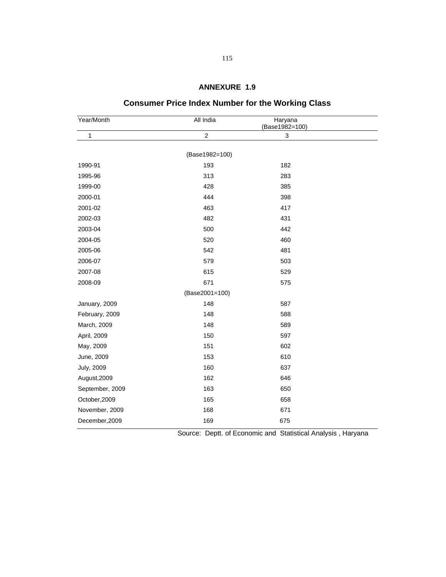| Year/Month        | All India      | Haryana<br>(Base1982=100) |  |
|-------------------|----------------|---------------------------|--|
| 1                 | $\overline{c}$ | 3                         |  |
|                   |                |                           |  |
|                   | (Base1982=100) |                           |  |
| 1990-91           | 193            | 182                       |  |
| 1995-96           | 313            | 283                       |  |
| 1999-00           | 428            | 385                       |  |
| 2000-01           | 444            | 398                       |  |
| 2001-02           | 463            | 417                       |  |
| 2002-03           | 482            | 431                       |  |
| 2003-04           | 500            | 442                       |  |
| 2004-05           | 520            | 460                       |  |
| 2005-06           | 542            | 481                       |  |
| 2006-07           | 579            | 503                       |  |
| 2007-08           | 615            | 529                       |  |
| 2008-09           | 671            | 575                       |  |
|                   | (Base2001=100) |                           |  |
| January, 2009     | 148            | 587                       |  |
| February, 2009    | 148            | 588                       |  |
| March, 2009       | 148            | 589                       |  |
| April, 2009       | 150            | 597                       |  |
| May, 2009         | 151            | 602                       |  |
| June, 2009        | 153            | 610                       |  |
| <b>July, 2009</b> | 160            | 637                       |  |
| August, 2009      | 162            | 646                       |  |
| September, 2009   | 163            | 650                       |  |
| October, 2009     | 165            | 658                       |  |
| November, 2009    | 168            | 671                       |  |
| December, 2009    | 169            | 675                       |  |

# **Consumer Price Index Number for the Working Class**

Source: Deptt. of Economic and Statistical Analysis , Haryana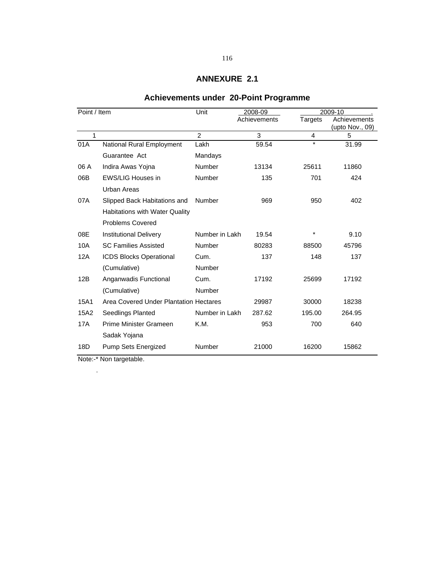# **Achievements under 20-Point Programme**

| Point / Item |                                        | Unit           | 2008-09      | 2009-10        |                                 |
|--------------|----------------------------------------|----------------|--------------|----------------|---------------------------------|
|              |                                        |                | Achievements | <b>Targets</b> | Achievements<br>(upto Nov., 09) |
| 1            |                                        | 2              | 3            | $\overline{4}$ | 5                               |
| 01A          | National Rural Employment              | Lakh           | 59.54        | $\star$        | 31.99                           |
|              | Guarantee Act                          | Mandays        |              |                |                                 |
| 06 A         | Indira Awas Yojna                      | Number         | 13134        | 25611          | 11860                           |
| 06B          | <b>EWS/LIG Houses in</b>               | Number         | 135          | 701            | 424                             |
|              | Urban Areas                            |                |              |                |                                 |
| 07A          | Slipped Back Habitations and           | Number         | 969          | 950            | 402                             |
|              | Habitations with Water Quality         |                |              |                |                                 |
|              | <b>Problems Covered</b>                |                |              |                |                                 |
| 08E          | <b>Institutional Delivery</b>          | Number in Lakh | 19.54        |                | 9.10                            |
| 10A          | <b>SC Families Assisted</b>            | Number         | 80283        | 88500          | 45796                           |
| 12A          | <b>ICDS Blocks Operational</b>         | Cum.           | 137          | 148            | 137                             |
|              | (Cumulative)                           | Number         |              |                |                                 |
| 12B          | Anganwadis Functional                  | Cum.           | 17192        | 25699          | 17192                           |
|              | (Cumulative)                           | Number         |              |                |                                 |
| 15A1         | Area Covered Under Plantation Hectares |                | 29987        | 30000          | 18238                           |
| 15A2         | Seedlings Planted                      | Number in Lakh | 287.62       | 195.00         | 264.95                          |
| 17A          | Prime Minister Grameen                 | K.M.           | 953          | 700            | 640                             |
|              | Sadak Yojana                           |                |              |                |                                 |
| 18D          | Pump Sets Energized                    | Number         | 21000        | 16200          | 15862                           |

Note:-\* Non targetable.

.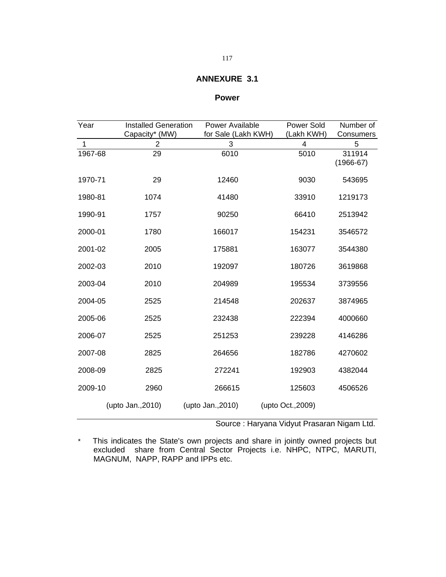#### **Power**

| Year    | <b>Installed Generation</b> | <b>Power Available</b> | <b>Power Sold</b> | Number of   |
|---------|-----------------------------|------------------------|-------------------|-------------|
|         | Capacity* (MW)              | for Sale (Lakh KWH)    | (Lakh KWH)        | Consumers   |
| 1       | 2                           | 3                      | 4                 | 5           |
| 1967-68 | 29                          | 6010                   | 5010              | 311914      |
|         |                             |                        |                   | $(1966-67)$ |
| 1970-71 | 29                          | 12460                  | 9030              | 543695      |
| 1980-81 | 1074                        | 41480                  | 33910             | 1219173     |
| 1990-91 | 1757                        | 90250                  | 66410             | 2513942     |
| 2000-01 | 1780                        | 166017                 | 154231            | 3546572     |
| 2001-02 | 2005                        | 175881                 | 163077            | 3544380     |
| 2002-03 | 2010                        | 192097                 | 180726            | 3619868     |
| 2003-04 | 2010                        | 204989                 | 195534            | 3739556     |
| 2004-05 | 2525                        | 214548                 | 202637            | 3874965     |
| 2005-06 | 2525                        | 232438                 | 222394            | 4000660     |
| 2006-07 | 2525                        | 251253                 | 239228            | 4146286     |
| 2007-08 | 2825                        | 264656                 | 182786            | 4270602     |
| 2008-09 | 2825                        | 272241                 | 192903            | 4382044     |
| 2009-10 | 2960                        | 266615                 | 125603            | 4506526     |
|         | (upto Jan., 2010)           | (upto Jan., 2010)      | (upto Oct., 2009) |             |

Source : Haryana Vidyut Prasaran Nigam Ltd.

\* This indicates the State's own projects and share in jointly owned projects but excluded share from Central Sector Projects i.e. NHPC, NTPC, MARUTI, MAGNUM, NAPP, RAPP and IPPs etc.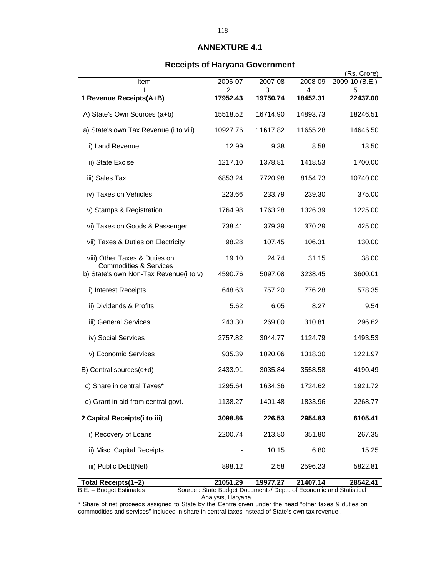#### **Receipts of Haryana Government**

|                                                                             |               |                                                                    |               | (Rs. Crore)    |
|-----------------------------------------------------------------------------|---------------|--------------------------------------------------------------------|---------------|----------------|
| Item                                                                        | 2006-07       | 2007-08                                                            | 2008-09       | 2009-10 (B.E.) |
| 1<br>1 Revenue Receipts(A+B)                                                | 2<br>17952.43 | 3<br>19750.74                                                      | 4<br>18452.31 | 5<br>22437.00  |
|                                                                             |               |                                                                    |               |                |
| A) State's Own Sources (a+b)                                                | 15518.52      | 16714.90                                                           | 14893.73      | 18246.51       |
| a) State's own Tax Revenue (i to viii)                                      | 10927.76      | 11617.82                                                           | 11655.28      | 14646.50       |
| i) Land Revenue                                                             | 12.99         | 9.38                                                               | 8.58          | 13.50          |
| ii) State Excise                                                            | 1217.10       | 1378.81                                                            | 1418.53       | 1700.00        |
| iii) Sales Tax                                                              | 6853.24       | 7720.98                                                            | 8154.73       | 10740.00       |
| iv) Taxes on Vehicles                                                       | 223.66        | 233.79                                                             | 239.30        | 375.00         |
| v) Stamps & Registration                                                    | 1764.98       | 1763.28                                                            | 1326.39       | 1225.00        |
| vi) Taxes on Goods & Passenger                                              | 738.41        | 379.39                                                             | 370.29        | 425.00         |
| vii) Taxes & Duties on Electricity                                          | 98.28         | 107.45                                                             | 106.31        | 130.00         |
| viii) Other Taxes & Duties on                                               | 19.10         | 24.74                                                              | 31.15         | 38.00          |
| <b>Commodities &amp; Services</b><br>b) State's own Non-Tax Revenue(i to v) | 4590.76       | 5097.08                                                            | 3238.45       | 3600.01        |
| i) Interest Receipts                                                        | 648.63        | 757.20                                                             | 776.28        | 578.35         |
| ii) Dividends & Profits                                                     | 5.62          | 6.05                                                               | 8.27          | 9.54           |
| iii) General Services                                                       | 243.30        | 269.00                                                             | 310.81        | 296.62         |
| iv) Social Services                                                         | 2757.82       | 3044.77                                                            | 1124.79       | 1493.53        |
| v) Economic Services                                                        | 935.39        | 1020.06                                                            | 1018.30       | 1221.97        |
| B) Central sources(c+d)                                                     | 2433.91       | 3035.84                                                            | 3558.58       | 4190.49        |
| c) Share in central Taxes*                                                  | 1295.64       | 1634.36                                                            | 1724.62       | 1921.72        |
| d) Grant in aid from central govt.                                          | 1138.27       | 1401.48                                                            | 1833.96       | 2268.77        |
| 2 Capital Receipts(i to iii)                                                | 3098.86       | 226.53                                                             | 2954.83       | 6105.41        |
| i) Recovery of Loans                                                        | 2200.74       | 213.80                                                             | 351.80        | 267.35         |
| ii) Misc. Capital Receipts                                                  |               | 10.15                                                              | 6.80          | 15.25          |
| iii) Public Debt(Net)                                                       | 898.12        | 2.58                                                               | 2596.23       | 5822.81        |
| <b>Total Receipts(1+2)</b>                                                  | 21051.29      | 19977.27                                                           | 21407.14      | 28542.41       |
| B.E. - Budget Estimates                                                     |               | Source: State Budget Documents/ Deptt. of Economic and Statistical |               |                |

Analysis, Haryana

\* Share of net proceeds assigned to State by the Centre given under the head "other taxes & duties on commodities and services" included in share in central taxes instead of State's own tax revenue .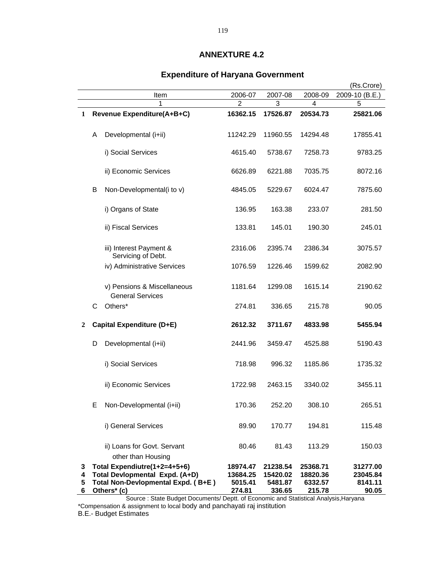# (Rs.Crore) Item 2006-07 2007-08 2008-09 2009-10 (B.E.) 1 2 3 4 5 **1 Revenue Expenditure(A+B+C) 16362.15 17526.87 20534.73 25821.06** A Developmental (i+ii) 11242.29 11960.55 14294.48 17855.41 i) Social Services 4615.40 5738.67 7258.73 9783.25 ii) Economic Services 6626.89 6221.88 7035.75 8072.16 B Non-Developmental(i to v) 4845.05 5229.67 6024.47 7875.60 i) Organs of State 136.95 163.38 233.07 281.50 ii) Fiscal Services 133.81 145.01 190.30 245.01 iii) Interest Payment & 2316.06 2395.74 2386.34 3075.57 Servicing of Debt. iv) Administrative Services 1076.59 1226.46 1599.62 2082.90 v) Pensions & Miscellaneous 1181.64 1299.08 1615.14 2190.62 General Services C Others\* 274.81 336.65 215.78 90.05 **2 Capital Expenditure (D+E) 2612.32 3711.67 4833.98 5455.94** D Developmental (i+ii) 2441.96 3459.47 4525.88 5190.43 i) Social Services 718.98 996.32 1185.86 1735.32 ii) Economic Services 1722.98 2463.15 3340.02 3455.11 E Non-Developmental (i+ii) 170.36 252.20 308.10 265.51 i) General Services 89.90 170.77 194.81 115.48 ii) Loans for Govt. Servant 80.46 81.43 113.29 150.03 other than Housing **3 Total Expendiutre(1+2=4+5+6) 18974.47 21238.54 25368.71 31277.00 4 Total Devlopmental Expd. (A+D) 13684.25 15420.02 18820.36 23045.84 5 Total Non-Devlopmental Expd. ( B+E ) 5015.41 5481.87 6332.57 8141.11 6 Others\* (c) 274.81 336.65 215.78 90.05**

#### **Expenditure of Haryana Government**

 Source : State Budget Documents/ Deptt. of Economic and Statistical Analysis,Haryana \*Compensation & assignment to local body and panchayati raj institution

B.E.- Budget Estimates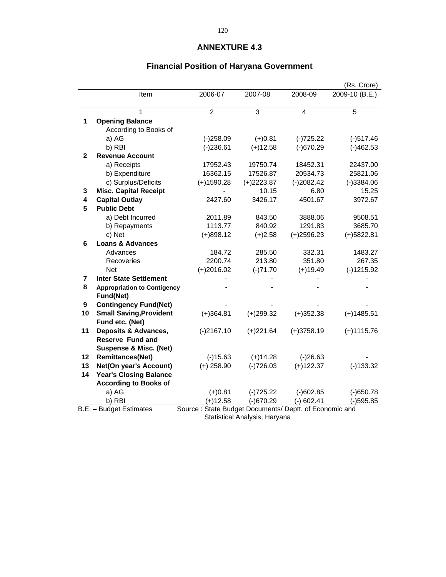# **Financial Position of Haryana Government**

|                |                                                                                   |                |              |                | (Rs. Crore)    |
|----------------|-----------------------------------------------------------------------------------|----------------|--------------|----------------|----------------|
|                | Item                                                                              | 2006-07        | 2007-08      | 2008-09        | 2009-10 (B.E.) |
|                | 1                                                                                 | $\overline{c}$ | 3            | $\overline{4}$ | 5              |
| 1              | <b>Opening Balance</b>                                                            |                |              |                |                |
|                | According to Books of                                                             |                |              |                |                |
|                | a) AG                                                                             | $(-)258.09$    | $(+)0.81$    | $(-)725.22$    | $(-)517.46$    |
|                | b) RBI                                                                            | $(-)236.61$    | $(+)12.58$   | $(-)670.29$    | $(-)462.53$    |
| $\mathbf{2}$   | <b>Revenue Account</b>                                                            |                |              |                |                |
|                | a) Receipts                                                                       | 17952.43       | 19750.74     | 18452.31       | 22437.00       |
|                | b) Expenditure                                                                    | 16362.15       | 17526.87     | 20534.73       | 25821.06       |
|                | c) Surplus/Deficits                                                               | $(+)1590.28$   | $(+)2223.87$ | $(-)2082.42$   | $(-)3384.06$   |
| 3              | <b>Misc. Capital Receipt</b>                                                      |                | 10.15        | 6.80           | 15.25          |
| 4              | <b>Capital Outlay</b>                                                             | 2427.60        | 3426.17      | 4501.67        | 3972.67        |
| 5              | <b>Public Debt</b>                                                                |                |              |                |                |
|                | a) Debt Incurred                                                                  | 2011.89        | 843.50       | 3888.06        | 9508.51        |
|                | b) Repayments                                                                     | 1113.77        | 840.92       | 1291.83        | 3685.70        |
|                | c) Net                                                                            | $(+)898.12$    | $(+)2.58$    | $(+)2596.23$   | $(+)5822.81$   |
| 6              | <b>Loans &amp; Advances</b>                                                       |                |              |                |                |
|                | Advances                                                                          | 184.72         | 285.50       | 332.31         | 1483.27        |
|                | Recoveries                                                                        | 2200.74        | 213.80       | 351.80         | 267.35         |
|                | <b>Net</b>                                                                        | $(+)2016.02$   | $(-)71.70$   | $(+)19.49$     | $(-)1215.92$   |
| $\overline{7}$ | <b>Inter State Settlement</b>                                                     |                |              |                |                |
| 8              | <b>Appropriation to Contigency</b>                                                |                |              |                |                |
|                | Fund(Net)                                                                         |                |              |                |                |
| 9              | <b>Contingency Fund(Net)</b>                                                      |                |              |                |                |
| 10             | <b>Small Saving, Provident</b>                                                    | $(+)364.81$    | $(+)299.32$  | $(+)352.38$    | $(+)1485.51$   |
|                | Fund etc. (Net)                                                                   |                |              |                |                |
| 11             | Deposits & Advances,                                                              | $(-)2167.10$   | $(+)221.64$  | $(+)3758.19$   | $(+)1115.76$   |
|                | <b>Reserve Fund and</b>                                                           |                |              |                |                |
|                | <b>Suspense &amp; Misc. (Net)</b>                                                 |                |              |                |                |
| 12             | <b>Remittances(Net)</b>                                                           | $(-)15.63$     | $(+)14.28$   | $(-)26.63$     |                |
| 13             | <b>Net(On year's Account)</b>                                                     | $(+)$ 258.90   | $(-)726.03$  | $(+)122.37$    | $(-)133.32$    |
| 14             | <b>Year's Closing Balance</b>                                                     |                |              |                |                |
|                | <b>According to Books of</b>                                                      |                |              |                |                |
|                | a) AG                                                                             | $(+)0.81$      | $(-)725.22$  | $(-)602.85$    | $(-)650.78$    |
|                | b) RBI                                                                            | $(+)12.58$     | $(-)670.29$  | $(-) 602.41$   | $(-)595.85$    |
|                | B.E. - Budget Estimates<br>Source: State Budget Documents/ Deptt. of Economic and |                |              |                |                |

Statistical Analysis, Haryana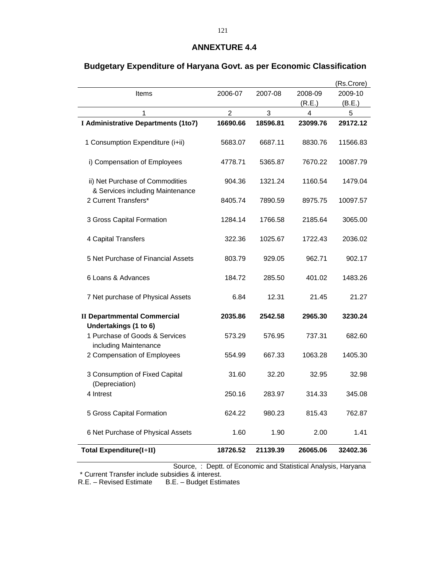|                                                                     |                |          |          | (Rs.Crore) |
|---------------------------------------------------------------------|----------------|----------|----------|------------|
| Items                                                               | 2006-07        | 2007-08  | 2008-09  | 2009-10    |
|                                                                     |                |          | (R.E.)   | (B.E.)     |
| 1                                                                   | $\overline{2}$ | 3        | 4        | 5          |
| I Administrative Departments (1to7)                                 | 16690.66       | 18596.81 | 23099.76 | 29172.12   |
| 1 Consumption Expenditure (i+ii)                                    | 5683.07        | 6687.11  | 8830.76  | 11566.83   |
| i) Compensation of Employees                                        | 4778.71        | 5365.87  | 7670.22  | 10087.79   |
| ii) Net Purchase of Commodities<br>& Services including Maintenance | 904.36         | 1321.24  | 1160.54  | 1479.04    |
| 2 Current Transfers*                                                | 8405.74        | 7890.59  | 8975.75  | 10097.57   |
| 3 Gross Capital Formation                                           | 1284.14        | 1766.58  | 2185.64  | 3065.00    |
| 4 Capital Transfers                                                 | 322.36         | 1025.67  | 1722.43  | 2036.02    |
| 5 Net Purchase of Financial Assets                                  | 803.79         | 929.05   | 962.71   | 902.17     |
| 6 Loans & Advances                                                  | 184.72         | 285.50   | 401.02   | 1483.26    |
| 7 Net purchase of Physical Assets                                   | 6.84           | 12.31    | 21.45    | 21.27      |
| <b>II Departmmental Commercial</b><br>Undertakings (1 to 6)         | 2035.86        | 2542.58  | 2965.30  | 3230.24    |
| 1 Purchase of Goods & Services<br>including Maintenance             | 573.29         | 576.95   | 737.31   | 682.60     |
| 2 Compensation of Employees                                         | 554.99         | 667.33   | 1063.28  | 1405.30    |
| 3 Consumption of Fixed Capital<br>(Depreciation)                    | 31.60          | 32.20    | 32.95    | 32.98      |
| 4 Intrest                                                           | 250.16         | 283.97   | 314.33   | 345.08     |
| 5 Gross Capital Formation                                           | 624.22         | 980.23   | 815.43   | 762.87     |
| 6 Net Purchase of Physical Assets                                   | 1.60           | 1.90     | 2.00     | 1.41       |
| <b>Total Expenditure(I+II)</b>                                      | 18726.52       | 21139.39 | 26065.06 | 32402.36   |

# **Budgetary Expenditure of Haryana Govt. as per Economic Classification**

Source, : Deptt. of Economic and Statistical Analysis, Haryana

\* Current Transfer include subsidies & interest.

R.E. – Revised Estimate B.E. – Budget Estimates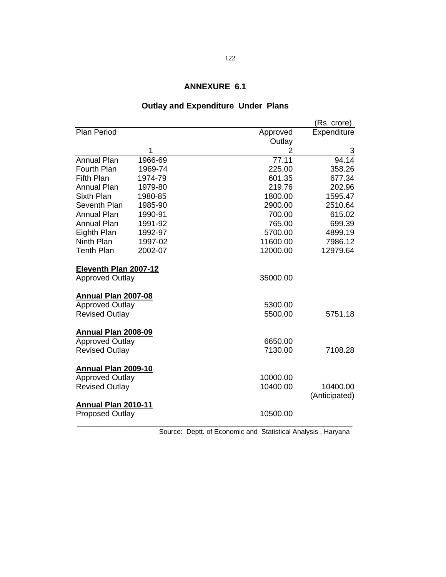# **Outlay and Expenditure Under Plans**

|                            |         |                | (Rs. crore)   |
|----------------------------|---------|----------------|---------------|
| <b>Plan Period</b>         |         | Approved       | Expenditure   |
|                            |         | Outlay         |               |
|                            | 1       | $\overline{2}$ | 3             |
| <b>Annual Plan</b>         | 1966-69 | 77.11          | 94.14         |
| <b>Fourth Plan</b>         | 1969-74 | 225.00         | 358.26        |
| <b>Fifth Plan</b>          | 1974-79 | 601.35         | 677.34        |
| Annual Plan                | 1979-80 | 219.76         | 202.96        |
| Sixth Plan                 | 1980-85 | 1800.00        | 1595.47       |
| Seventh Plan               | 1985-90 | 2900.00        | 2510.64       |
| <b>Annual Plan</b>         | 1990-91 | 700.00         | 615.02        |
| <b>Annual Plan</b>         | 1991-92 | 765.00         | 699.39        |
| Eighth Plan                | 1992-97 | 5700.00        | 4899.19       |
| Ninth Plan                 | 1997-02 | 11600.00       | 7986.12       |
| <b>Tenth Plan</b>          | 2002-07 | 12000.00       | 12979.64      |
| Eleventh Plan 2007-12      |         |                |               |
| <b>Approved Outlay</b>     |         | 35000.00       |               |
| <b>Annual Plan 2007-08</b> |         |                |               |
| <b>Approved Outlay</b>     |         | 5300.00        |               |
| <b>Revised Outlay</b>      |         | 5500.00        | 5751.18       |
| <b>Annual Plan 2008-09</b> |         |                |               |
| <b>Approved Outlay</b>     |         | 6650.00        |               |
| <b>Revised Outlay</b>      |         | 7130.00        | 7108.28       |
| Annual Plan 2009-10        |         |                |               |
| <b>Approved Outlay</b>     |         | 10000.00       |               |
| <b>Revised Outlay</b>      |         | 10400.00       | 10400.00      |
| Annual Plan 2010-11        |         |                | (Anticipated) |
| <b>Proposed Outlay</b>     |         | 10500.00       |               |
|                            |         |                |               |

Source: Deptt. of Economic and Statistical Analysis , Haryana